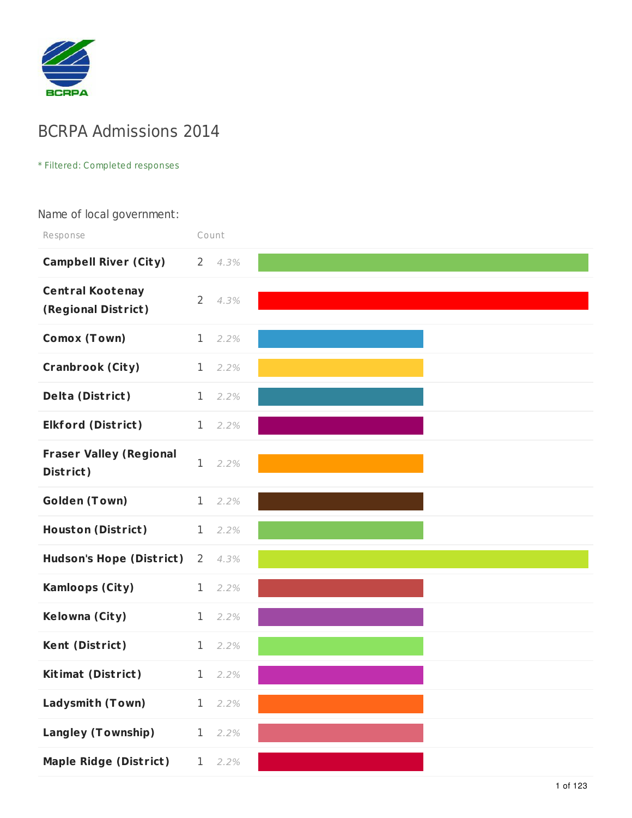

# BCRPA Admissions 2014

#### \* Filtered: Completed responses

#### Name of local government:

| Response                                       | Count          |      |  |
|------------------------------------------------|----------------|------|--|
| <b>Campbell River (City)</b>                   | $\overline{2}$ | 4.3% |  |
| <b>Central Kootenay</b><br>(Regional District) | $\overline{2}$ | 4.3% |  |
| Comox (Town)                                   | $\mathbf 1$    | 2.2% |  |
| <b>Cranbrook (City)</b>                        | $\mathbf{1}$   | 2.2% |  |
| <b>Delta (District)</b>                        | $\mathbf 1$    | 2.2% |  |
| <b>Elkford (District)</b>                      | $\mathbf 1$    | 2.2% |  |
| <b>Fraser Valley (Regional</b><br>District)    | 1              | 2.2% |  |
| <b>Golden (Town)</b>                           | $\mathbf{1}$   | 2.2% |  |
| <b>Houston (District)</b>                      | $\mathbf{1}$   | 2.2% |  |
| <b>Hudson's Hope (District)</b>                | 2              | 4.3% |  |
| <b>Kamloops (City)</b>                         | $\mathbf 1$    | 2.2% |  |
| Kelowna (City)                                 | 1              | 2.2% |  |
| Kent (District)                                | 1              | 2.2% |  |
| <b>Kitimat (District)</b>                      | $\mathbf 1$    | 2.2% |  |
| Ladysmith (Town)                               | 1              | 2.2% |  |
| <b>Langley (Township)</b>                      | 1              | 2.2% |  |
| <b>Maple Ridge (District)</b>                  | 1              | 2.2% |  |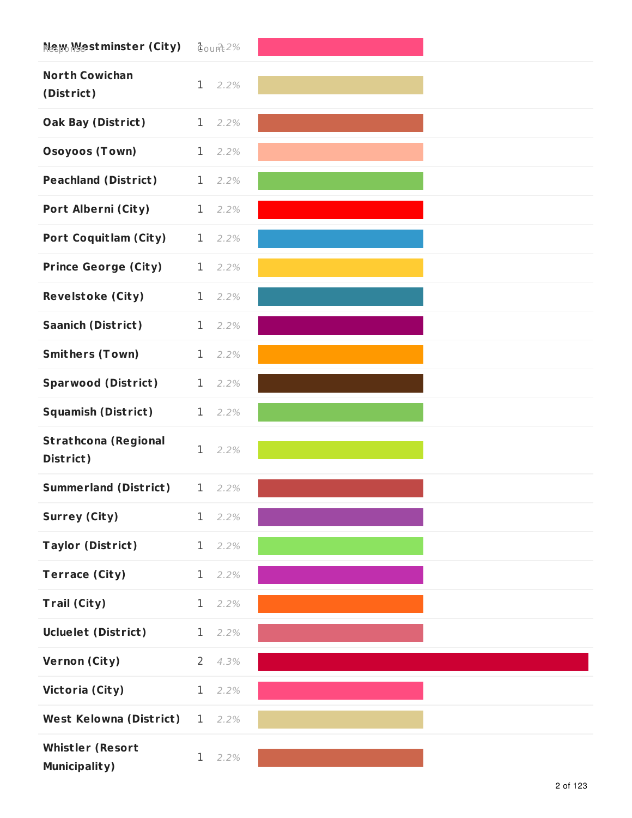| Nക്യം Mestminster (City)                        | $q$ ount $2%$          |
|-------------------------------------------------|------------------------|
| <b>North Cowichan</b><br>(District)             | $\mathbf 1$<br>2.2%    |
| <b>Oak Bay (District)</b>                       | $\mathbf{1}$<br>2.2%   |
| <b>Osoyoos (Town)</b>                           | $\mathbf 1$<br>2.2%    |
| <b>Peachland (District)</b>                     | $\mathbf 1$<br>2.2%    |
| Port Alberni (City)                             | $\mathbf 1$<br>2.2%    |
| <b>Port Coquitlam (City)</b>                    | $\mathbf{1}$<br>2.2%   |
| <b>Prince George (City)</b>                     | $\mathbf 1$<br>2.2%    |
| <b>Revelstoke (City)</b>                        | $\mathbf 1$<br>2.2%    |
| <b>Saanich (District)</b>                       | $\mathbf{1}$<br>2.2%   |
| <b>Smithers (Town)</b>                          | $\mathbf 1$<br>2.2%    |
| <b>Sparwood (District)</b>                      | 1<br>2.2%              |
| <b>Squamish (District)</b>                      | $\mathbf 1$<br>2.2%    |
| <b>Strathcona (Regional</b><br>District)        | $\mathbf 1$<br>2.2%    |
| <b>Summerland (District)</b>                    | $1 \quad 2.2\%$        |
| <b>Surrey (City)</b>                            | $1 \quad 2.2\%$        |
| <b>Taylor (District)</b>                        | $\mathbf 1$<br>2.2%    |
| <b>Terrace (City)</b>                           | $\mathbf{1}$<br>2.2%   |
| <b>Trail (City)</b>                             | $\mathbf 1$<br>2.2%    |
| Ucluelet (District)                             | $\mathbf 1$<br>2.2%    |
| Vernon (City)                                   | $\overline{2}$<br>4.3% |
| Victoria (City)                                 | $\mathbf 1$<br>2.2%    |
| West Kelowna (District)                         | 2.2%<br>1              |
| <b>Whistler (Resort</b><br><b>Municipality)</b> | 1<br>2.2%              |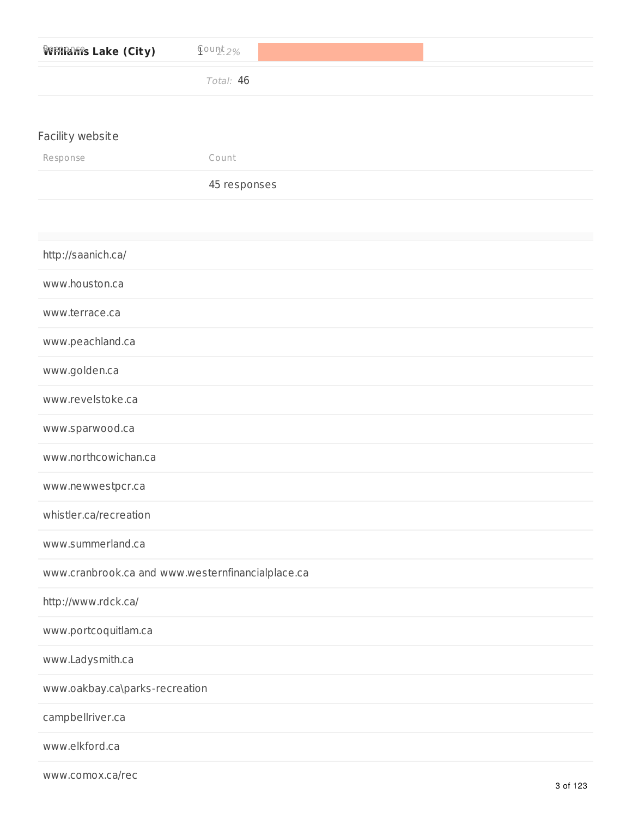| <b>VERRARES Lake (City)</b>                       | $Q$ ount <sub>2.2%</sub> |
|---------------------------------------------------|--------------------------|
|                                                   | Total: 46                |
|                                                   |                          |
| Facility website                                  |                          |
| Response                                          | Count                    |
|                                                   | 45 responses             |
|                                                   |                          |
| http://saanich.ca/                                |                          |
| www.houston.ca                                    |                          |
| www.terrace.ca                                    |                          |
| www.peachland.ca                                  |                          |
| www.golden.ca                                     |                          |
| www.revelstoke.ca                                 |                          |
| www.sparwood.ca                                   |                          |
| www.northcowichan.ca                              |                          |
| www.newwestpcr.ca                                 |                          |
| whistler.ca/recreation                            |                          |
| www.summerland.ca                                 |                          |
| www.cranbrook.ca and www.westernfinancialplace.ca |                          |
| http://www.rdck.ca/                               |                          |
| www.portcoquitlam.ca                              |                          |
| www.Ladysmith.ca                                  |                          |
| www.oakbay.ca\parks-recreation                    |                          |
| campbellriver.ca                                  |                          |
| www.elkford.ca                                    |                          |

www.comox.ca/rec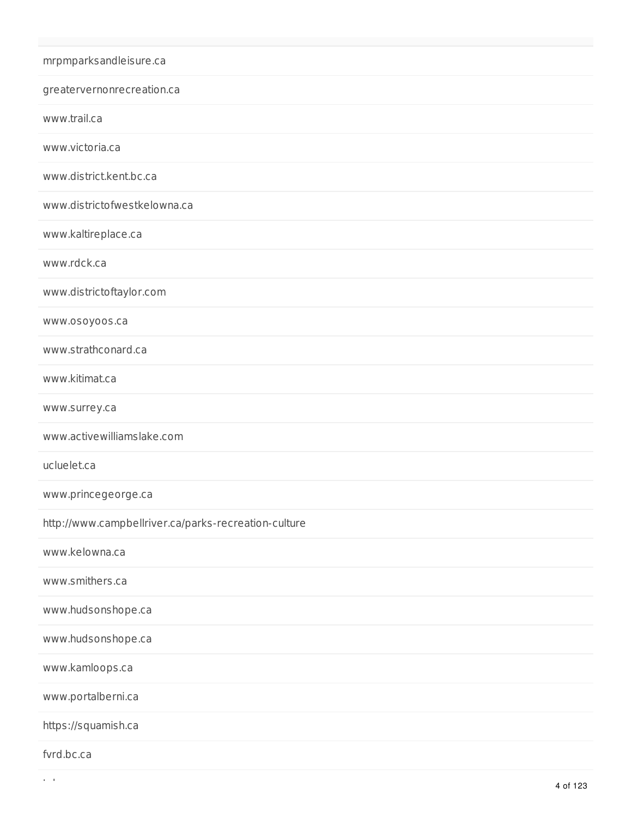| mrpmparksandleisure.ca                               |
|------------------------------------------------------|
| greatervernonrecreation.ca                           |
| www.trail.ca                                         |
| www.victoria.ca                                      |
| www.district.kent.bc.ca                              |
| www.districtofwestkelowna.ca                         |
| www.kaltireplace.ca                                  |
| www.rdck.ca                                          |
| www.districtoftaylor.com                             |
| www.osoyoos.ca                                       |
| www.strathconard.ca                                  |
| www.kitimat.ca                                       |
| www.surrey.ca                                        |
| www.activewilliamslake.com                           |
| ucluelet.ca                                          |
| www.princegeorge.ca                                  |
| http://www.campbellriver.ca/parks-recreation-culture |
| www.kelowna.ca                                       |
| www.smithers.ca                                      |
| www.hudsonshope.ca                                   |
| www.hudsonshope.ca                                   |
| www.kamloops.ca                                      |
| www.portalberni.ca                                   |
| https://squamish.ca                                  |
| fvrd.bc.ca                                           |

 $t\rightarrow t$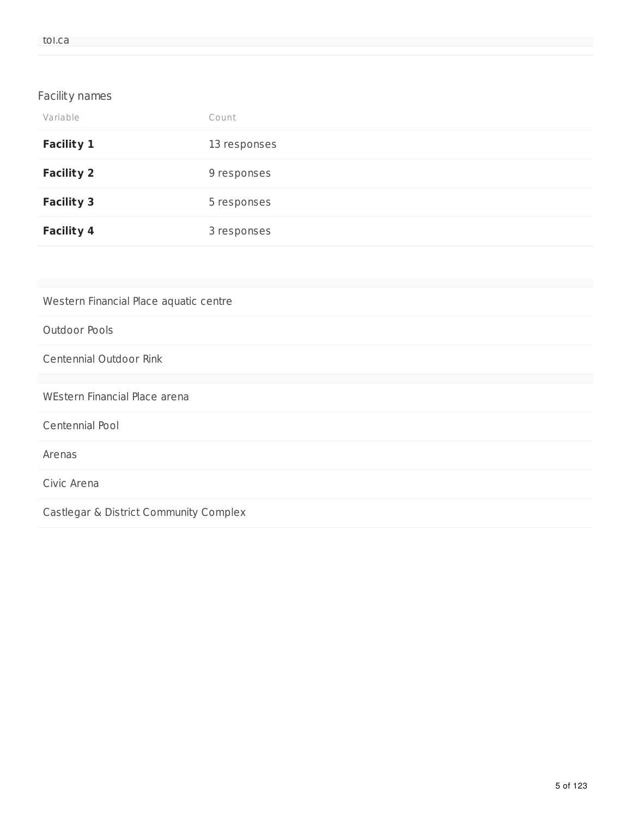### Facility names

| Variable          | Count        |
|-------------------|--------------|
| <b>Facility 1</b> | 13 responses |
| <b>Facility 2</b> | 9 responses  |
| <b>Facility 3</b> | 5 responses  |
| <b>Facility 4</b> | 3 responses  |

| Western Financial Place aquatic centre |
|----------------------------------------|
| Outdoor Pools                          |
| Centennial Outdoor Rink                |
|                                        |
| WEstern Financial Place arena          |
| Centennial Pool                        |
| Arenas                                 |
| Civic Arena                            |
| Castlegar & District Community Complex |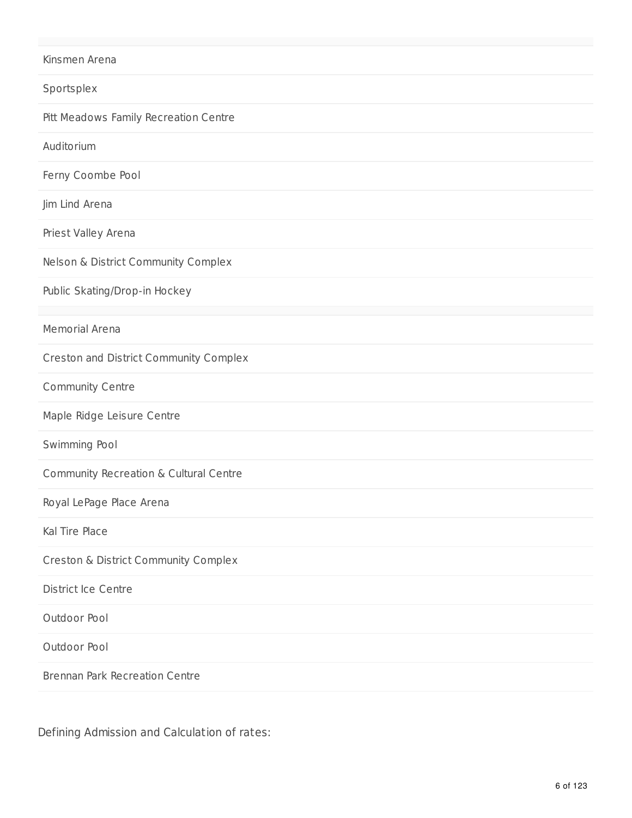#### Kinsmen Arena

Sportsplex

Pitt Meadows Family Recreation Centre

**Auditorium** 

Ferny Coombe Pool

Jim Lind Arena

Priest Valley Arena

Nelson & District Community Complex

Public Skating/Drop-in Hockey

Memorial Arena

Creston and District Community Complex

Community Centre

Maple Ridge Leisure Centre

Swimming Pool

Community Recreation & Cultural Centre

Royal LePage Place Arena

Kal Tire Place

Creston & District Community Complex

District Ice Centre

Outdoor Pool

Outdoor Pool

Brennan Park Recreation Centre

Defining Admission and Calculation of rates: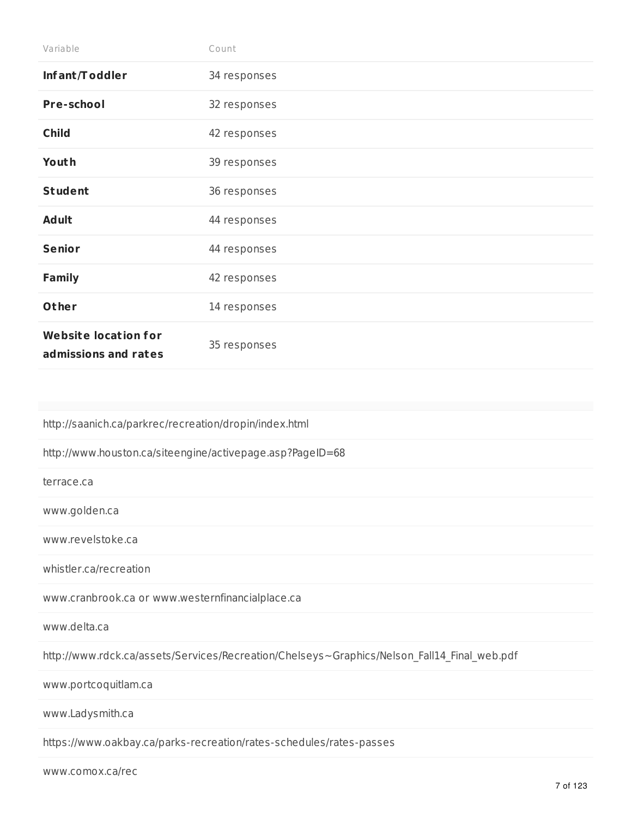| Variable                                            | Count        |
|-----------------------------------------------------|--------------|
| Infant/Toddler                                      | 34 responses |
| Pre-school                                          | 32 responses |
| <b>Child</b>                                        | 42 responses |
| Youth                                               | 39 responses |
| <b>Student</b>                                      | 36 responses |
| <b>Adult</b>                                        | 44 responses |
| <b>Senior</b>                                       | 44 responses |
| <b>Family</b>                                       | 42 responses |
| Other                                               | 14 responses |
| <b>Website location for</b><br>admissions and rates | 35 responses |

http://saanich.ca/parkrec/recreation/dropin/index.html

http://www.houston.ca/siteengine/activepage.asp?PageID=68

terrace.ca

www.golden.ca

www.revelstoke.ca

whistler.ca/recreation

www.cranbrook.ca or www.westernfinancialplace.ca

www.delta.ca

http://www.rdck.ca/assets/Services/Recreation/Chelseys~Graphics/Nelson\_Fall14\_Final\_web.pdf

www.portcoquitlam.ca

www.Ladysmith.ca

https://www.oakbay.ca/parks-recreation/rates-schedules/rates-passes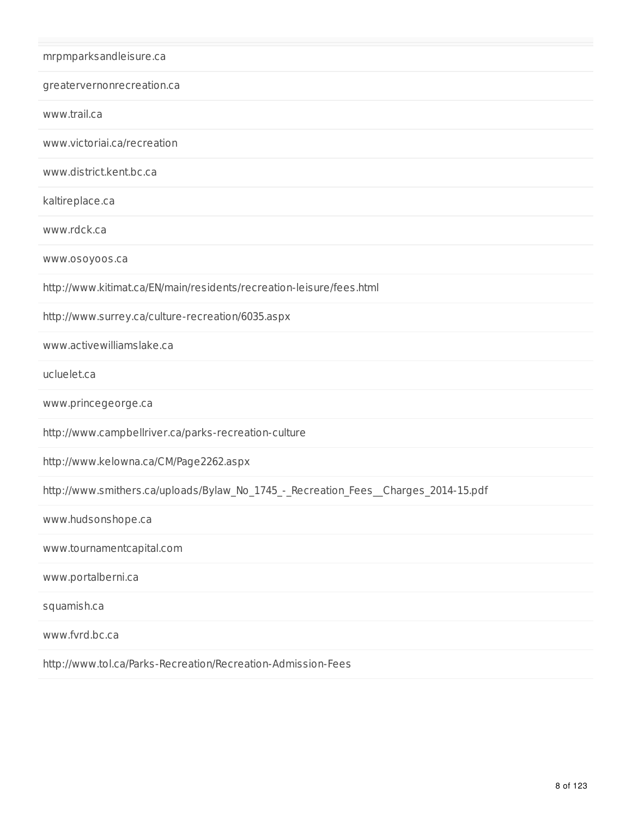| mrpmparksandleisure.ca                                                              |
|-------------------------------------------------------------------------------------|
| greatervernonrecreation.ca                                                          |
| www.trail.ca                                                                        |
| www.victoriai.ca/recreation                                                         |
| www.district.kent.bc.ca                                                             |
| kaltireplace.ca                                                                     |
| www.rdck.ca                                                                         |
| www.osoyoos.ca                                                                      |
| http://www.kitimat.ca/EN/main/residents/recreation-leisure/fees.html                |
| http://www.surrey.ca/culture-recreation/6035.aspx                                   |
| www.activewilliamslake.ca                                                           |
| ucluelet.ca                                                                         |
| www.princegeorge.ca                                                                 |
| http://www.campbellriver.ca/parks-recreation-culture                                |
| http://www.kelowna.ca/CM/Page2262.aspx                                              |
| http://www.smithers.ca/uploads/Bylaw_No_1745_-_Recreation_Fees__Charges_2014-15.pdf |
| www.hudsonshope.ca                                                                  |
| www.tournamentcapital.com                                                           |
| www.portalberni.ca                                                                  |
| squamish.ca                                                                         |
| www.fvrd.bc.ca                                                                      |
| http://www.tol.ca/Parks-Recreation/Recreation-Admission-Fees                        |
|                                                                                     |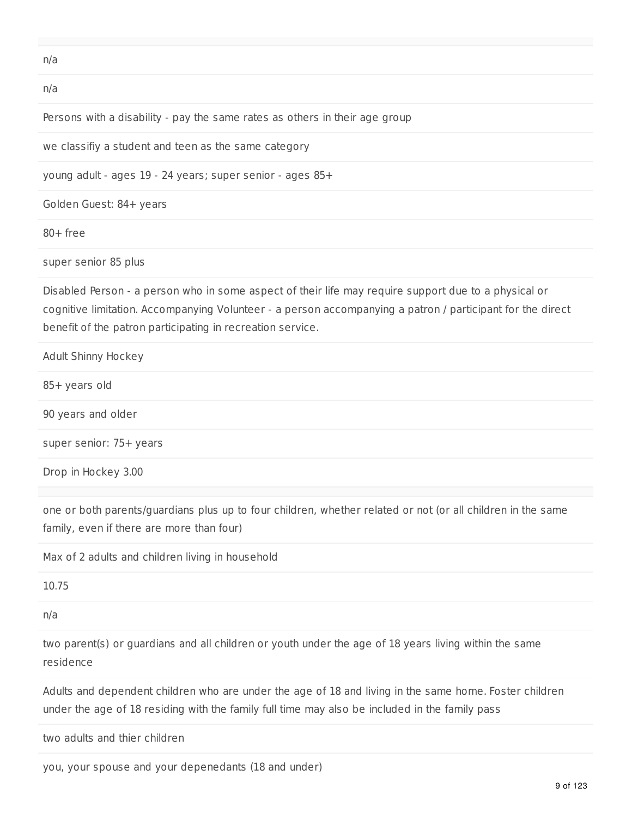n/a

n/a

Persons with a disability - pay the same rates as others in their age group

we classifiy a student and teen as the same category

young adult - ages 19 - 24 years; super senior - ages 85+

Golden Guest: 84+ years

80+ free

super senior 85 plus

Disabled Person - a person who in some aspect of their life may require support due to a physical or cognitive limitation. Accompanying Volunteer - a person accompanying a patron / participant for the direct benefit of the patron participating in recreation service.

Adult Shinny Hockey 85+ years old 90 years and older super senior: 75+ years Drop in Hockey 3.00

one or both parents/guardians plus up to four children, whether related or not (or all children in the same family, even if there are more than four)

Max of 2 adults and children living in household

10.75

n/a

two parent(s) or guardians and all children or youth under the age of 18 years living within the same residence

Adults and dependent children who are under the age of 18 and living in the same home. Foster children under the age of 18 residing with the family full time may also be included in the family pass

two adults and thier children

you, your spouse and your depenedants (18 and under)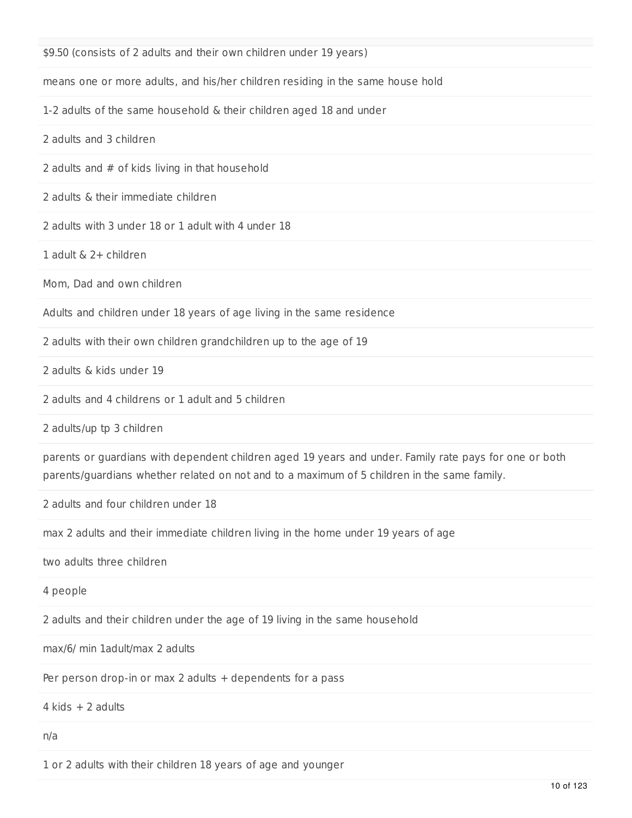\$9.50 (consists of 2 adults and their own children under 19 years)

means one or more adults, and his/her children residing in the same house hold

1-2 adults of the same household & their children aged 18 and under

2 adults and 3 children

2 adults and # of kids living in that household

2 adults & their immediate children

2 adults with 3 under 18 or 1 adult with 4 under 18

1 adult & 2+ children

Mom, Dad and own children

Adults and children under 18 years of age living in the same residence

2 adults with their own children grandchildren up to the age of 19

2 adults & kids under 19

2 adults and 4 childrens or 1 adult and 5 children

2 adults/up tp 3 children

parents or guardians with dependent children aged 19 years and under. Family rate pays for one or both parents/guardians whether related on not and to a maximum of 5 children in the same family.

2 adults and four children under 18

max 2 adults and their immediate children living in the home under 19 years of age

two adults three children

4 people

2 adults and their children under the age of 19 living in the same household

max/6/ min 1adult/max 2 adults

Per person drop-in or max 2 adults + dependents for a pass

 $4$  kids  $+$  2 adults

n/a

1 or 2 adults with their children 18 years of age and younger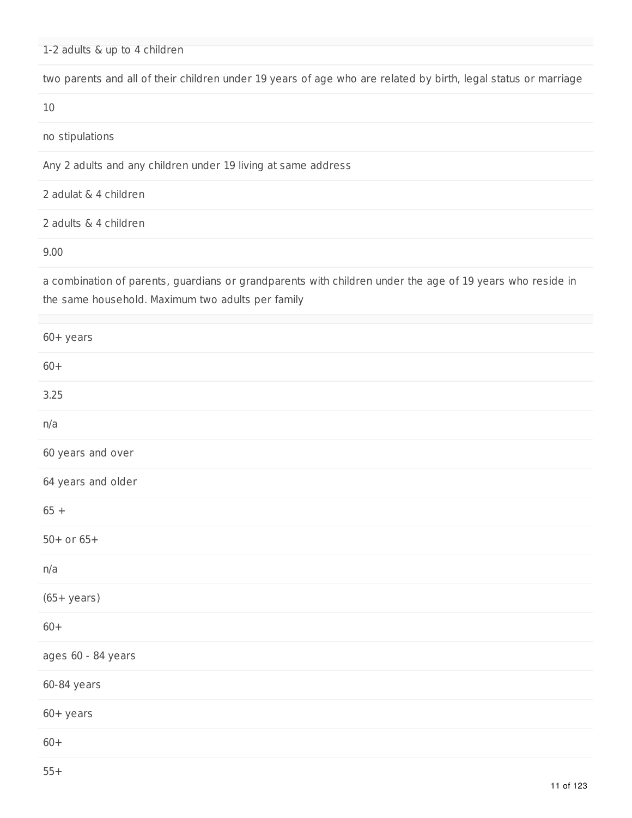1-2 adults & up to 4 children

two parents and all of their children under 19 years of age who are related by birth, legal status or marriage

10

no stipulations

Any 2 adults and any children under 19 living at same address

2 adulat & 4 children

2 adults & 4 children

9.00

a combination of parents, guardians or grandparents with children under the age of 19 years who reside in the same household. Maximum two adults per family

| $60+$ years        |
|--------------------|
| $60+$              |
| 3.25               |
| n/a                |
| 60 years and over  |
| 64 years and older |
| $65 +$             |
| $50+$ or $65+$     |
| n/a                |
| $(65 + years)$     |
| $60+$              |
| ages 60 - 84 years |
| 60-84 years        |
| $60 +$ years       |
| $60+$              |
|                    |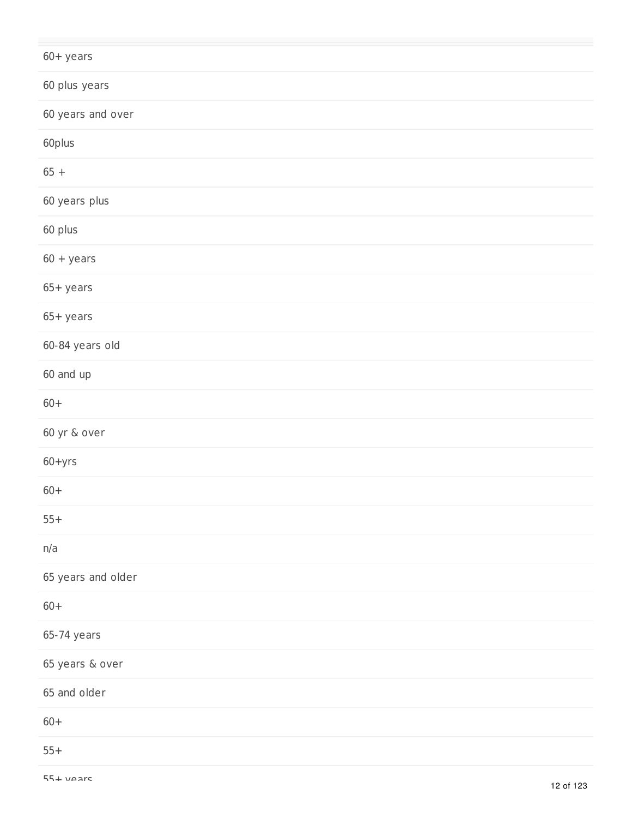| $60 +$ years       |
|--------------------|
| 60 plus years      |
| 60 years and over  |
| 60plus             |
| $65+$              |
| 60 years plus      |
| 60 plus            |
| $60 + years$       |
| $65+years$         |
| $65+years$         |
| 60-84 years old    |
| 60 and up          |
| $60+$              |
| 60 yr & over       |
| $60 + yrs$         |
| $60+$              |
| $55+$              |
| n/a                |
| 65 years and older |
| $60+$              |
| 65-74 years        |
| 65 years & over    |
| 65 and older       |
| $60+$              |
| $55+$              |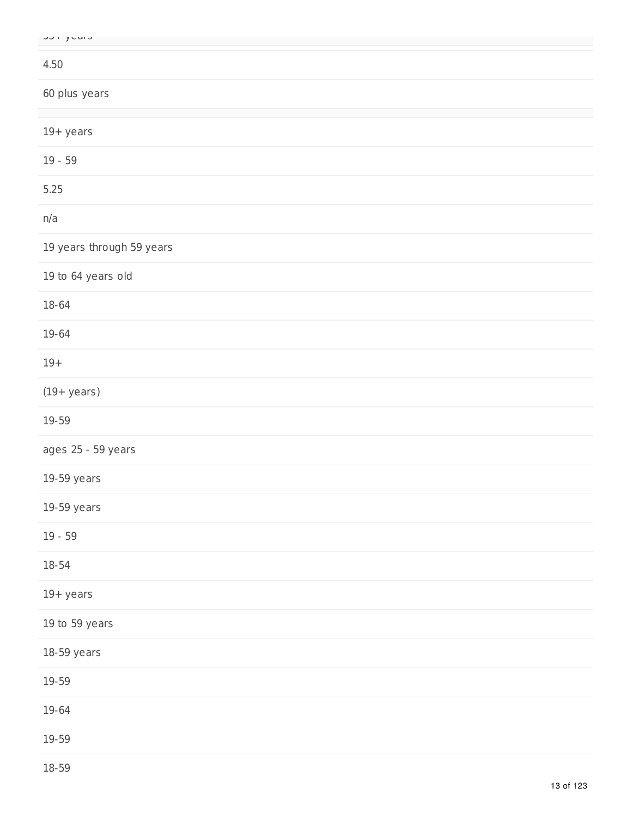|  | UU YUU J |
|--|----------|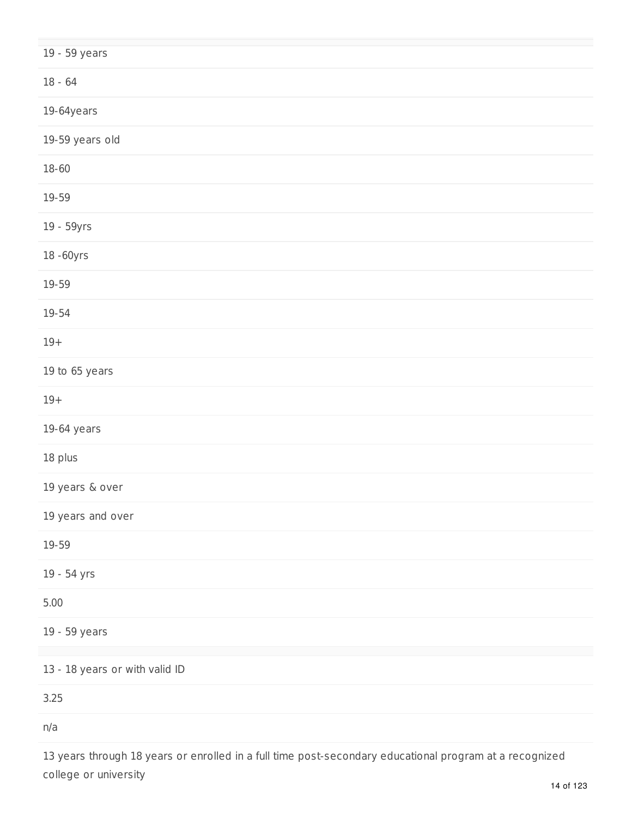| 19 - 59 years                  |
|--------------------------------|
| $18 - 64$                      |
| $19-64$ years                  |
| 19-59 years old                |
| $18 - 60$                      |
| 19-59                          |
| 19 - 59yrs                     |
| 18-60yrs                       |
| 19-59                          |
| $19 - 54$                      |
| $19+$                          |
| 19 to 65 years                 |
| $19+$                          |
| $19-64$ years                  |
| 18 plus                        |
| 19 years & over                |
| 19 years and over              |
| 19-59                          |
| 19 - 54 yrs                    |
| $5.00$                         |
| 19 - 59 years                  |
| 13 - 18 years or with valid ID |
| 3.25                           |
| n/a                            |
|                                |

13 years through 18 years or enrolled in a full time post-secondary educational program at a recognized college or university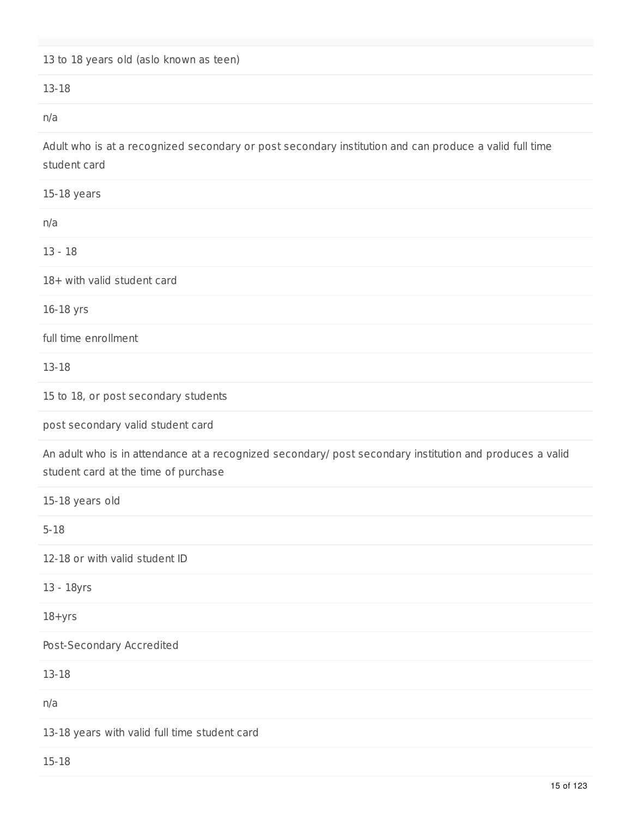## 13 to 18 years old (aslo known as teen)

#### 13-18

n/a

Adult who is at a recognized secondary or post secondary institution and can produce a valid full time student card

| 15-18 years                                                                                                                                      |
|--------------------------------------------------------------------------------------------------------------------------------------------------|
| n/a                                                                                                                                              |
| $13 - 18$                                                                                                                                        |
| 18+ with valid student card                                                                                                                      |
| 16-18 yrs                                                                                                                                        |
| full time enrollment                                                                                                                             |
| 13-18                                                                                                                                            |
| 15 to 18, or post secondary students                                                                                                             |
| post secondary valid student card                                                                                                                |
| An adult who is in attendance at a recognized secondary/ post secondary institution and produces a valid<br>student card at the time of purchase |
| 15-18 years old                                                                                                                                  |
| $5 - 18$                                                                                                                                         |
| 12-18 or with valid student ID                                                                                                                   |
| 13 - 18yrs                                                                                                                                       |
| $18 + yrs$                                                                                                                                       |
| Post-Secondary Accredited                                                                                                                        |
| 13-18                                                                                                                                            |
| n/a                                                                                                                                              |
| 13-18 years with valid full time student card                                                                                                    |
| $15 - 18$                                                                                                                                        |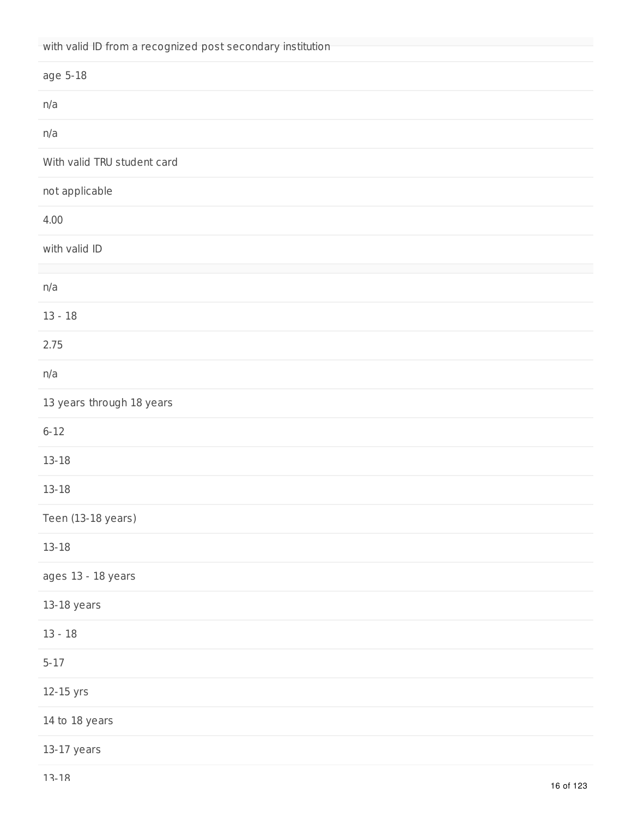| with valid ID from a recognized post secondary institution |
|------------------------------------------------------------|
| age 5-18                                                   |
| n/a                                                        |
| n/a                                                        |
| With valid TRU student card                                |
| not applicable                                             |
| 4.00                                                       |
| with valid ID                                              |
|                                                            |
| n/a                                                        |
| $13 - 18$                                                  |
| 2.75                                                       |
| n/a                                                        |
| 13 years through 18 years                                  |
| $6 - 12$                                                   |
| $13 - 18$                                                  |
| $13 - 18$                                                  |
| Teen (13-18 years)                                         |
| $13 - 18$                                                  |
| ages 13 - 18 years                                         |
| 13-18 years                                                |
| $13 - 18$                                                  |
| $5 - 17$                                                   |
| 12-15 yrs                                                  |
| 14 to 18 years                                             |
| $13-17$ years                                              |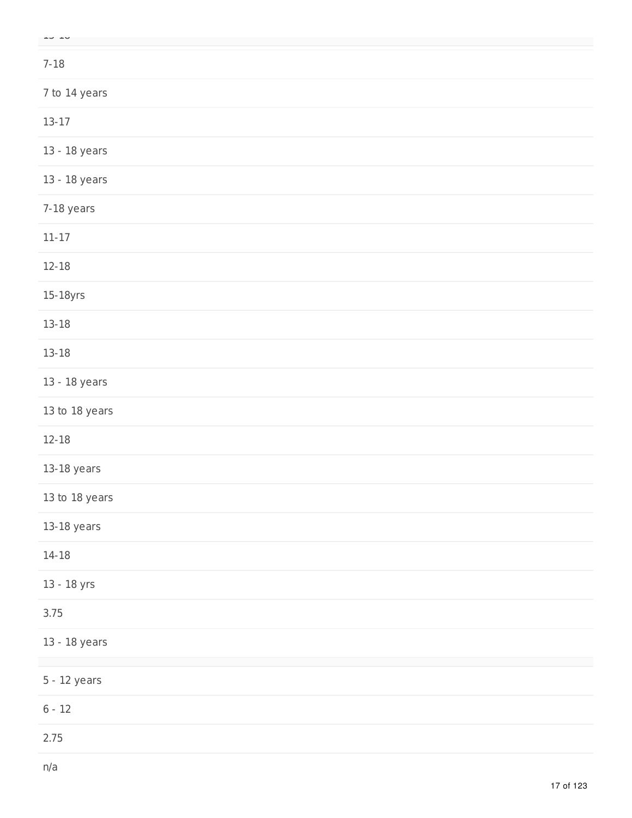| ن ب            |
|----------------|
| $7 - 18$       |
| 7 to 14 years  |
| $13 - 17$      |
| 13 - 18 years  |
| 13 - 18 years  |
| 7-18 years     |
| $11 - 17$      |
| $12 - 18$      |
| 15-18yrs       |
| $13 - 18$      |
| $13 - 18$      |
| 13 - 18 years  |
| 13 to 18 years |
| $12 - 18$      |
| $13-18$ years  |
| 13 to 18 years |
| $13-18$ years  |
| $14 - 18$      |
| 13 - 18 yrs    |
| 3.75           |
| 13 - 18 years  |
| $5 - 12$ years |
| $6 - 12$       |
| 2.75           |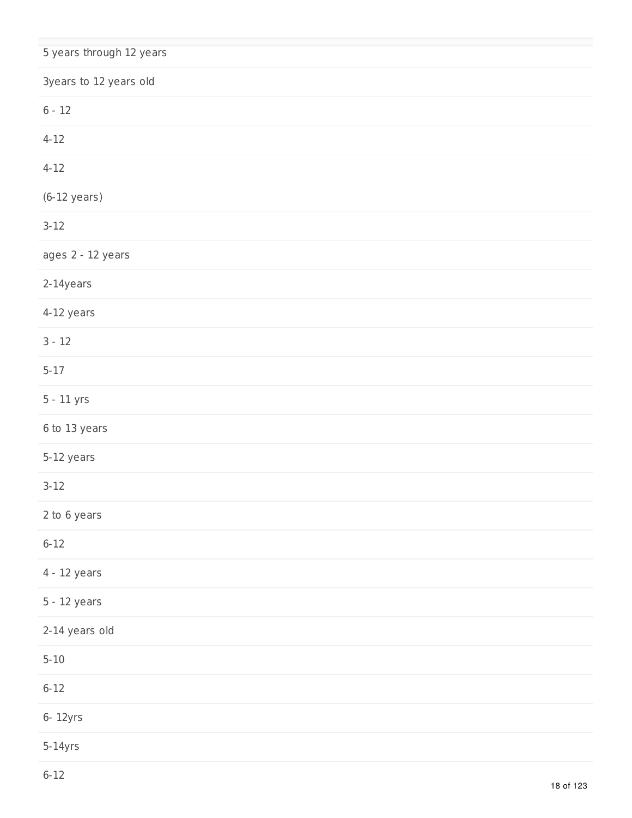| 5 years through 12 years |
|--------------------------|
| 3years to 12 years old   |
| $6 - 12$                 |
| $4 - 12$                 |
| $4 - 12$                 |
| $(6-12 \text{ years})$   |
| $3 - 12$                 |
| ages 2 - 12 years        |
| 2-14years                |
| 4-12 years               |
| $3 - 12$                 |
| $5 - 17$                 |
| 5 - 11 yrs               |
| 6 to 13 years            |
| 5-12 years               |
| $3 - 12$                 |
| 2 to 6 years             |
| $6 - 12$                 |
| 4 - 12 years             |
| 5 - 12 years             |
| 2-14 years old           |
| $5 - 10$                 |
| $6 - 12$                 |
| 6- 12yrs                 |
| $5-14yrs$                |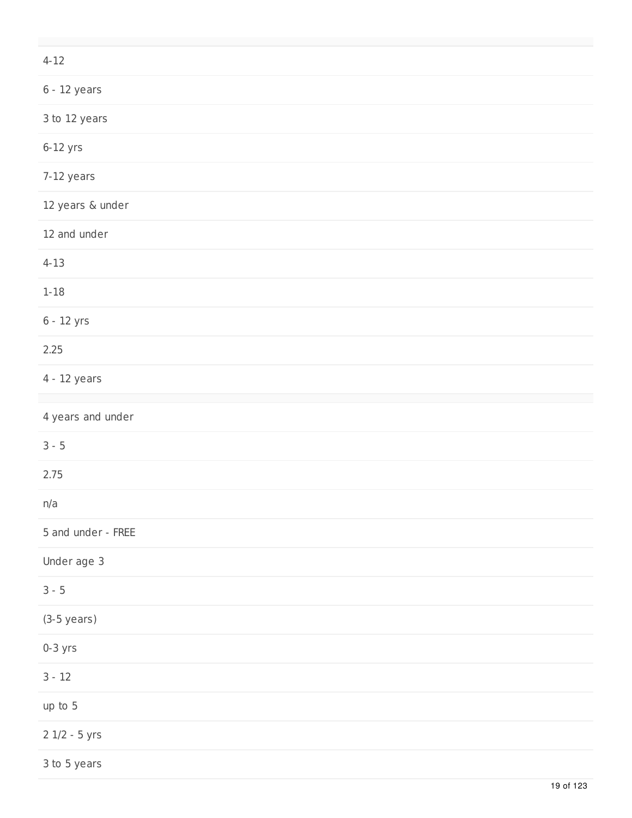| $4 - 12$           |
|--------------------|
| $6 - 12$ years     |
| 3 to 12 years      |
| $6-12$ yrs         |
| 7-12 years         |
| 12 years & under   |
| 12 and under       |
| $4 - 13$           |
| $1 - 18$           |
| 6 - 12 yrs         |
| 2.25               |
| $4 - 12$ years     |
| 4 years and under  |
| $3 - 5$            |
| 2.75               |
| n/a                |
| 5 and under - FREE |
| Under age 3        |
| $3 - 5$            |
| $(3-5$ years)      |
| $0-3$ yrs          |
| $3 - 12$           |
| up to 5            |
| $2$ $1/2 - 5$ yrs  |
| 3 to 5 years       |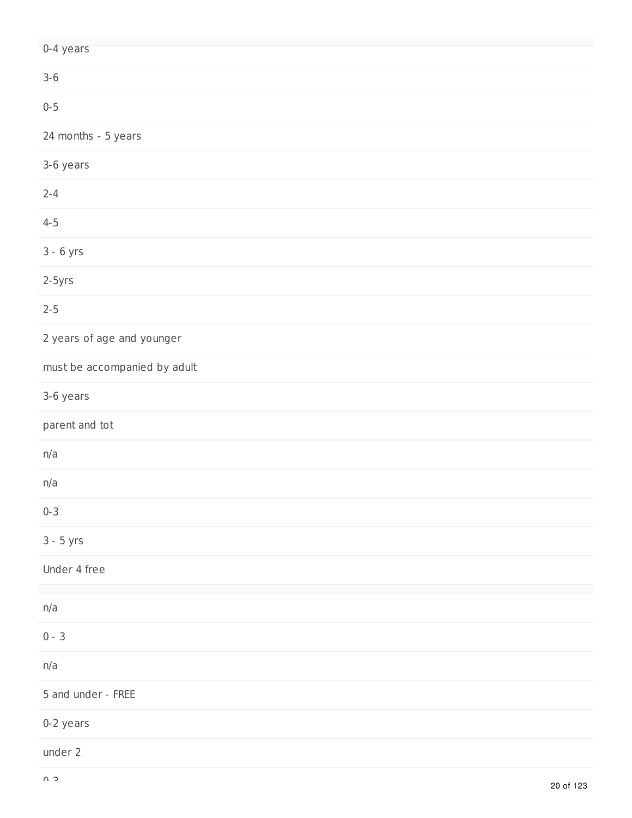| 0-4 years                    |
|------------------------------|
| $3 - 6$                      |
| $0 - 5$                      |
| 24 months - 5 years          |
| 3-6 years                    |
| $2 - 4$                      |
| $4 - 5$                      |
| $3 - 6$ yrs                  |
| $2-5yrs$                     |
| $2 - 5$                      |
| 2 years of age and younger   |
| must be accompanied by adult |
| 3-6 years                    |
| parent and tot               |
| n/a                          |
| n/a                          |
| $0 - 3$                      |
| $3 - 5$ yrs                  |
| Under 4 free                 |
| n/a                          |
| $0 - 3$                      |
| n/a                          |
| 5 and under - FREE           |
| 0-2 years                    |
| under 2                      |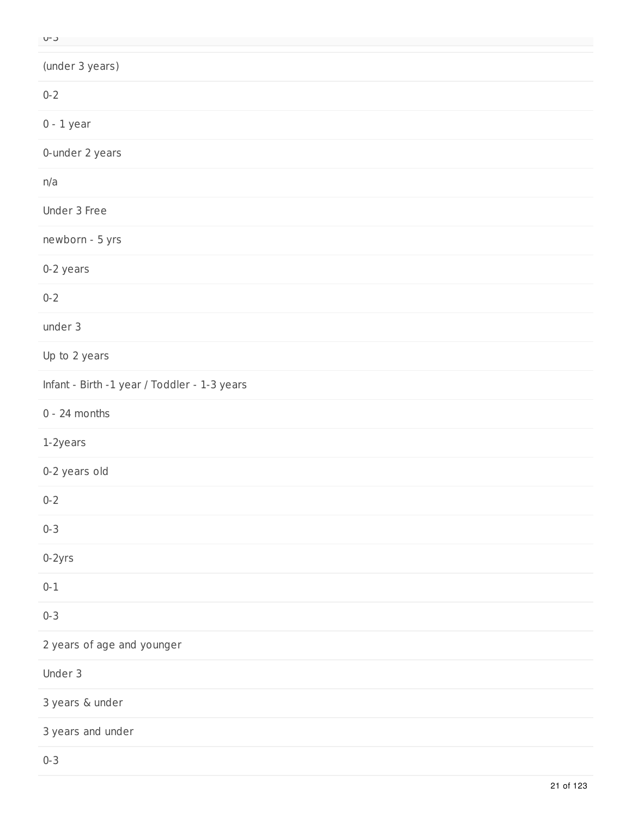| ×<br>٠ | л.<br>v |
|--------|---------|

| (under 3 years)                              |
|----------------------------------------------|
| $0 - 2$                                      |
| $0 - 1$ year                                 |
| 0-under 2 years                              |
| n/a                                          |
| Under 3 Free                                 |
| newborn - 5 yrs                              |
| 0-2 years                                    |
| $0 - 2$                                      |
| under 3                                      |
| Up to 2 years                                |
| Infant - Birth -1 year / Toddler - 1-3 years |
| $0 - 24$ months                              |
| 1-2years                                     |
| 0-2 years old                                |
| $0 - 2$                                      |
| $0 - 3$                                      |
| $0-2yrs$                                     |
| $0 - 1$                                      |
| $0 - 3$                                      |
| 2 years of age and younger                   |
| Under 3                                      |
| 3 years & under                              |
| 3 years and under                            |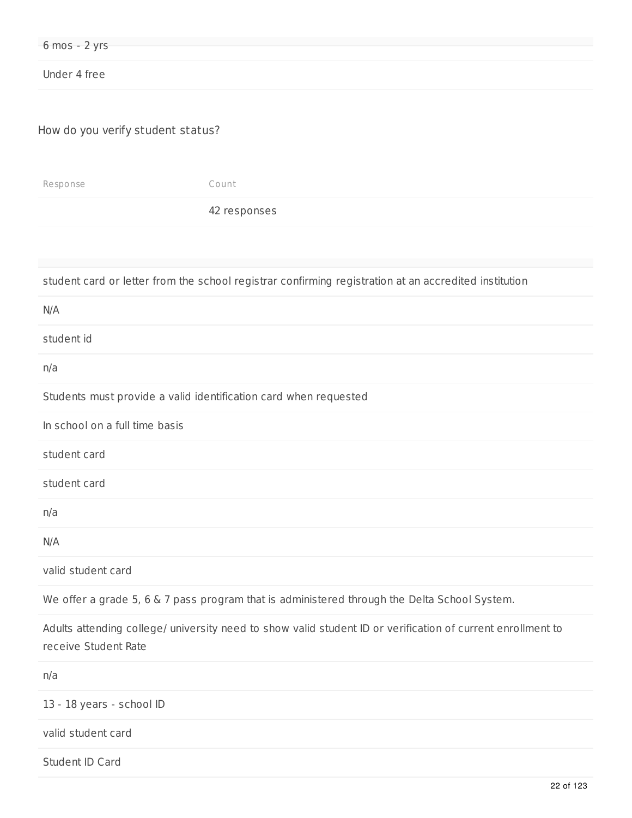| Under 4 free                      |                                                                                                       |  |
|-----------------------------------|-------------------------------------------------------------------------------------------------------|--|
| How do you verify student status? |                                                                                                       |  |
| Response                          | Count                                                                                                 |  |
|                                   | 42 responses                                                                                          |  |
|                                   |                                                                                                       |  |
|                                   | student card or letter from the school registrar confirming registration at an accredited institution |  |
| N/A                               |                                                                                                       |  |
| student id                        |                                                                                                       |  |
| n/a                               |                                                                                                       |  |
|                                   | Students must provide a valid identification card when requested                                      |  |
| In school on a full time basis    |                                                                                                       |  |
| student card                      |                                                                                                       |  |
| student card                      |                                                                                                       |  |
| n/a                               |                                                                                                       |  |

N/A

valid student card

6 mos - 2 yrs

We offer a grade 5, 6 & 7 pass program that is administered through the Delta School System.

Adults attending college/ university need to show valid student ID or verification of current enrollment to receive Student Rate

n/a

13 - 18 years - school ID

valid student card

Student ID Card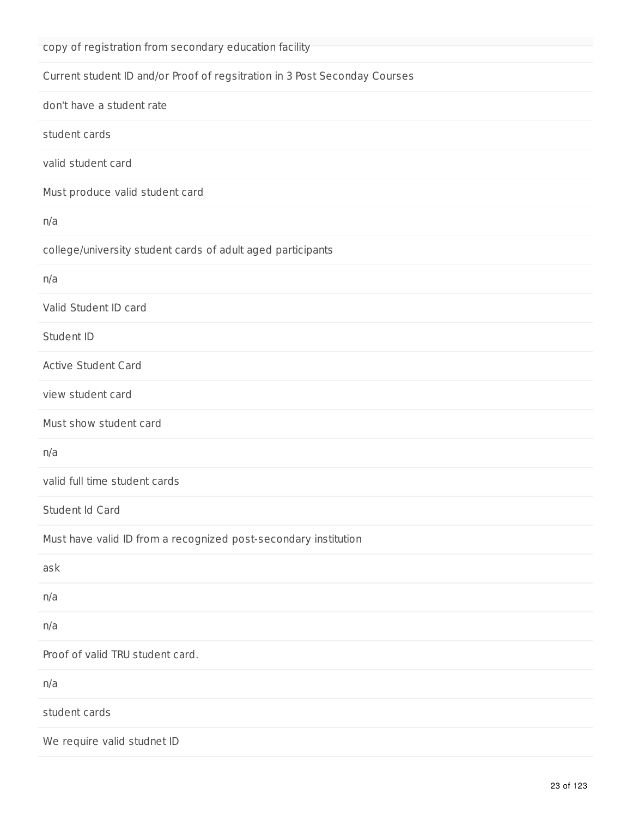| copy of registration from secondary education facility                     |
|----------------------------------------------------------------------------|
| Current student ID and/or Proof of regsitration in 3 Post Seconday Courses |
| don't have a student rate                                                  |
| student cards                                                              |
| valid student card                                                         |
| Must produce valid student card                                            |
| n/a                                                                        |
| college/university student cards of adult aged participants                |
| n/a                                                                        |
| Valid Student ID card                                                      |
| Student ID                                                                 |
| <b>Active Student Card</b>                                                 |
| view student card                                                          |
| Must show student card                                                     |
| n/a                                                                        |
| valid full time student cards                                              |
| Student Id Card                                                            |
| Must have valid ID from a recognized post-secondary institution            |
| ask                                                                        |
| n/a                                                                        |
| n/a                                                                        |
| Proof of valid TRU student card.                                           |
| n/a                                                                        |
| student cards                                                              |
| We require valid studnet ID                                                |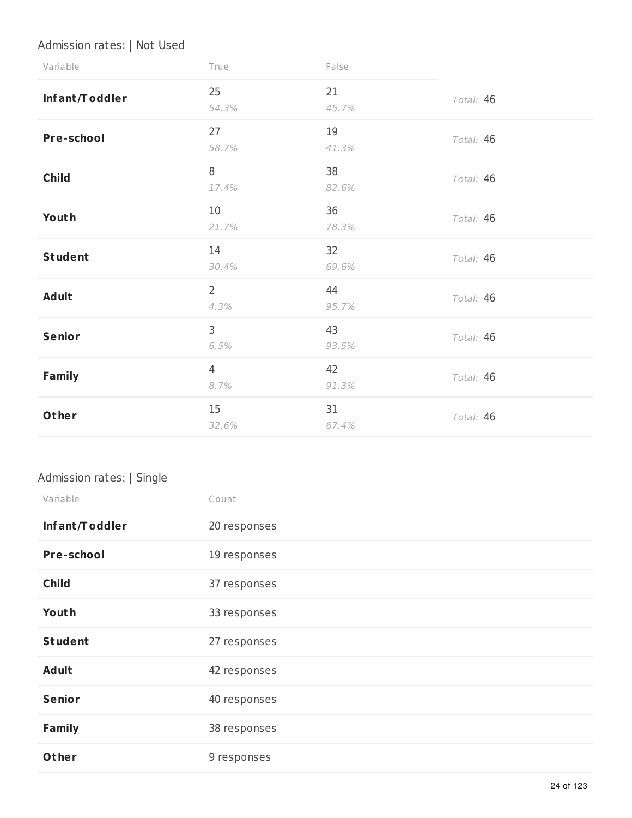## Admission rates: | Not Used

| Variable          | True                   | False       |           |
|-------------------|------------------------|-------------|-----------|
| Infant/Toddler    | 25<br>54.3%            | 21<br>45.7% | Total: 46 |
| <b>Pre-school</b> | 27<br>58.7%            | 19<br>41.3% | Total: 46 |
| <b>Child</b>      | 8<br>17.4%             | 38<br>82.6% | Total: 46 |
| Youth             | 10<br>21.7%            | 36<br>78.3% | Total: 46 |
| <b>Student</b>    | 14<br>30.4%            | 32<br>69.6% | Total: 46 |
| <b>Adult</b>      | $\overline{2}$<br>4.3% | 44<br>95.7% | Total: 46 |
| Senior            | 3<br>6.5%              | 43<br>93.5% | Total: 46 |
| <b>Family</b>     | $\overline{4}$<br>8.7% | 42<br>91.3% | Total: 46 |
| Other             | 15<br>32.6%            | 31<br>67.4% | Total: 46 |

## Admission rates: | Single

| Variable       | Count        |
|----------------|--------------|
| Infant/Toddler | 20 responses |
| Pre-school     | 19 responses |
| <b>Child</b>   | 37 responses |
| Youth          | 33 responses |
| <b>Student</b> | 27 responses |
| <b>Adult</b>   | 42 responses |
| <b>Senior</b>  | 40 responses |
| <b>Family</b>  | 38 responses |
| Other          | 9 responses  |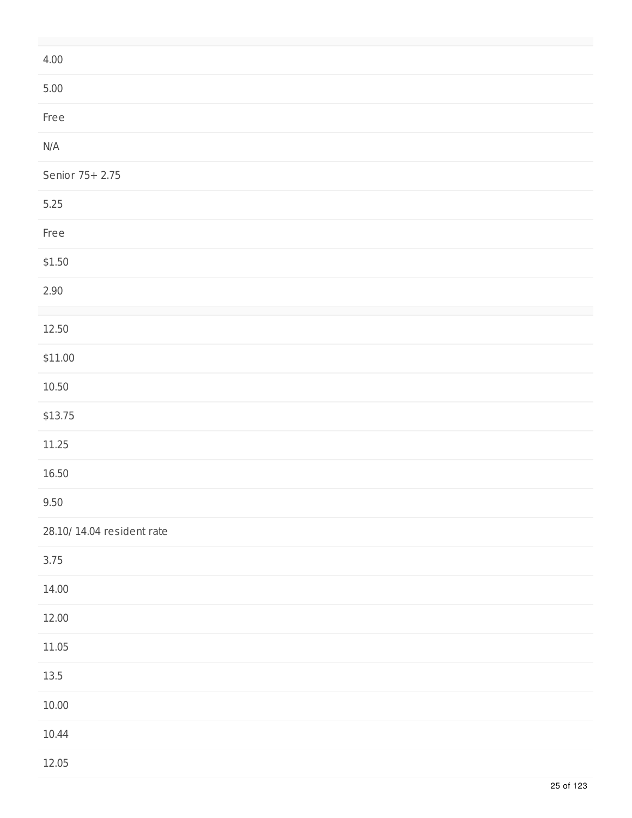| 4.00                       |
|----------------------------|
| $5.00$                     |
| Free                       |
| N/A                        |
| Senior 75+ 2.75            |
| 5.25                       |
| Free                       |
| \$1.50                     |
| 2.90                       |
| 12.50                      |
| \$11.00                    |
| 10.50                      |
| \$13.75                    |
| 11.25                      |
| 16.50                      |
| 9.50                       |
| 28.10/ 14.04 resident rate |
| 3.75                       |
| 14.00                      |
| 12.00                      |
| 11.05                      |
| $13.5\,$                   |
| $10.00\,$                  |
| 10.44                      |
| 12.05                      |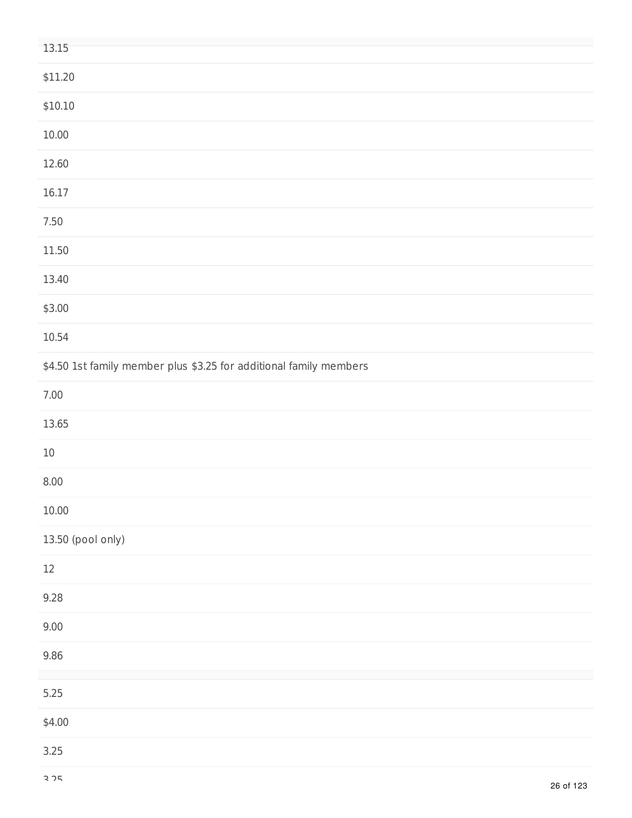| 13.15                                                              |
|--------------------------------------------------------------------|
| \$11.20                                                            |
| \$10.10                                                            |
| 10.00                                                              |
| 12.60                                                              |
| 16.17                                                              |
| $7.50\,$                                                           |
| 11.50                                                              |
| 13.40                                                              |
| \$3.00                                                             |
| 10.54                                                              |
| \$4.50 1st family member plus \$3.25 for additional family members |
| $7.00\,$                                                           |
| 13.65                                                              |
| $10\,$                                                             |
| $8.00\,$                                                           |
| 10.00                                                              |
| 13.50 (pool only)                                                  |
| $12\,$                                                             |
| 9.28                                                               |
| 9.00                                                               |
| 9.86                                                               |
| $5.25$                                                             |
| \$4.00                                                             |
| $3.25$                                                             |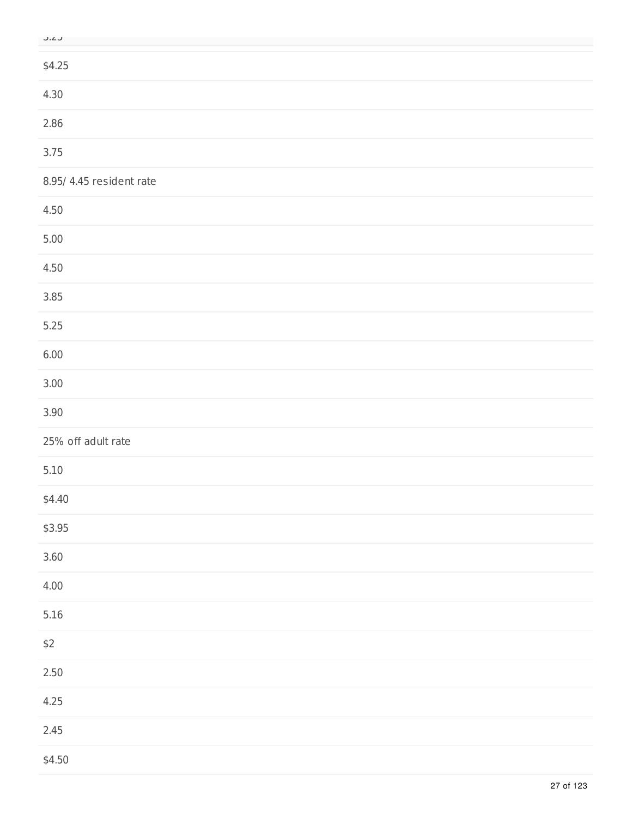| M.<br>۰. | M.<br>۰. |
|----------|----------|

| $- - -$                  |
|--------------------------|
| \$4.25                   |
| 4.30                     |
| 2.86                     |
| 3.75                     |
| 8.95/ 4.45 resident rate |
| 4.50                     |
| 5.00                     |
| 4.50                     |
| 3.85                     |
| 5.25                     |
| 6.00                     |
| 3.00                     |
| 3.90                     |
| 25% off adult rate       |
| $5.10$                   |
| \$4.40                   |
| \$3.95                   |
| $3.60$                   |
| 4.00                     |
| 5.16                     |
| $$2$$                    |
| $2.50\,$                 |
| 4.25                     |
| 2.45                     |
| \$4.50                   |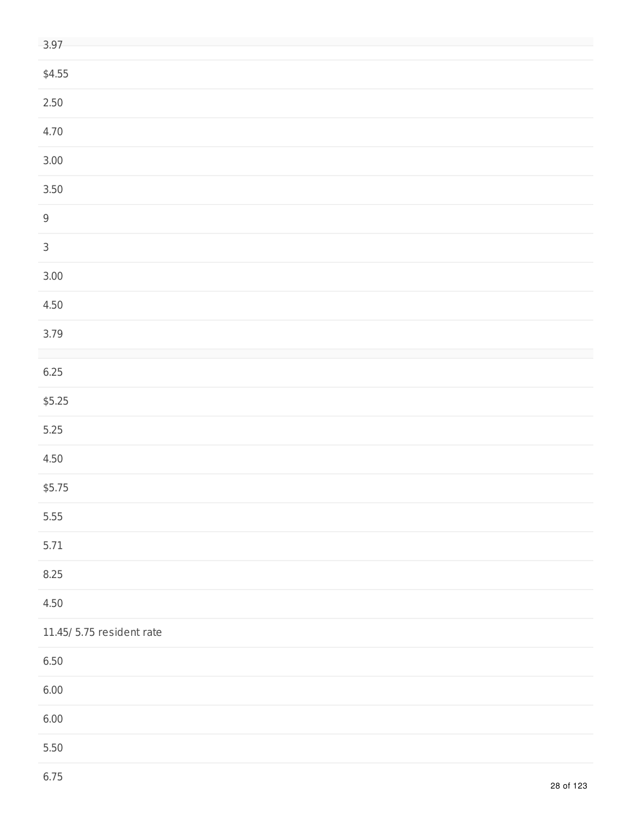| 3.97                      |  |
|---------------------------|--|
| \$4.55                    |  |
| $2.50\,$                  |  |
| 4.70                      |  |
| $3.00$                    |  |
| $3.50$                    |  |
| $\mathsf 9$               |  |
| $\mathsf 3$               |  |
| $3.00$                    |  |
| 4.50                      |  |
| 3.79                      |  |
| 6.25                      |  |
| \$5.25                    |  |
| $5.25$                    |  |
| 4.50                      |  |
| \$5.75                    |  |
| 5.55                      |  |
| 5.71                      |  |
| 8.25                      |  |
| 4.50                      |  |
| 11.45/ 5.75 resident rate |  |
| $6.50\,$                  |  |
| 6.00                      |  |
| 6.00                      |  |
| $5.50\,$                  |  |
|                           |  |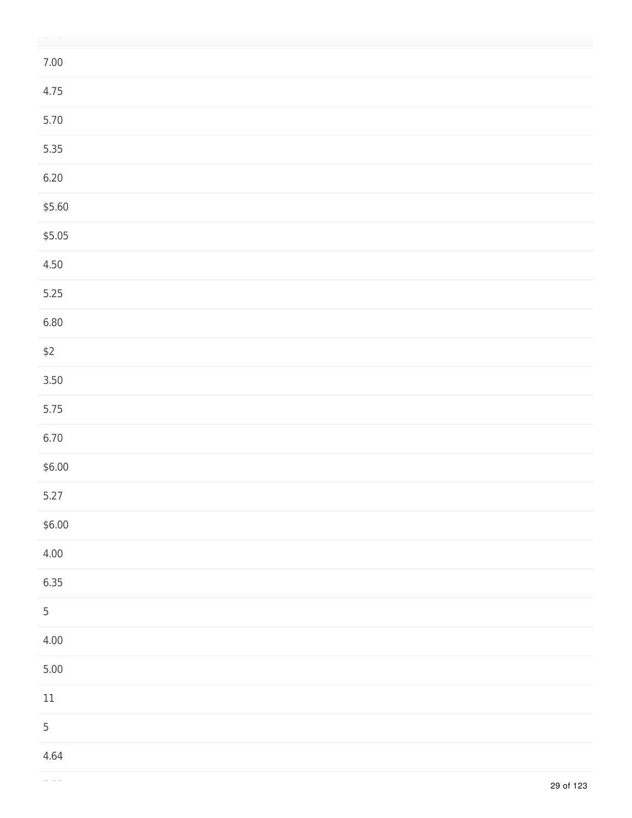| $7.00\,$       |  |
|----------------|--|
| 4.75           |  |
| 5.70           |  |
| 5.35           |  |
| 6.20           |  |
| \$5.60         |  |
| \$5.05         |  |
| 4.50           |  |
| $5.25$         |  |
| 6.80           |  |
| $$2$$          |  |
| $3.50$         |  |
| 5.75           |  |
| 6.70           |  |
| \$6.00         |  |
| 5.27           |  |
| \$6.00         |  |
| 4.00           |  |
| 6.35           |  |
| $\overline{5}$ |  |
| 4.00           |  |
| $5.00$         |  |
| $11\,$         |  |
| $\overline{5}$ |  |
| 4.64           |  |

5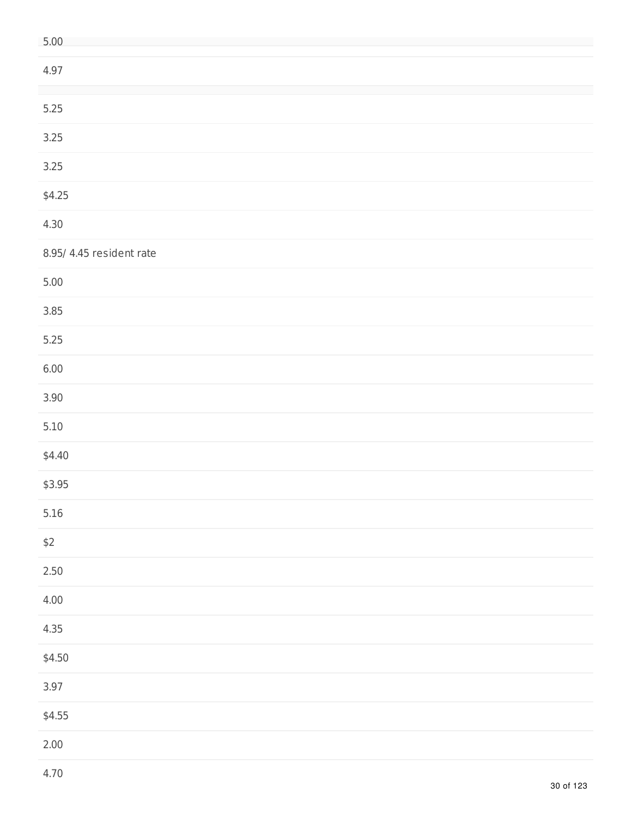| 5.00                     |
|--------------------------|
| 4.97                     |
| $5.25$                   |
| 3.25                     |
| 3.25                     |
| \$4.25                   |
| 4.30                     |
| 8.95/ 4.45 resident rate |
| $5.00\,$                 |
| 3.85                     |
| 5.25                     |
| 6.00                     |
| 3.90                     |
| $5.10$                   |
| \$4.40                   |
| \$3.95                   |
| $5.16$                   |
| $$2$$                    |
| $2.50\,$                 |
| 4.00                     |
| 4.35                     |
| \$4.50                   |
| 3.97                     |
| \$4.55                   |
| 2.00                     |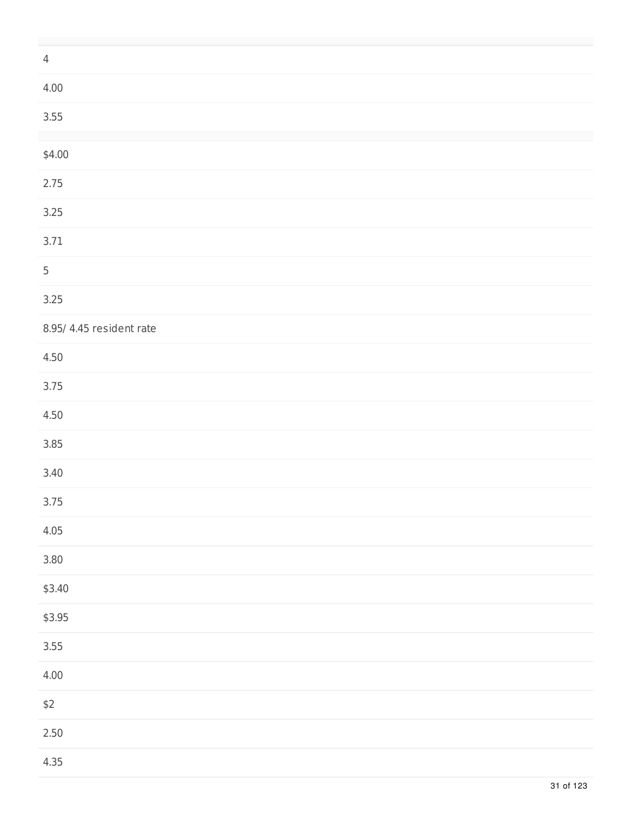| $\overline{4}$           |  |  |  |
|--------------------------|--|--|--|
| 4.00                     |  |  |  |
| 3.55                     |  |  |  |
|                          |  |  |  |
| \$4.00                   |  |  |  |
| 2.75                     |  |  |  |
| 3.25                     |  |  |  |
| 3.71                     |  |  |  |
| $\sqrt{5}$               |  |  |  |
| 3.25                     |  |  |  |
| 8.95/ 4.45 resident rate |  |  |  |
| 4.50                     |  |  |  |
| 3.75                     |  |  |  |
| 4.50                     |  |  |  |
| 3.85                     |  |  |  |
| 3.40                     |  |  |  |
| 3.75                     |  |  |  |
| 4.05                     |  |  |  |
| $3.80$                   |  |  |  |
| \$3.40                   |  |  |  |
| \$3.95                   |  |  |  |
| 3.55                     |  |  |  |
| 4.00                     |  |  |  |
| $$2$$                    |  |  |  |
| $2.50\,$                 |  |  |  |
| 4.35                     |  |  |  |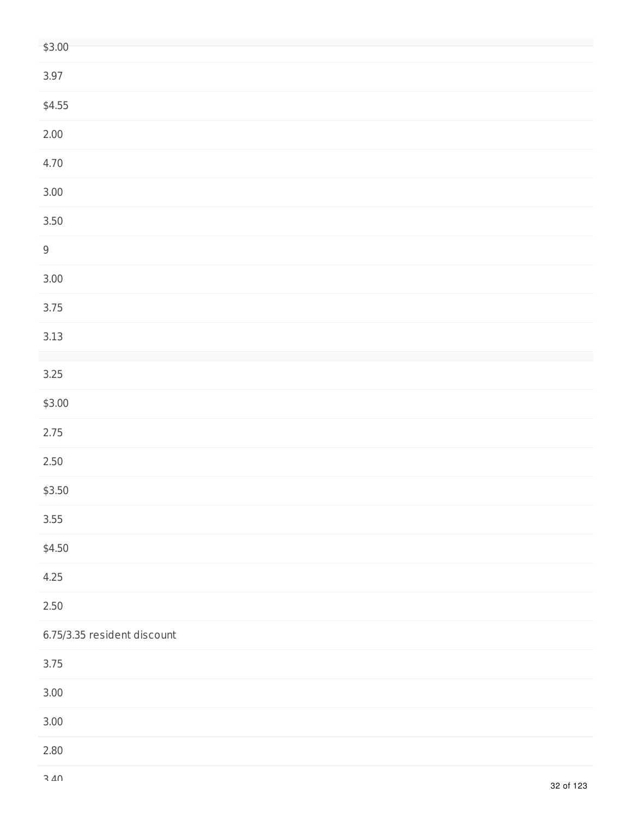| \$3.00                      |
|-----------------------------|
| 3.97                        |
| \$4.55                      |
| 2.00                        |
| 4.70                        |
| $3.00\,$                    |
| $3.50\,$                    |
| $\mathsf 9$                 |
| $3.00$                      |
| 3.75                        |
| $3.13$                      |
| $3.25$                      |
| \$3.00                      |
| 2.75                        |
| $2.50\,$                    |
| \$3.50                      |
| 3.55                        |
| \$4.50                      |
| 4.25                        |
| $2.50\,$                    |
| 6.75/3.35 resident discount |
| 3.75                        |
| $3.00\,$                    |
| 3.00                        |
| 2.80                        |
|                             |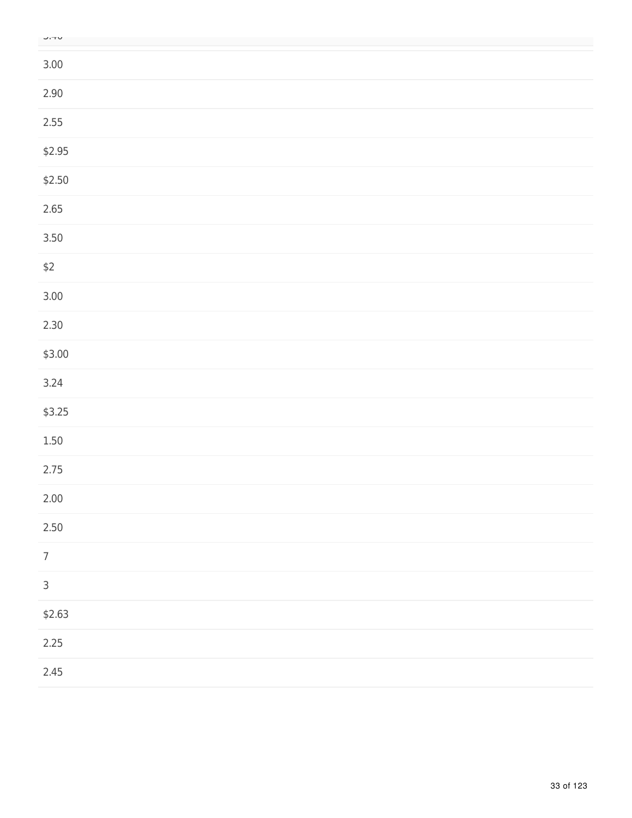| M<br>۰. | ۰.<br>٠ |
|---------|---------|

| $- \cdot \cdot -$ |  |  |
|-------------------|--|--|
| $3.00\,$          |  |  |
| $2.90\,$          |  |  |
| 2.55              |  |  |
| \$2.95            |  |  |
| \$2.50            |  |  |
| 2.65              |  |  |
| $3.50$            |  |  |
| $$2$$             |  |  |
| $3.00$            |  |  |
| 2.30              |  |  |
| \$3.00            |  |  |
| 3.24              |  |  |
| \$3.25            |  |  |
| $1.50\,$          |  |  |
| 2.75              |  |  |
| 2.00              |  |  |
| 2.50              |  |  |
| $\boldsymbol{7}$  |  |  |
| $\mathsf 3$       |  |  |
| \$2.63            |  |  |
| 2.25              |  |  |
| 2.45              |  |  |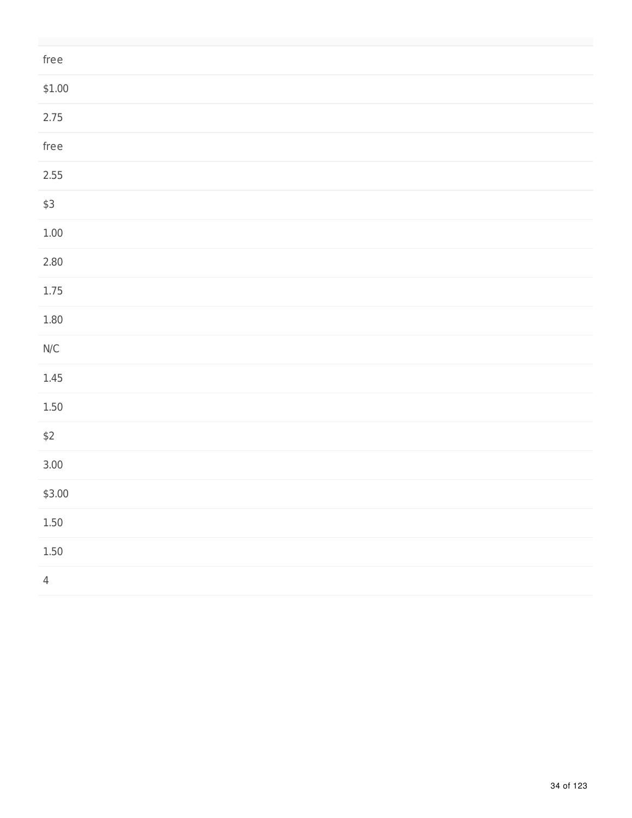| ${\sf free}$                                             |  |
|----------------------------------------------------------|--|
| \$1.00                                                   |  |
| 2.75                                                     |  |
| ${\sf free}$                                             |  |
| 2.55                                                     |  |
| $$3$$                                                    |  |
| $1.00\,$                                                 |  |
| 2.80                                                     |  |
| $1.75\,$                                                 |  |
| $1.80\,$                                                 |  |
| $\ensuremath{\mathsf{N}}\xspace/\ensuremath{\mathsf{C}}$ |  |
| $1.45\,$                                                 |  |
| $1.50\,$                                                 |  |
| $$2$$                                                    |  |
| $3.00$                                                   |  |
| \$3.00                                                   |  |
| $1.50\,$                                                 |  |
| $1.50\,$                                                 |  |
| $\overline{4}$                                           |  |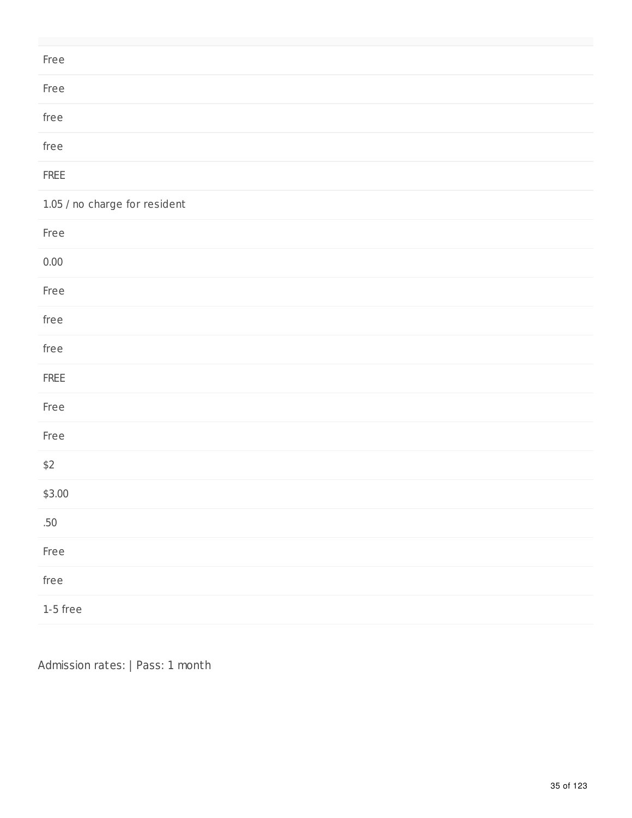| Free                          |
|-------------------------------|
| Free                          |
| free                          |
| free                          |
| ${\sf FREE}$                  |
| 1.05 / no charge for resident |
| Free                          |
| $0.00\,$                      |
| Free                          |
| free                          |
| free                          |
| ${\sf FREE}$                  |
| Free                          |
| Free                          |
| $$2$$                         |
| \$3.00                        |
| .50                           |

Admission rates: | Pass: 1 month

Free

free

1-5 free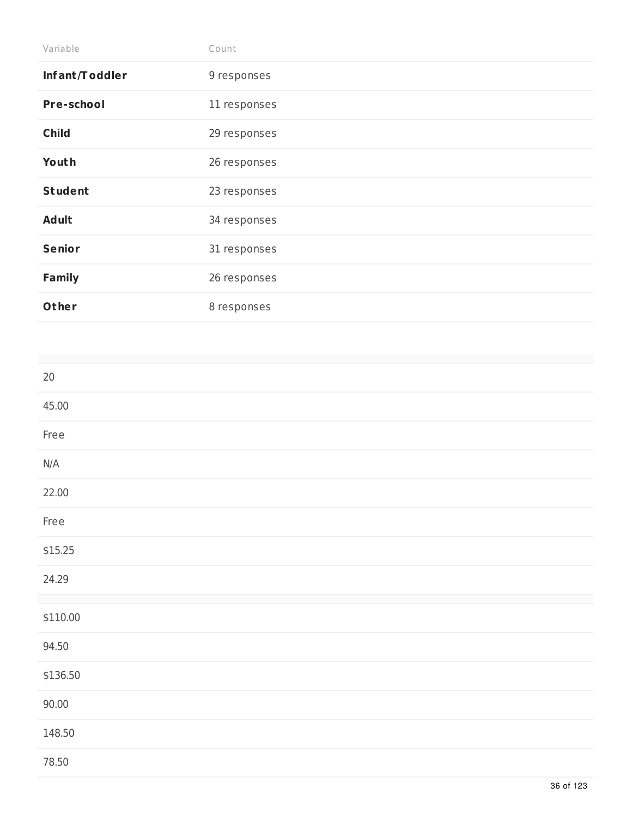| Variable          | Count        |
|-------------------|--------------|
| Infant/Toddler    | 9 responses  |
| <b>Pre-school</b> | 11 responses |
| <b>Child</b>      | 29 responses |
| Youth             | 26 responses |
| <b>Student</b>    | 23 responses |
| <b>Adult</b>      | 34 responses |
| <b>Senior</b>     | 31 responses |
| <b>Family</b>     | 26 responses |
| Other             | 8 responses  |

| $20\,$   |  |  |
|----------|--|--|
| 45.00    |  |  |
| Free     |  |  |
| N/A      |  |  |
| 22.00    |  |  |
| Free     |  |  |
| \$15.25  |  |  |
| 24.29    |  |  |
| \$110.00 |  |  |
| 94.50    |  |  |
| \$136.50 |  |  |
| 90.00    |  |  |
| 148.50   |  |  |
| 78.50    |  |  |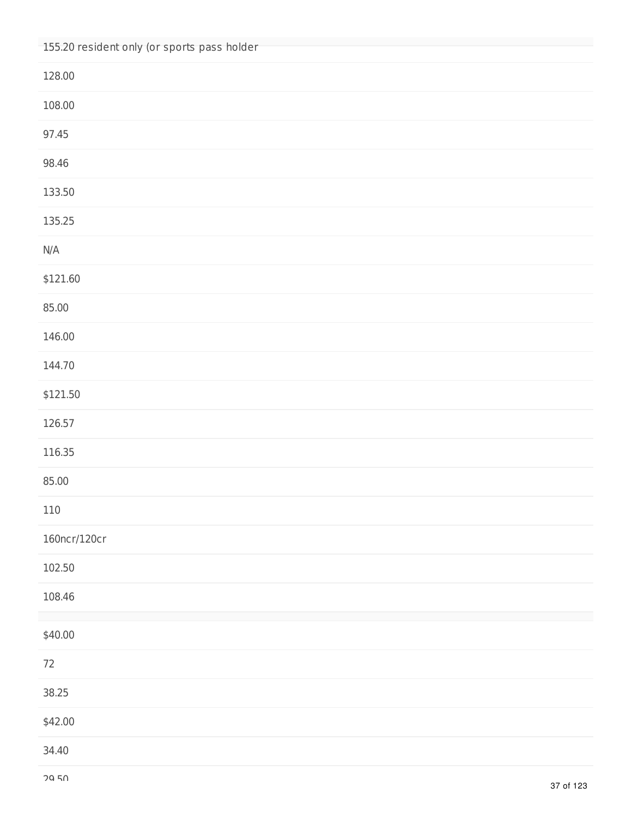| 155.20 resident only (or sports pass holder |
|---------------------------------------------|
| 128.00                                      |
| 108.00                                      |
| 97.45                                       |
| 98.46                                       |
| 133.50                                      |
| 135.25                                      |
| $\mathsf{N}/\mathsf{A}$                     |
| \$121.60                                    |
| 85.00                                       |
| 146.00                                      |
| 144.70                                      |
| \$121.50                                    |
| 126.57                                      |
| 116.35                                      |
| 85.00                                       |
| 110                                         |
| 160ncr/120cr                                |
| 102.50                                      |
| 108.46                                      |
| \$40.00                                     |
| $72\,$                                      |
| 38.25                                       |
| \$42.00                                     |
| 34.40                                       |
|                                             |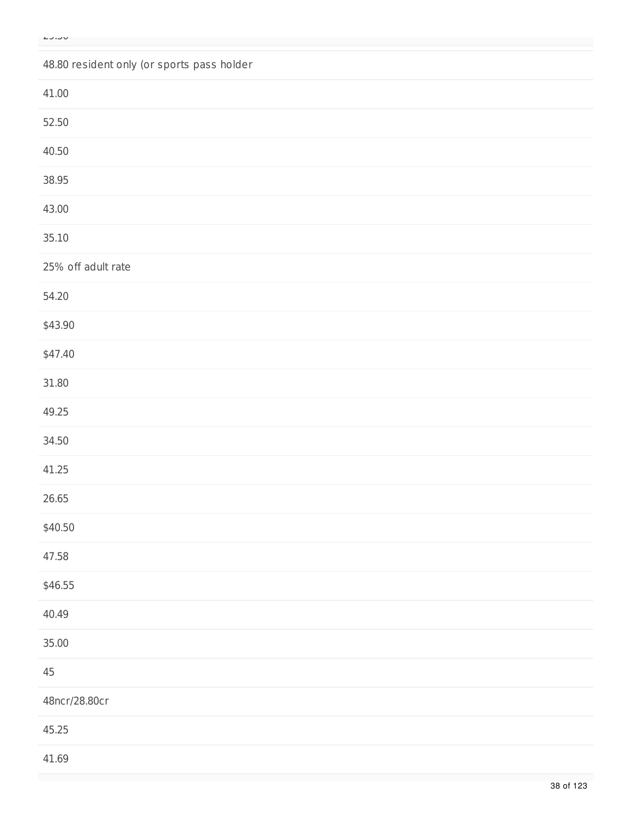## 48.80 resident only (or sports pass holder

| 41.00              |  |
|--------------------|--|
| 52.50              |  |
| 40.50              |  |
| 38.95              |  |
| 43.00              |  |
| 35.10              |  |
| 25% off adult rate |  |
| 54.20              |  |
| \$43.90            |  |
| \$47.40            |  |
| 31.80              |  |
| 49.25              |  |
| 34.50              |  |
| 41.25              |  |
| 26.65              |  |
| \$40.50            |  |
| 47.58              |  |
| \$46.55            |  |
| 40.49              |  |
| 35.00              |  |
| $45\,$             |  |
| 48ncr/28.80cr      |  |
| 45.25              |  |
| 41.69              |  |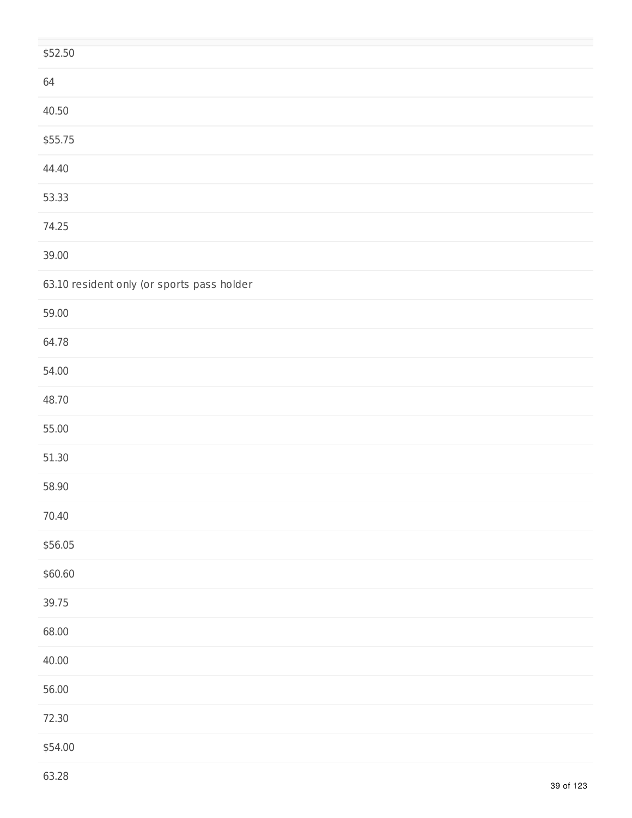| \$52.50                                    |
|--------------------------------------------|
| 64                                         |
| 40.50                                      |
| \$55.75                                    |
| 44.40                                      |
| 53.33                                      |
| 74.25                                      |
| 39.00                                      |
| 63.10 resident only (or sports pass holder |
| 59.00                                      |
| 64.78                                      |
| 54.00                                      |
| 48.70                                      |
| 55.00                                      |
| 51.30                                      |
| 58.90                                      |
| 70.40                                      |
| \$56.05                                    |
| \$60.60                                    |
| 39.75                                      |
| 68.00                                      |
| 40.00                                      |
| 56.00                                      |
| 72.30                                      |
| \$54.00                                    |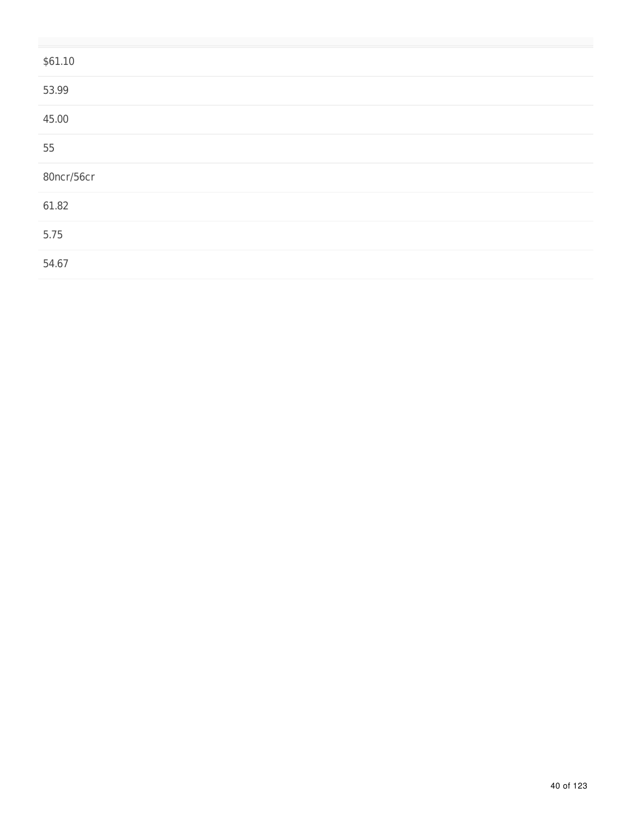| \$61.10    |  |
|------------|--|
| 53.99      |  |
| 45.00      |  |
| 55         |  |
| 80ncr/56cr |  |
| 61.82      |  |
| 5.75       |  |
| 54.67      |  |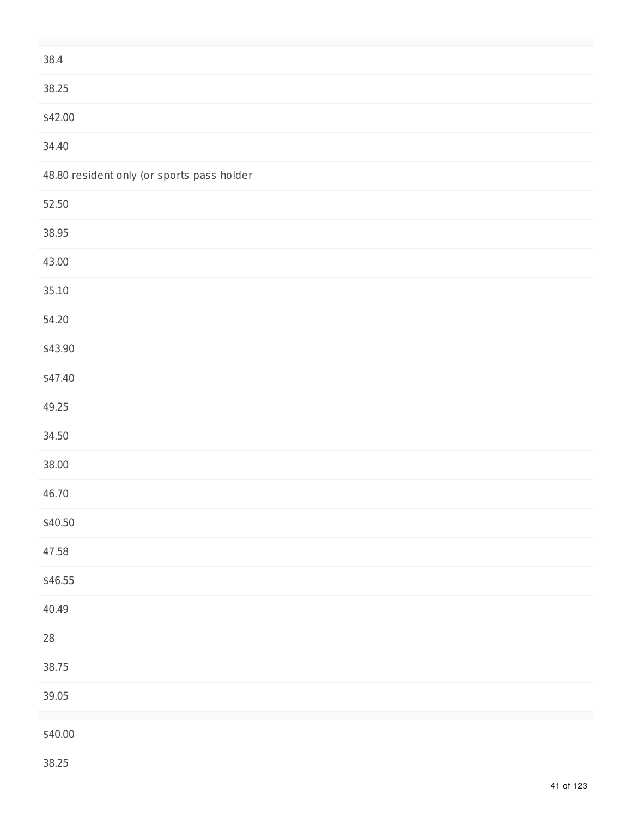| 38.4                                       |  |
|--------------------------------------------|--|
| 38.25                                      |  |
| \$42.00                                    |  |
| 34.40                                      |  |
| 48.80 resident only (or sports pass holder |  |
| 52.50                                      |  |
| 38.95                                      |  |
| 43.00                                      |  |
| 35.10                                      |  |
| 54.20                                      |  |
| \$43.90                                    |  |
| \$47.40                                    |  |
| 49.25                                      |  |
| 34.50                                      |  |
| 38.00                                      |  |
| 46.70                                      |  |
| \$40.50                                    |  |
| 47.58                                      |  |
| \$46.55                                    |  |
| 40.49                                      |  |
| ${\bf 28}$                                 |  |
| 38.75                                      |  |
| 39.05                                      |  |
| \$40.00                                    |  |
| 38.25                                      |  |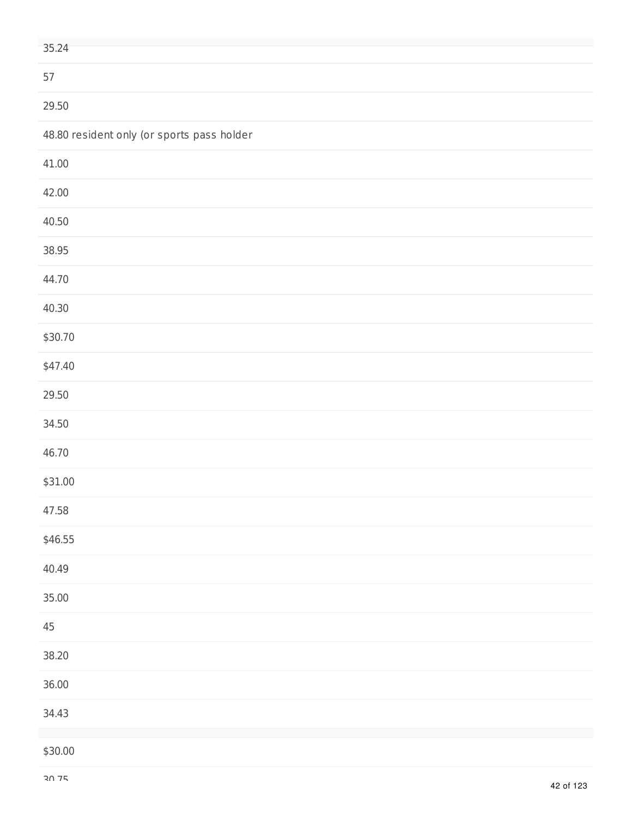| 35.24                                      |
|--------------------------------------------|
| 57                                         |
| 29.50                                      |
| 48.80 resident only (or sports pass holder |
| 41.00                                      |
| 42.00                                      |
| 40.50                                      |
| 38.95                                      |
| 44.70                                      |
| 40.30                                      |
| \$30.70                                    |
| \$47.40                                    |
| 29.50                                      |
| 34.50                                      |
| 46.70                                      |
| \$31.00                                    |
| 47.58                                      |
| \$46.55                                    |
| 40.49                                      |
| 35.00                                      |
| $45\,$                                     |
| 38.20                                      |
| 36.00                                      |
| 34.43                                      |
| \$30.00                                    |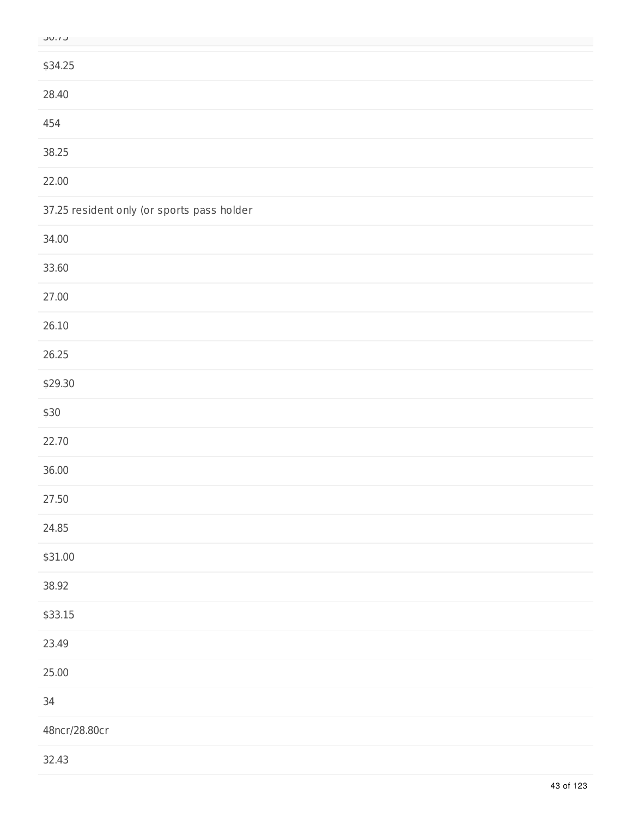| ×.<br>۰.<br>×<br>٠ | ۰. |
|--------------------|----|
|                    |    |

| $\sim$                                     |
|--------------------------------------------|
| \$34.25                                    |
| 28.40                                      |
| 454                                        |
| 38.25                                      |
| 22.00                                      |
| 37.25 resident only (or sports pass holder |
| 34.00                                      |
| 33.60                                      |
| 27.00                                      |
| 26.10                                      |
| 26.25                                      |
| \$29.30                                    |
| \$30                                       |
| 22.70                                      |
| 36.00                                      |
| 27.50                                      |
| 24.85                                      |
| \$31.00                                    |
| 38.92                                      |
| \$33.15                                    |
| 23.49                                      |
| 25.00                                      |
| 34                                         |
| 48ncr/28.80cr                              |
|                                            |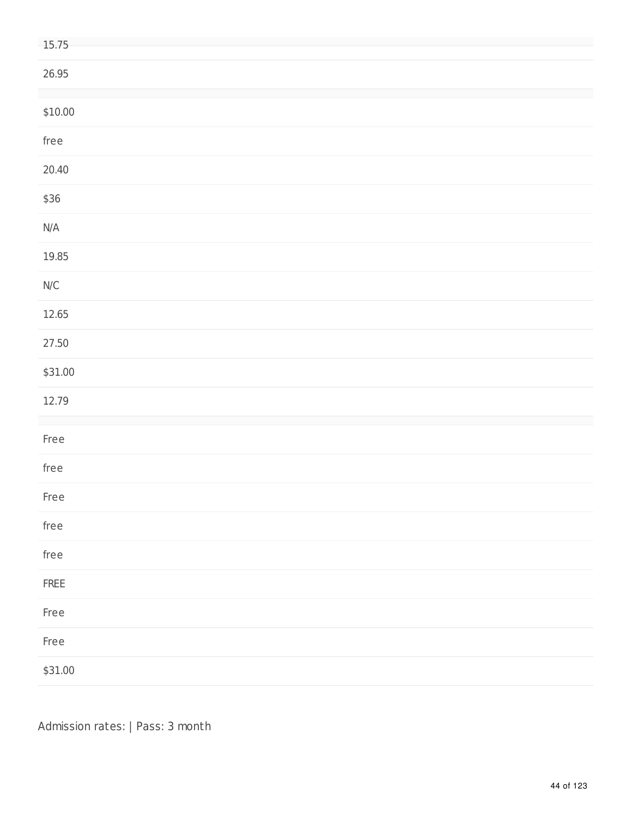| 15.75                                                    |
|----------------------------------------------------------|
| 26.95                                                    |
| \$10.00                                                  |
| free                                                     |
| 20.40                                                    |
| \$36                                                     |
| $\mathsf{N}/\mathsf{A}$                                  |
| 19.85                                                    |
| $\ensuremath{\mathsf{N}}\xspace/\ensuremath{\mathsf{C}}$ |
| 12.65                                                    |
| 27.50                                                    |
| \$31.00                                                  |
| 12.79                                                    |
| Free                                                     |
| free                                                     |
| Free                                                     |
| ${\sf free}$                                             |
| ${\sf free}$                                             |
| ${\sf FREE}$                                             |
| Free                                                     |
| Free                                                     |
| \$31.00                                                  |

Admission rates: | Pass: 3 month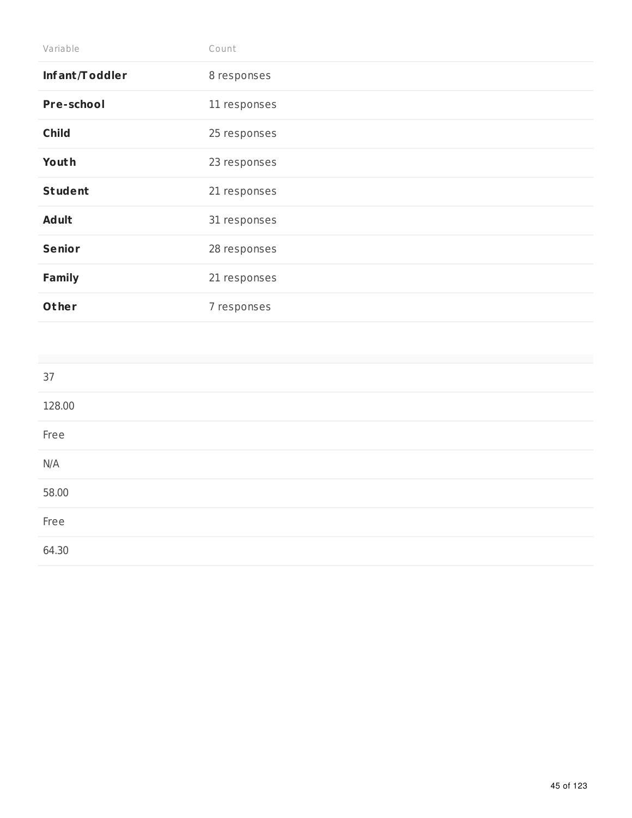| Variable       | Count        |
|----------------|--------------|
| Infant/Toddler | 8 responses  |
| Pre-school     | 11 responses |
| <b>Child</b>   | 25 responses |
| Youth          | 23 responses |
| <b>Student</b> | 21 responses |
| <b>Adult</b>   | 31 responses |
| <b>Senior</b>  | 28 responses |
| <b>Family</b>  | 21 responses |
| Other          | 7 responses  |

| 37     |  |  |
|--------|--|--|
| 128.00 |  |  |
| Free   |  |  |
| N/A    |  |  |
| 58.00  |  |  |
| Free   |  |  |
| 64.30  |  |  |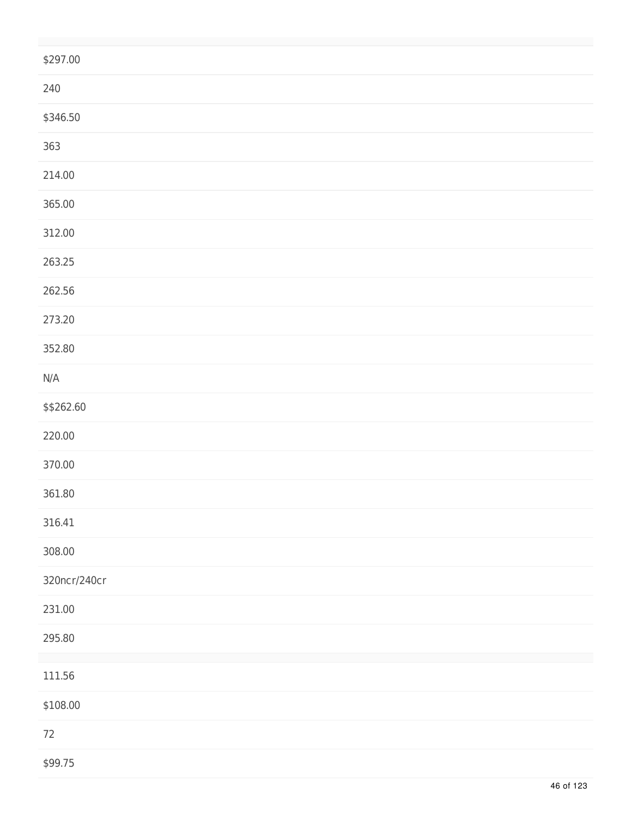| \$297.00     |
|--------------|
| 240          |
| \$346.50     |
| 363          |
| 214.00       |
| 365.00       |
| 312.00       |
| 263.25       |
| 262.56       |
| 273.20       |
| 352.80       |
| N/A          |
| \$\$262.60   |
| 220.00       |
| 370.00       |
| 361.80       |
| 316.41       |
| 308.00       |
| 320ncr/240cr |
| 231.00       |
| 295.80       |
| 111.56       |
| \$108.00     |
| $72\,$       |
| \$99.75      |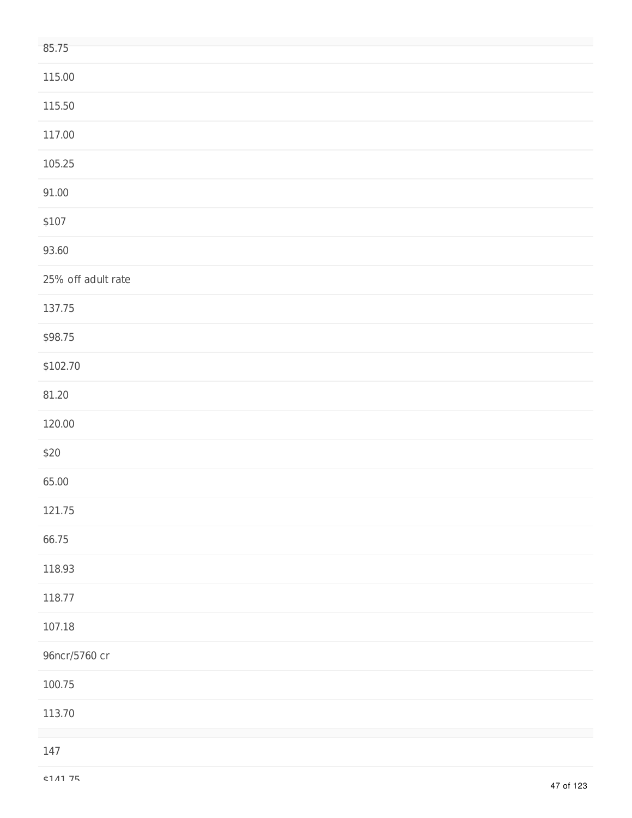| 85.75              |
|--------------------|
| 115.00             |
| 115.50             |
| 117.00             |
| 105.25             |
| 91.00              |
| \$107              |
| 93.60              |
| 25% off adult rate |
| 137.75             |
| \$98.75            |
| \$102.70           |
| 81.20              |
| 120.00             |
| \$20               |
| 65.00              |
| 121.75             |
| 66.75              |
| 118.93             |
| 118.77             |
| 107.18             |
| 96ncr/5760 cr      |
| 100.75             |
| 113.70             |
| 147                |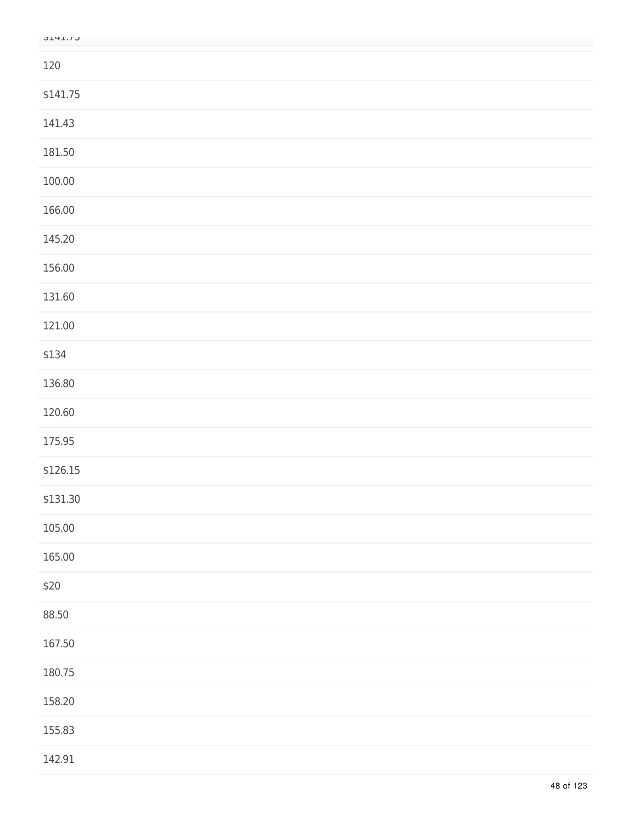| 120      |  |
|----------|--|
| \$141.75 |  |
| 141.43   |  |
| 181.50   |  |
| 100.00   |  |
| 166.00   |  |
| 145.20   |  |
| 156.00   |  |
| 131.60   |  |
| 121.00   |  |
| \$134    |  |
| 136.80   |  |
| 120.60   |  |
| 175.95   |  |
| \$126.15 |  |
| \$131.30 |  |
| 105.00   |  |
| 165.00   |  |
| \$20     |  |
| 88.50    |  |
| 167.50   |  |
| 180.75   |  |
| 158.20   |  |
| 155.83   |  |
| 142.91   |  |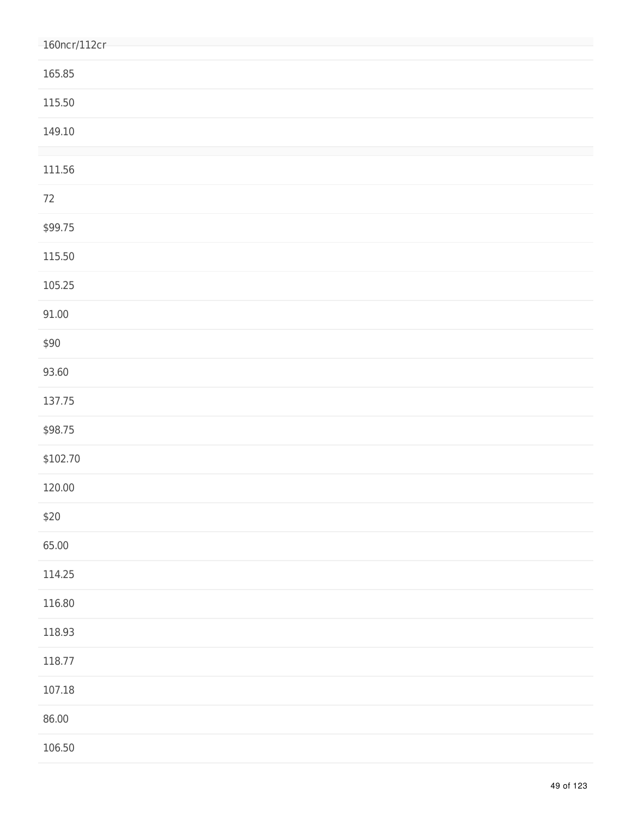| 160ncr/112cr |
|--------------|
| 165.85       |
| 115.50       |
| 149.10       |
| 111.56       |
| $72\,$       |
| \$99.75      |
| 115.50       |
| 105.25       |
| 91.00        |
| \$90         |
| 93.60        |
| 137.75       |
| \$98.75      |
| \$102.70     |
| 120.00       |
| \$20         |
| 65.00        |
| 114.25       |
| 116.80       |
| 118.93       |
| 118.77       |
| 107.18       |
| 86.00        |
| 106.50       |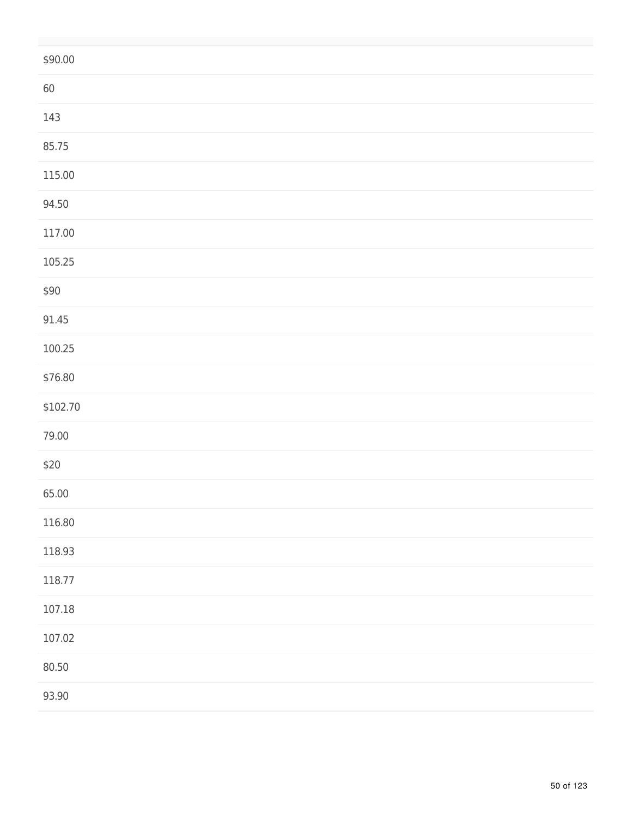| \$90.00  |
|----------|
| 60       |
| 143      |
| 85.75    |
| 115.00   |
| 94.50    |
| 117.00   |
| 105.25   |
| \$90     |
| 91.45    |
| 100.25   |
| \$76.80  |
| \$102.70 |
| 79.00    |
| \$20     |
| 65.00    |
| 116.80   |
| 118.93   |
| 118.77   |
| 107.18   |
| 107.02   |
| 80.50    |
| 93.90    |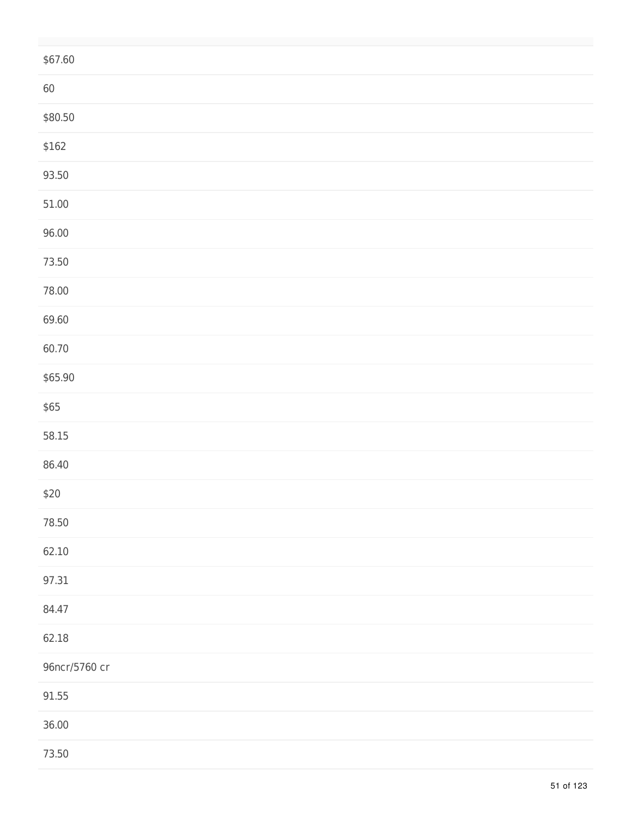| \$67.60       |  |
|---------------|--|
| 60            |  |
| \$80.50       |  |
| \$162         |  |
| 93.50         |  |
| 51.00         |  |
| 96.00         |  |
| 73.50         |  |
| 78.00         |  |
| 69.60         |  |
| 60.70         |  |
| \$65.90       |  |
| \$65          |  |
| 58.15         |  |
| 86.40         |  |
| $$20$         |  |
| 78.50         |  |
| 62.10         |  |
| 97.31         |  |
| 84.47         |  |
| 62.18         |  |
| 96ncr/5760 cr |  |
| 91.55         |  |
| 36.00         |  |
| 73.50         |  |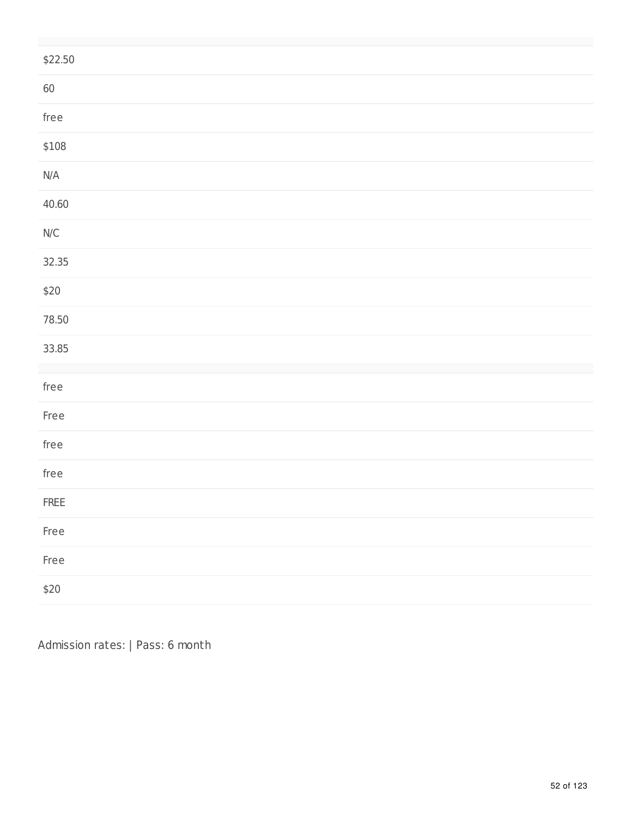| \$22.50                 |
|-------------------------|
| $60\,$                  |
| ${\sf free}$            |
| \$108                   |
| $\mathsf{N}/\mathsf{A}$ |
| 40.60                   |
| $\mathsf{N}/\mathsf{C}$ |
| 32.35                   |
| $$20$                   |
| 78.50                   |
| 33.85                   |
| ${\sf free}$            |
| Free                    |
| ${\sf free}$            |
| free                    |
| ${\sf FREE}$            |
| Free                    |
| Free                    |
| $$20$                   |

Admission rates: | Pass: 6 month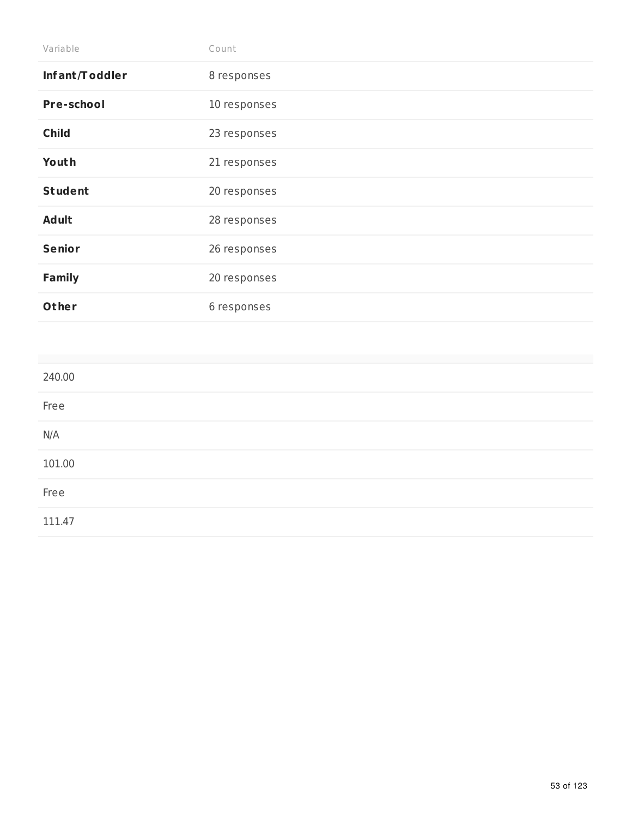| Variable       | Count        |
|----------------|--------------|
| Infant/Toddler | 8 responses  |
| Pre-school     | 10 responses |
| <b>Child</b>   | 23 responses |
| Youth          | 21 responses |
| <b>Student</b> | 20 responses |
| <b>Adult</b>   | 28 responses |
| <b>Senior</b>  | 26 responses |
| <b>Family</b>  | 20 responses |
| Other          | 6 responses  |

| 240.00 |  |  |
|--------|--|--|
| Free   |  |  |
| N/A    |  |  |
| 101.00 |  |  |
| Free   |  |  |
| 111.47 |  |  |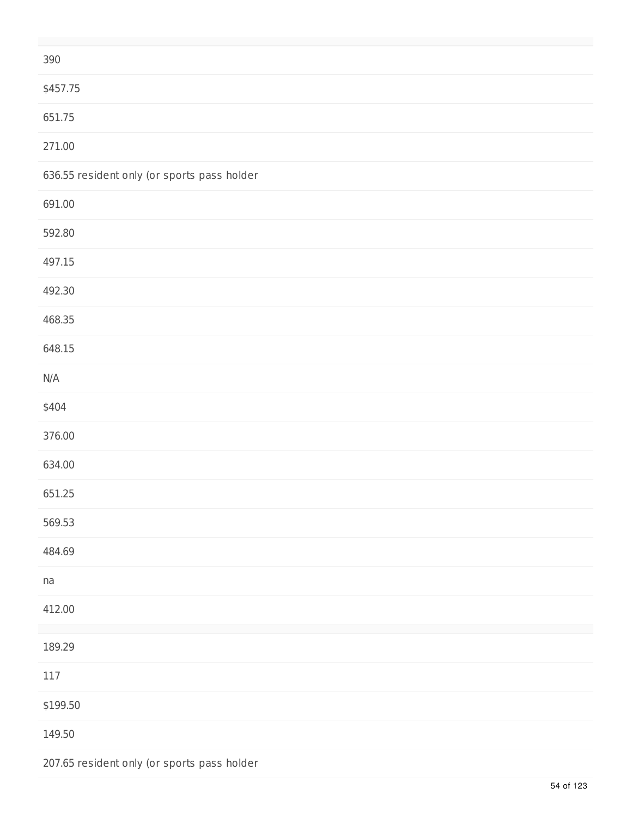| 390                                         |
|---------------------------------------------|
| \$457.75                                    |
| 651.75                                      |
| 271.00                                      |
| 636.55 resident only (or sports pass holder |
| 691.00                                      |
| 592.80                                      |
| 497.15                                      |
| 492.30                                      |
| 468.35                                      |
| 648.15                                      |
| N/A                                         |
| \$404                                       |
| 376.00                                      |
| 634.00                                      |
| 651.25                                      |
| 569.53                                      |
| 484.69                                      |
| na                                          |
| 412.00                                      |
| 189.29                                      |
| $117\,$                                     |
| \$199.50                                    |
| 149.50                                      |
| 207.65 resident only (or sports pass holder |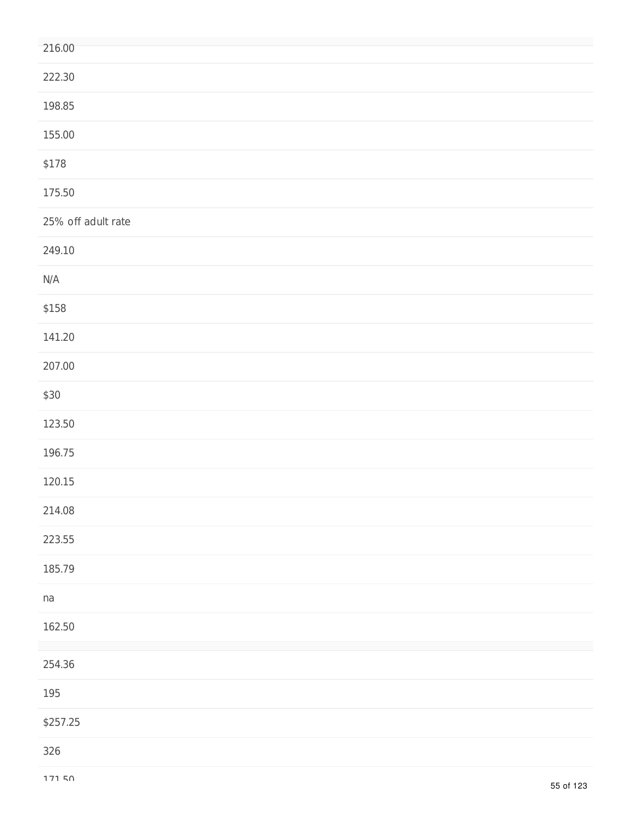| 222.30<br>198.85<br>155.00<br>\$178<br>175.50<br>25% off adult rate<br>249.10<br>N/A<br>\$158<br>141.20<br>207.00<br>\$30<br>123.50<br>196.75<br>120.15<br>214.08<br>223.55<br>185.79<br>na<br>162.50<br>254.36<br>195<br>\$257.25 | 216.00 |
|------------------------------------------------------------------------------------------------------------------------------------------------------------------------------------------------------------------------------------|--------|
|                                                                                                                                                                                                                                    |        |
|                                                                                                                                                                                                                                    |        |
|                                                                                                                                                                                                                                    |        |
|                                                                                                                                                                                                                                    |        |
|                                                                                                                                                                                                                                    |        |
|                                                                                                                                                                                                                                    |        |
|                                                                                                                                                                                                                                    |        |
|                                                                                                                                                                                                                                    |        |
|                                                                                                                                                                                                                                    |        |
|                                                                                                                                                                                                                                    |        |
|                                                                                                                                                                                                                                    |        |
|                                                                                                                                                                                                                                    |        |
|                                                                                                                                                                                                                                    |        |
|                                                                                                                                                                                                                                    |        |
|                                                                                                                                                                                                                                    |        |
|                                                                                                                                                                                                                                    |        |
|                                                                                                                                                                                                                                    |        |
|                                                                                                                                                                                                                                    |        |
|                                                                                                                                                                                                                                    |        |
|                                                                                                                                                                                                                                    |        |
|                                                                                                                                                                                                                                    |        |
|                                                                                                                                                                                                                                    |        |
|                                                                                                                                                                                                                                    |        |
|                                                                                                                                                                                                                                    | 326    |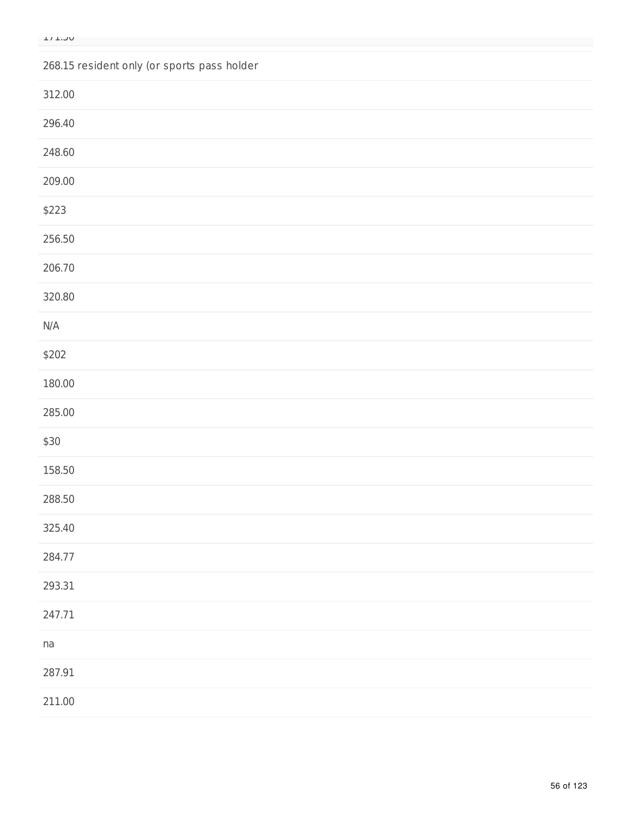268.15 resident only (or sports pass holder

| 312.00                  |  |  |  |
|-------------------------|--|--|--|
| 296.40                  |  |  |  |
| 248.60                  |  |  |  |
| 209.00                  |  |  |  |
| \$223                   |  |  |  |
| 256.50                  |  |  |  |
| 206.70                  |  |  |  |
| 320.80                  |  |  |  |
| $\mathsf{N}/\mathsf{A}$ |  |  |  |
| \$202                   |  |  |  |
| 180.00                  |  |  |  |
| 285.00                  |  |  |  |
| \$30                    |  |  |  |
| 158.50                  |  |  |  |
| 288.50                  |  |  |  |
| 325.40                  |  |  |  |
| 284.77                  |  |  |  |
| 293.31                  |  |  |  |
| 247.71                  |  |  |  |
| na                      |  |  |  |
| 287.91                  |  |  |  |
| 211.00                  |  |  |  |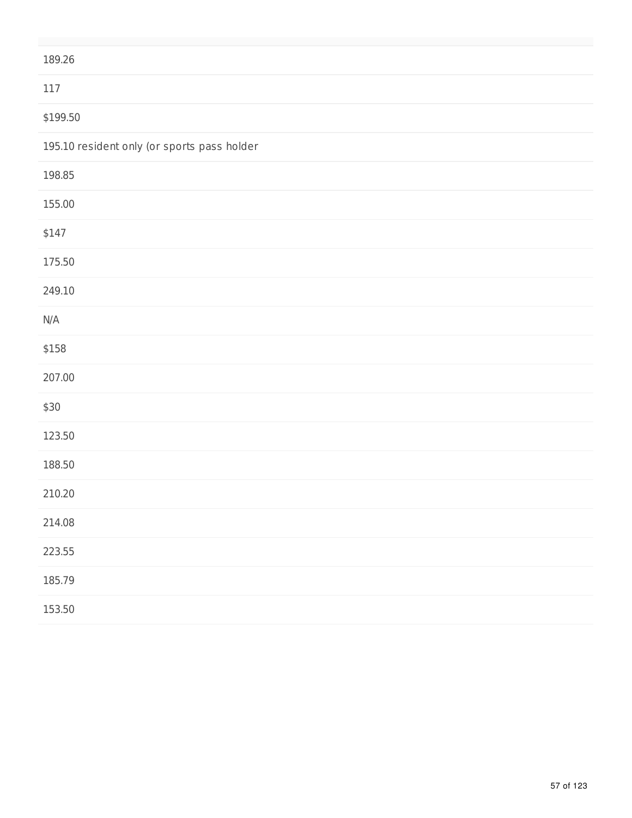| 189.26                                      |
|---------------------------------------------|
| 117                                         |
| \$199.50                                    |
| 195.10 resident only (or sports pass holder |
| 198.85                                      |
| 155.00                                      |
| \$147                                       |
| 175.50                                      |
| 249.10                                      |
| N/A                                         |
| \$158                                       |
| 207.00                                      |
| \$30                                        |
| 123.50                                      |
| 188.50                                      |
| 210.20                                      |
| 214.08                                      |
| 223.55                                      |
| 185.79                                      |
| 153.50                                      |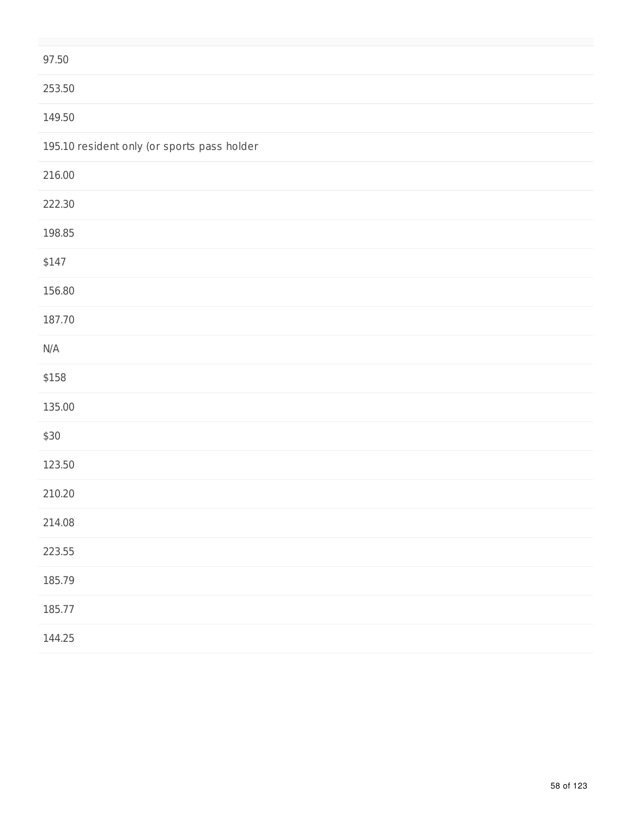| 97.50                                       |
|---------------------------------------------|
| 253.50                                      |
| 149.50                                      |
| 195.10 resident only (or sports pass holder |
| 216.00                                      |
| 222.30                                      |
| 198.85                                      |
| \$147                                       |
| 156.80                                      |
| 187.70                                      |
| N/A                                         |
| \$158                                       |
| 135.00                                      |
| \$30                                        |
| 123.50                                      |
| 210.20                                      |
| 214.08                                      |
| 223.55                                      |
| 185.79                                      |
| 185.77                                      |
| 144.25                                      |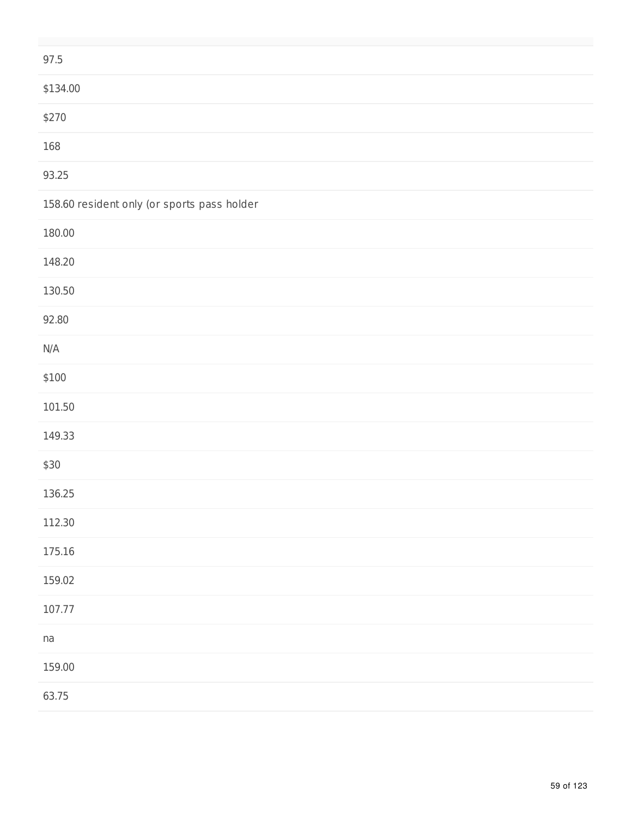| 97.5                                        |
|---------------------------------------------|
| \$134.00                                    |
| \$270                                       |
| 168                                         |
| 93.25                                       |
| 158.60 resident only (or sports pass holder |
| 180.00                                      |
| 148.20                                      |
| 130.50                                      |
| 92.80                                       |
| $\mathsf{N}/\mathsf{A}$                     |
| \$100                                       |
| 101.50                                      |
| 149.33                                      |
| \$30                                        |
| 136.25                                      |
| 112.30                                      |
| 175.16                                      |
| 159.02                                      |
| 107.77                                      |
| na                                          |
| 159.00                                      |
| 63.75                                       |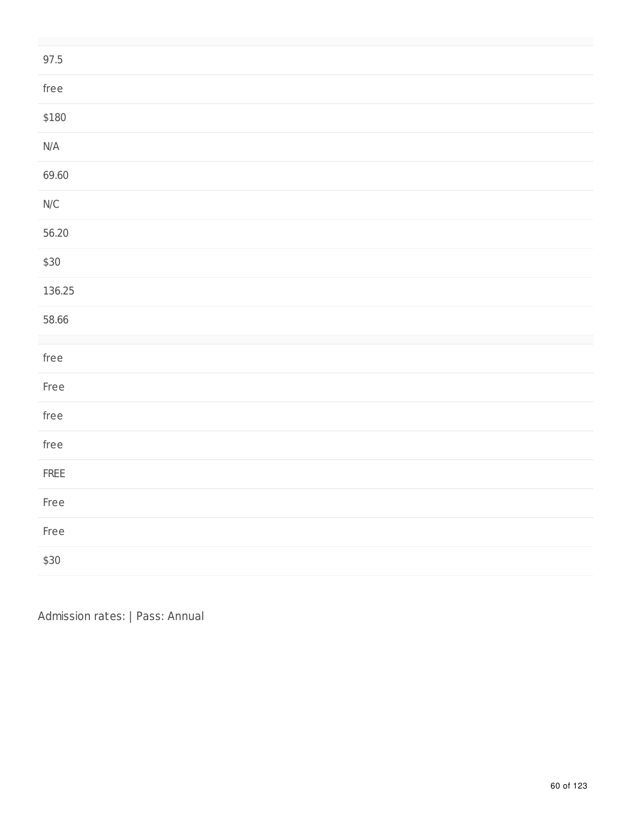| 97.5                                                     |
|----------------------------------------------------------|
| ${\sf free}$                                             |
| \$180                                                    |
| $\mathsf{N}/\mathsf{A}$                                  |
| 69.60                                                    |
| $\ensuremath{\mathsf{N}}\xspace/\ensuremath{\mathsf{C}}$ |
| 56.20                                                    |
| \$30                                                     |
| 136.25                                                   |
| 58.66                                                    |
| ${\sf free}$                                             |
| Free                                                     |
| ${\sf free}$                                             |
| ${\sf free}$                                             |
| FREE                                                     |
| Free                                                     |
| Free                                                     |
| \$30                                                     |

Admission rates: | Pass: Annual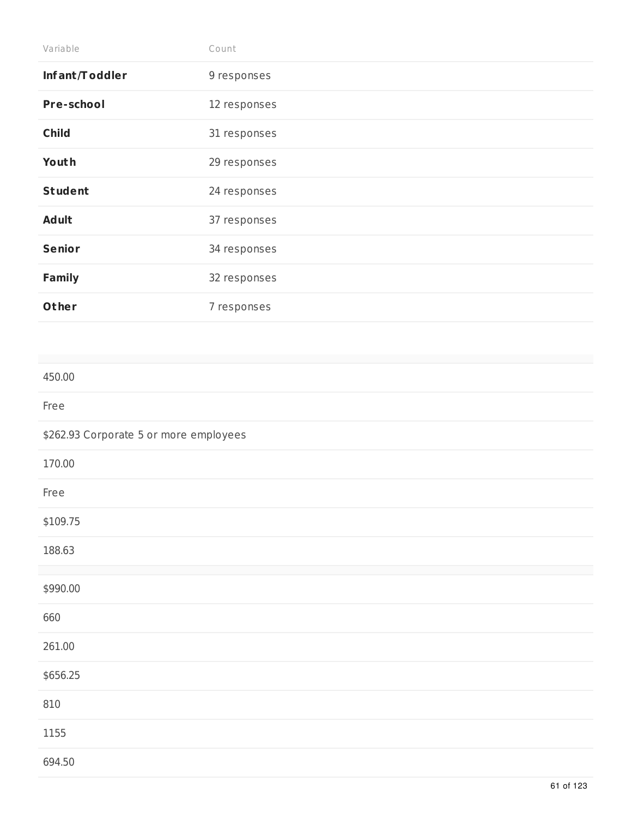| Variable                               | Count        |
|----------------------------------------|--------------|
| Infant/Toddler                         | 9 responses  |
| Pre-school                             | 12 responses |
| <b>Child</b>                           | 31 responses |
| Youth                                  | 29 responses |
| <b>Student</b>                         | 24 responses |
| <b>Adult</b>                           | 37 responses |
| <b>Senior</b>                          | 34 responses |
| <b>Family</b>                          | 32 responses |
| Other                                  | 7 responses  |
|                                        |              |
| 450.00                                 |              |
| Free                                   |              |
| \$262.93 Corporate 5 or more employees |              |

| 170.00   |  |  |  |
|----------|--|--|--|
| Free     |  |  |  |
| \$109.75 |  |  |  |
| 188.63   |  |  |  |
|          |  |  |  |
| \$990.00 |  |  |  |
| 660      |  |  |  |
| 261.00   |  |  |  |
| \$656.25 |  |  |  |
| 810      |  |  |  |
| 1155     |  |  |  |
| 694.50   |  |  |  |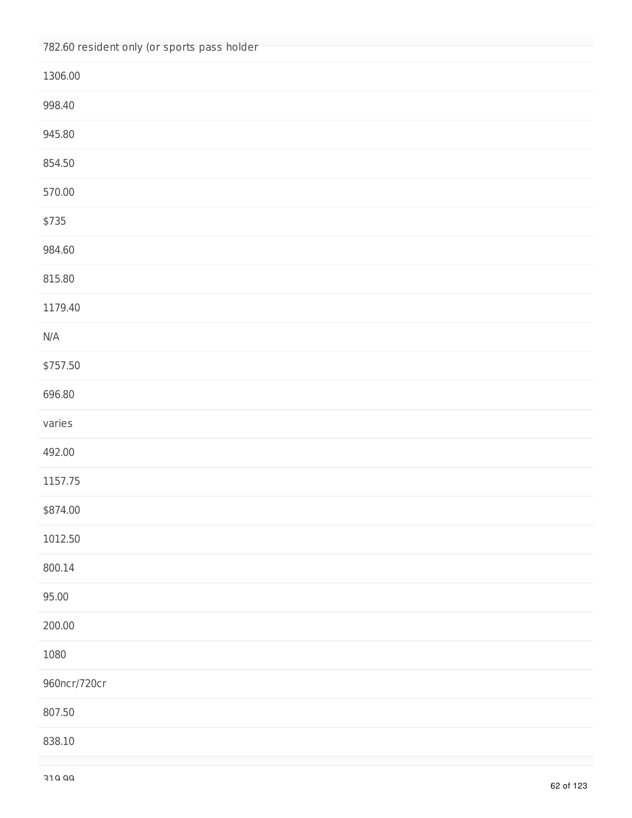| 782.60 resident only (or sports pass holder |
|---------------------------------------------|
| 1306.00                                     |
| 998.40                                      |
| 945.80                                      |
| 854.50                                      |
| 570.00                                      |
| \$735                                       |
| 984.60                                      |
| 815.80                                      |
| 1179.40                                     |
| N/A                                         |
| \$757.50                                    |
| 696.80                                      |
| varies                                      |
| 492.00                                      |
| 1157.75                                     |
| \$874.00                                    |
| 1012.50                                     |
| 800.14                                      |
| 95.00                                       |
| 200.00                                      |
| 1080                                        |
| 960ncr/720cr                                |
| 807.50                                      |
| 838.10                                      |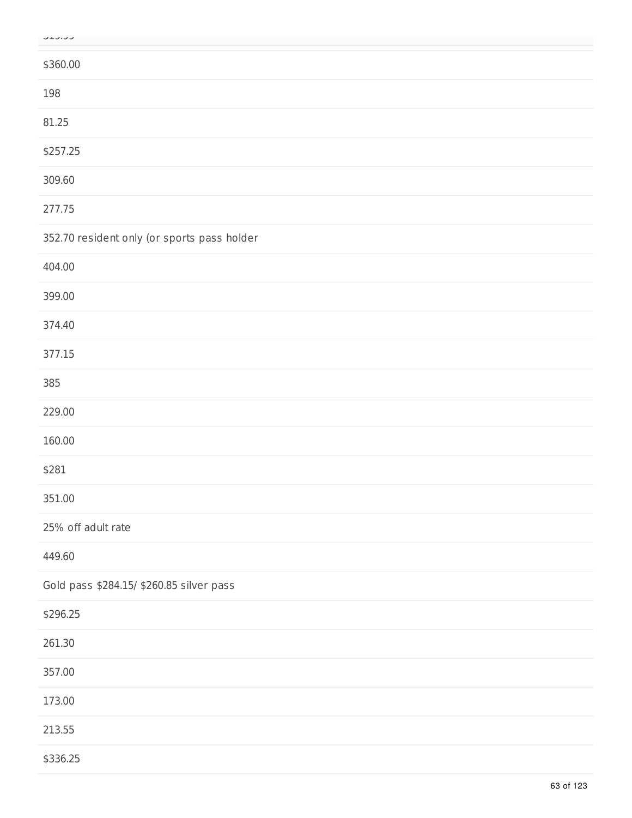|  | しエン・レン |  |
|--|--------|--|

| \$360.00                                    |
|---------------------------------------------|
| 198                                         |
| 81.25                                       |
| \$257.25                                    |
| 309.60                                      |
| 277.75                                      |
| 352.70 resident only (or sports pass holder |
| 404.00                                      |
| 399.00                                      |
| 374.40                                      |
| 377.15                                      |
| 385                                         |
| 229.00                                      |
| 160.00                                      |
| \$281                                       |
| 351.00                                      |
| 25% off adult rate                          |
| 449.60                                      |
| Gold pass \$284.15/ \$260.85 silver pass    |
| \$296.25                                    |
| 261.30                                      |
| 357.00                                      |
| 173.00                                      |
| 213.55                                      |
| \$336.25                                    |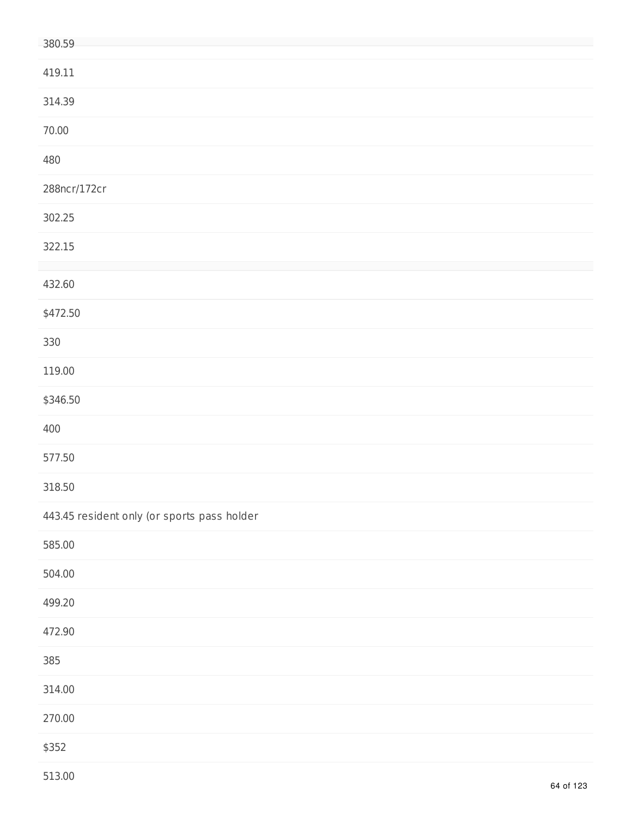| 380.59                                      |
|---------------------------------------------|
| 419.11                                      |
| 314.39                                      |
| 70.00                                       |
| 480                                         |
| 288ncr/172cr                                |
| 302.25                                      |
| 322.15                                      |
| 432.60                                      |
| \$472.50                                    |
| 330                                         |
| 119.00                                      |
| \$346.50                                    |
| 400                                         |
| 577.50                                      |
| 318.50                                      |
| 443.45 resident only (or sports pass holder |
| 585.00                                      |
| 504.00                                      |
| 499.20                                      |
| 472.90                                      |
| 385                                         |
| 314.00                                      |
| 270.00                                      |
| \$352                                       |
|                                             |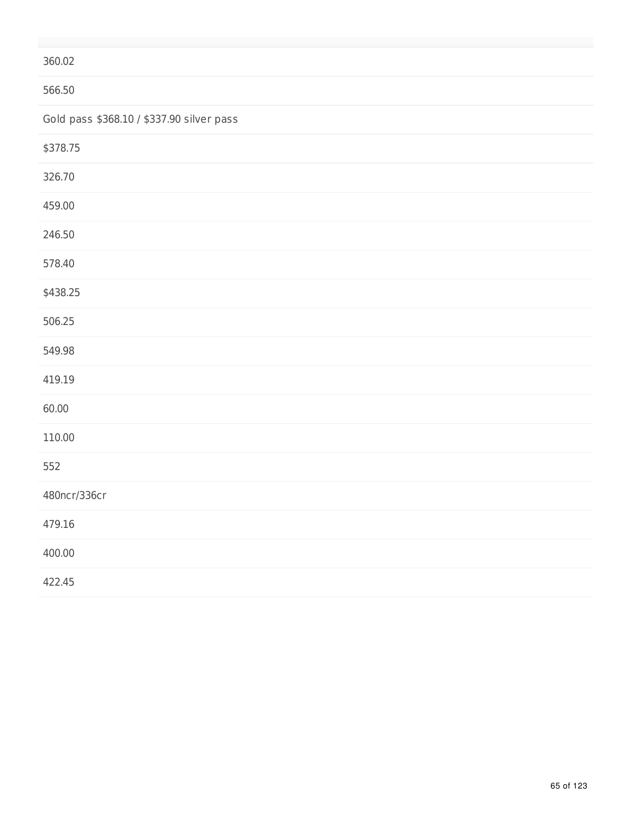## 360.02

## 566.50

Gold pass \$368.10 / \$337.90 silver pass

| \$378.75     |  |  |
|--------------|--|--|
| 326.70       |  |  |
| 459.00       |  |  |
| 246.50       |  |  |
| 578.40       |  |  |
| \$438.25     |  |  |
| 506.25       |  |  |
| 549.98       |  |  |
| 419.19       |  |  |
| 60.00        |  |  |
| 110.00       |  |  |
| 552          |  |  |
| 480ncr/336cr |  |  |
| 479.16       |  |  |
| 400.00       |  |  |
| 422.45       |  |  |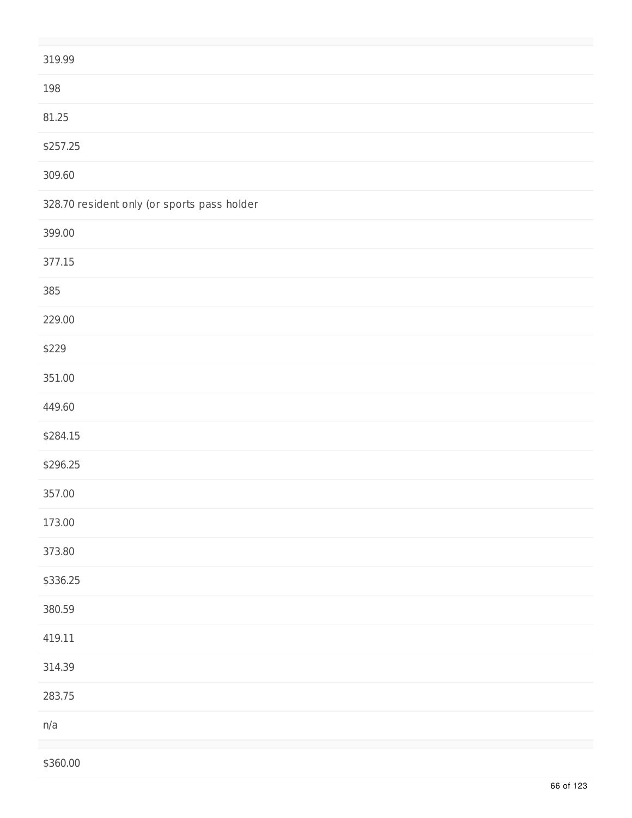| 319.99                                      |
|---------------------------------------------|
| 198                                         |
| 81.25                                       |
| \$257.25                                    |
| 309.60                                      |
| 328.70 resident only (or sports pass holder |
| 399.00                                      |
| 377.15                                      |
| 385                                         |
| 229.00                                      |
| \$229                                       |
| 351.00                                      |
| 449.60                                      |
| \$284.15                                    |
| \$296.25                                    |
| 357.00                                      |
| 173.00                                      |
| 373.80                                      |
| \$336.25                                    |
| 380.59                                      |
| 419.11                                      |
| 314.39                                      |
| 283.75                                      |
| n/a                                         |
| \$360.00                                    |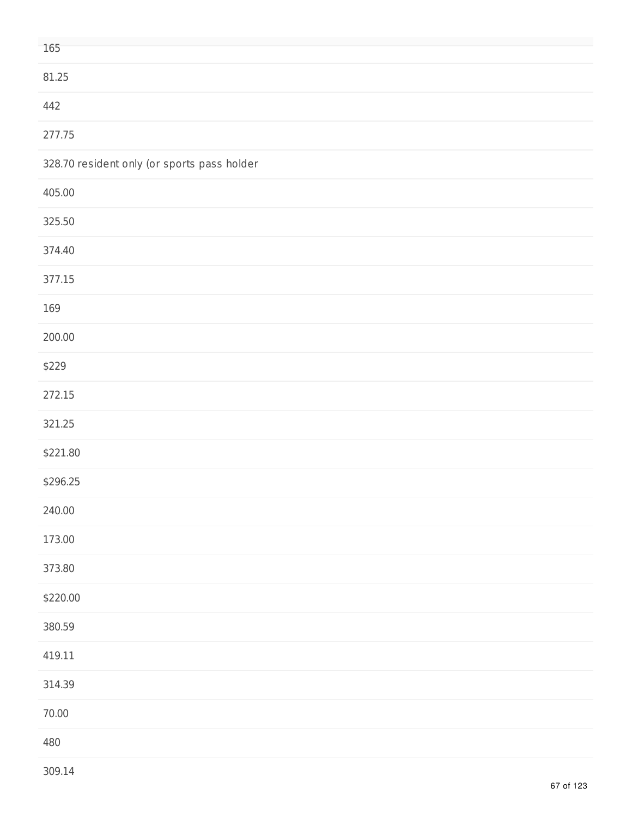| 165                                         |
|---------------------------------------------|
|                                             |
| 81.25                                       |
| 442                                         |
| 277.75                                      |
| 328.70 resident only (or sports pass holder |
| 405.00                                      |
| 325.50                                      |
| 374.40                                      |
| 377.15                                      |
| 169                                         |
| 200.00                                      |
| \$229                                       |
| 272.15                                      |
| 321.25                                      |
| \$221.80                                    |
| \$296.25                                    |
| 240.00                                      |
| 173.00                                      |
| 373.80                                      |
| \$220.00                                    |
| 380.59                                      |
| 419.11                                      |
| 314.39                                      |
| 70.00                                       |
| 480                                         |
|                                             |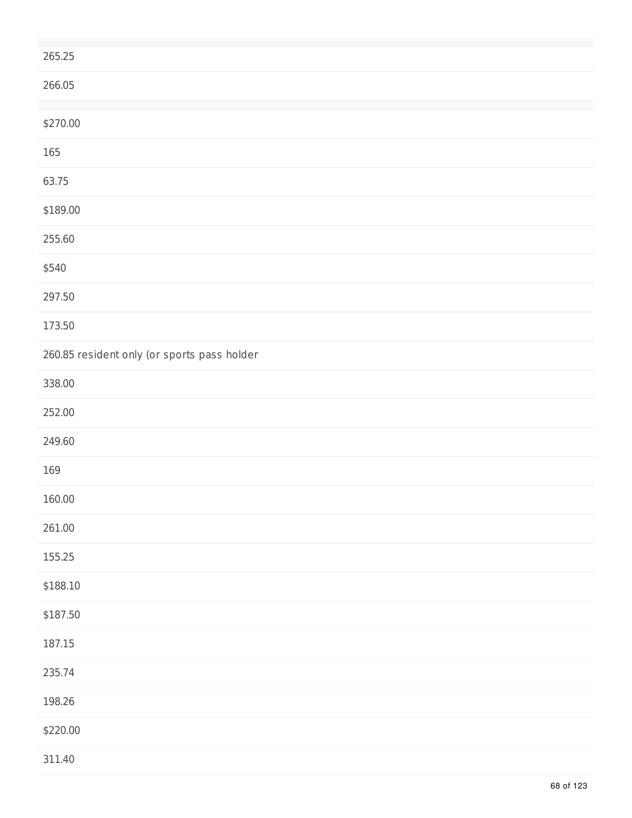| 265.25                                      |  |
|---------------------------------------------|--|
| 266.05                                      |  |
|                                             |  |
| \$270.00                                    |  |
| 165                                         |  |
| 63.75                                       |  |
| \$189.00                                    |  |
| 255.60                                      |  |
| \$540                                       |  |
| 297.50                                      |  |
| 173.50                                      |  |
| 260.85 resident only (or sports pass holder |  |
| 338.00                                      |  |
| 252.00                                      |  |
| 249.60                                      |  |
| 169                                         |  |
| 160.00                                      |  |
| 261.00                                      |  |
| 155.25                                      |  |
| \$188.10                                    |  |
| \$187.50                                    |  |
| 187.15                                      |  |
| 235.74                                      |  |
| 198.26                                      |  |
| \$220.00                                    |  |
| 311.40                                      |  |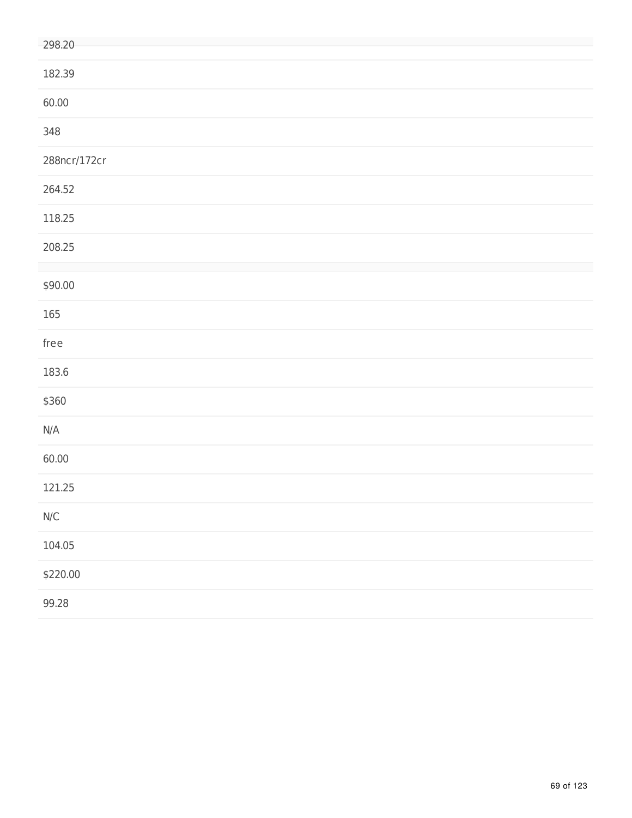| 298.20                                                   |
|----------------------------------------------------------|
| 182.39                                                   |
| 60.00                                                    |
| 348                                                      |
| 288ncr/172cr                                             |
| 264.52                                                   |
| 118.25                                                   |
| 208.25                                                   |
| \$90.00                                                  |
| 165                                                      |
| free                                                     |
| 183.6                                                    |
| \$360                                                    |
| N/A                                                      |
| 60.00                                                    |
| 121.25                                                   |
| $\ensuremath{\mathsf{N}}\xspace/\ensuremath{\mathsf{C}}$ |
| 104.05                                                   |
| \$220.00                                                 |
| 99.28                                                    |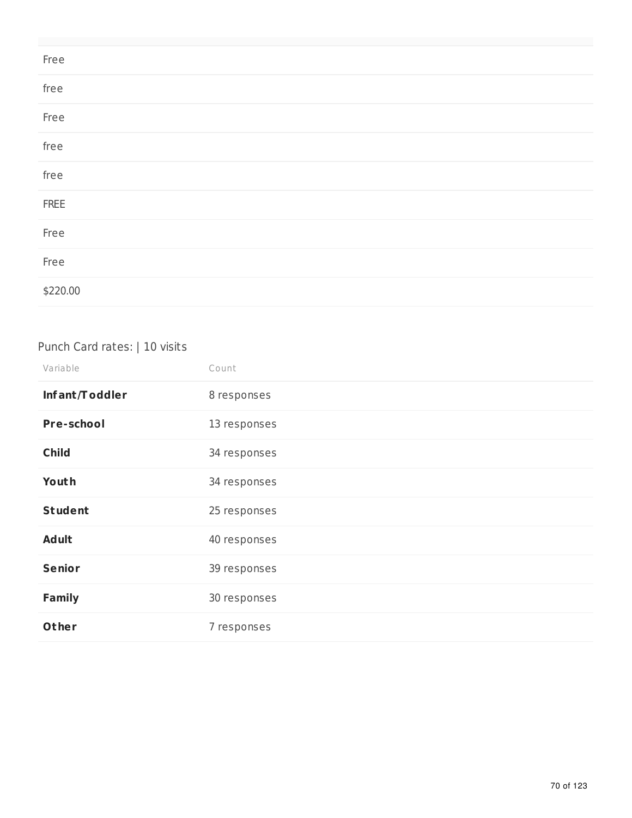| Free     |  |  |
|----------|--|--|
| free     |  |  |
| Free     |  |  |
| free     |  |  |
| free     |  |  |
| FREE     |  |  |
| Free     |  |  |
| Free     |  |  |
| \$220.00 |  |  |

## Punch Card rates: | 10 visits

| Variable          | Count        |
|-------------------|--------------|
| Infant/Toddler    | 8 responses  |
| <b>Pre-school</b> | 13 responses |
| <b>Child</b>      | 34 responses |
| Youth             | 34 responses |
| <b>Student</b>    | 25 responses |
| <b>Adult</b>      | 40 responses |
| <b>Senior</b>     | 39 responses |
| <b>Family</b>     | 30 responses |
| Other             | 7 responses  |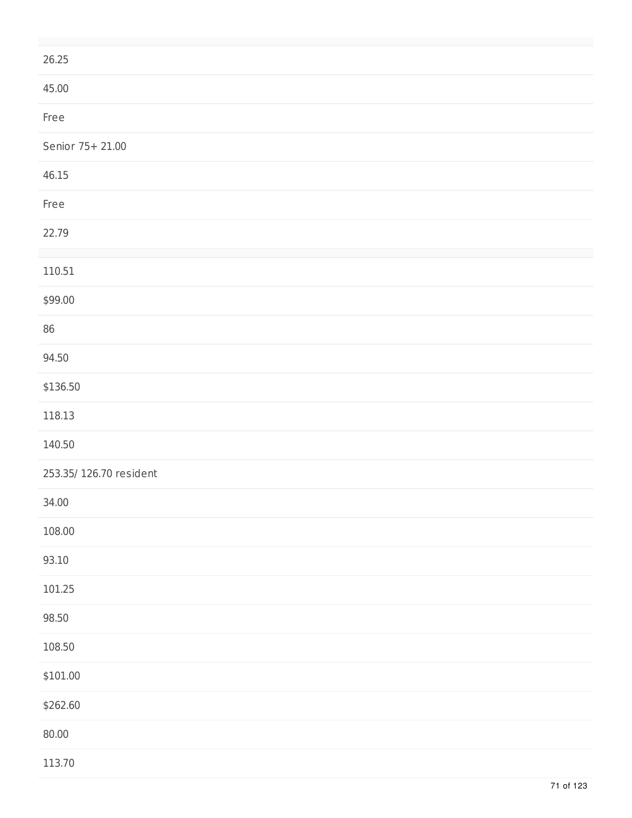| 26.25                   |
|-------------------------|
| 45.00                   |
| Free                    |
| Senior 75+ 21.00        |
| 46.15                   |
| Free                    |
| 22.79                   |
| 110.51                  |
| \$99.00                 |
| $86\,$                  |
| 94.50                   |
| \$136.50                |
| 118.13                  |
| 140.50                  |
| 253.35/ 126.70 resident |
| 34.00                   |
| 108.00                  |
| 93.10                   |
| 101.25                  |
| 98.50                   |
| 108.50                  |
| \$101.00                |
| \$262.60                |
| 80.00                   |
| 113.70                  |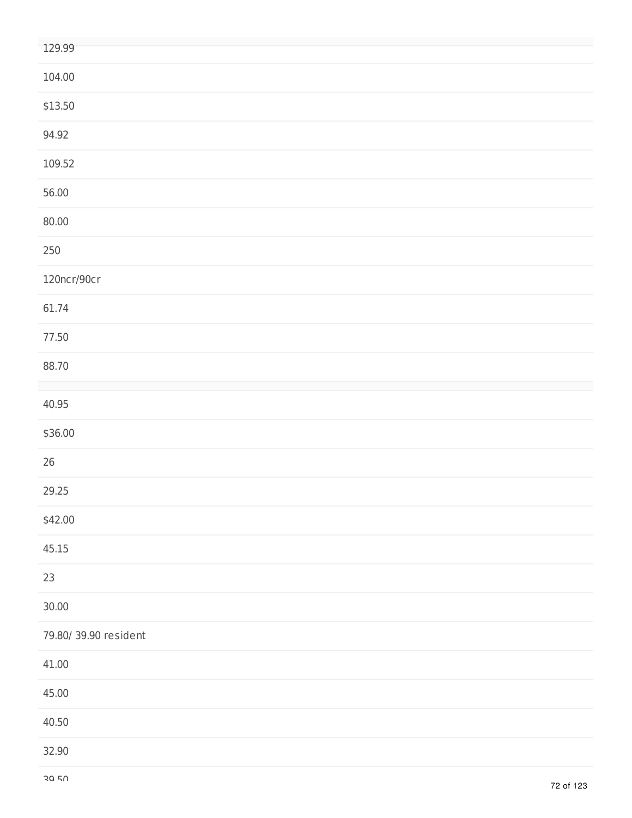| 129.99               |
|----------------------|
| 104.00               |
| \$13.50              |
| 94.92                |
| 109.52               |
| 56.00                |
| 80.00                |
| $250\,$              |
| 120ncr/90cr          |
| 61.74                |
| 77.50                |
| 88.70                |
| 40.95                |
| \$36.00              |
| $26\,$               |
| 29.25                |
| \$42.00              |
| 45.15                |
| 23                   |
| 30.00                |
| 79.80/39.90 resident |
| 41.00                |
| 45.00                |
| 40.50                |
| 32.90                |
|                      |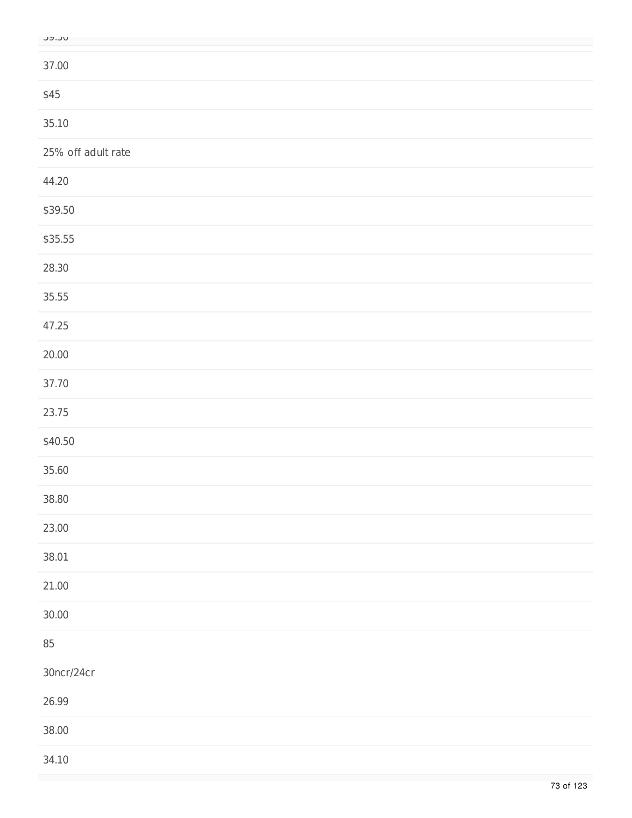| M<br>٠<br>۰.<br>ı | ٠<br>۰. |  |
|-------------------|---------|--|

| ----               |
|--------------------|
| 37.00              |
| \$45               |
| 35.10              |
| 25% off adult rate |
| 44.20              |
| \$39.50            |
| \$35.55            |
| 28.30              |
| 35.55              |
| 47.25              |
| 20.00              |
| 37.70              |
| 23.75              |
| \$40.50            |
| 35.60              |
| 38.80              |
| 23.00              |
| 38.01              |
| 21.00              |
| 30.00              |
| 85                 |
| 30ncr/24cr         |
| 26.99              |
| 38.00              |
| 34.10              |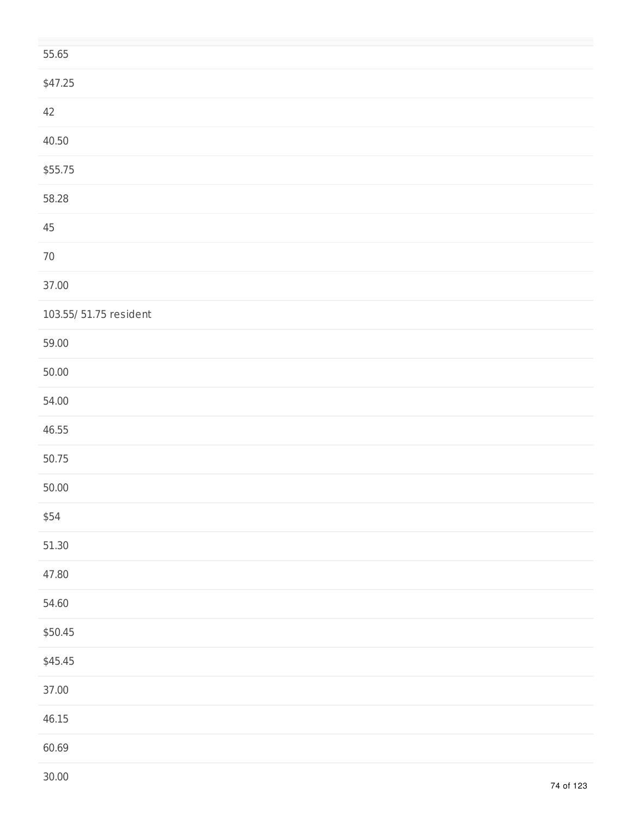| 55.65                  |  |
|------------------------|--|
| \$47.25                |  |
| 42                     |  |
| 40.50                  |  |
| \$55.75                |  |
| 58.28                  |  |
| $45\,$                 |  |
| $70\,$                 |  |
| 37.00                  |  |
| 103.55/ 51.75 resident |  |
| 59.00                  |  |
| 50.00                  |  |
| 54.00                  |  |
| 46.55                  |  |
| 50.75                  |  |
| 50.00                  |  |
| \$54                   |  |
| 51.30                  |  |
| 47.80                  |  |
| 54.60                  |  |
| \$50.45                |  |
| \$45.45                |  |
| 37.00                  |  |
| 46.15                  |  |
| 60.69                  |  |
|                        |  |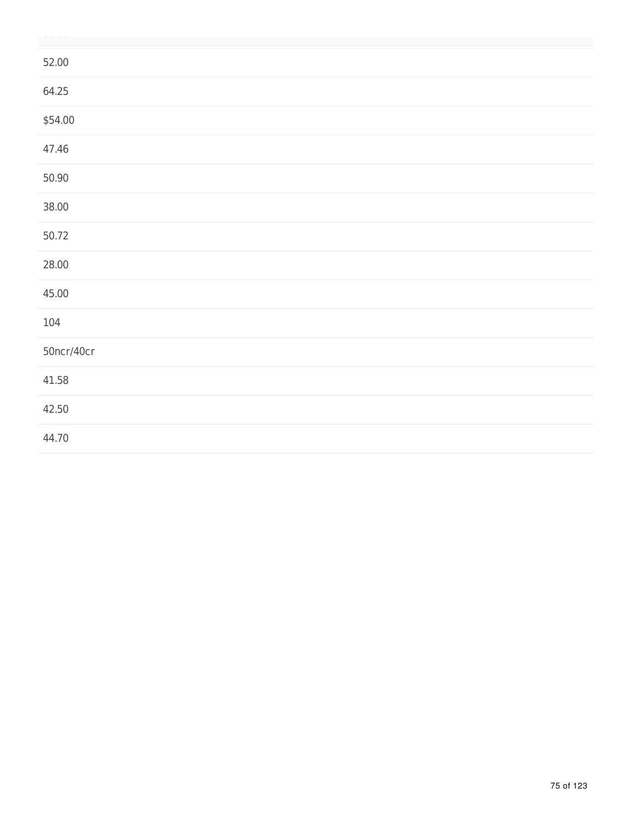| 52.00      |
|------------|
| 64.25      |
| \$54.00    |
| 47.46      |
| 50.90      |
| 38.00      |
| 50.72      |
| 28.00      |
| 45.00      |
| 104        |
| 50ncr/40cr |
| 41.58      |
| 42.50      |
| 44.70      |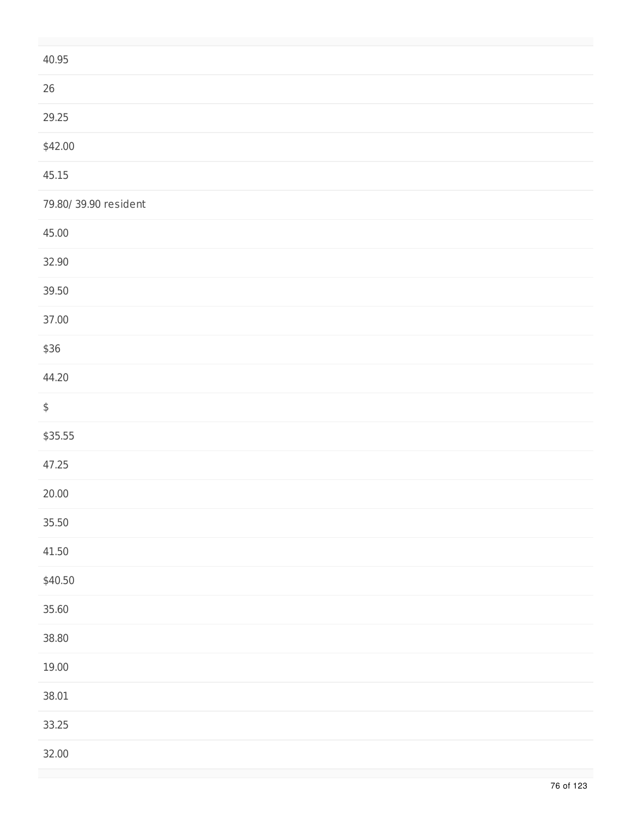| 40.95                |
|----------------------|
| $26\,$               |
| 29.25                |
| \$42.00              |
| 45.15                |
| 79.80/39.90 resident |
| 45.00                |
| 32.90                |
| 39.50                |
| 37.00                |
| \$36                 |
| 44.20                |
| $\spadesuit$         |
| \$35.55              |
| 47.25                |
| 20.00                |
| 35.50                |
| 41.50                |
| \$40.50              |
| 35.60                |
| 38.80                |
| 19.00                |
| 38.01                |
| 33.25                |
| 32.00                |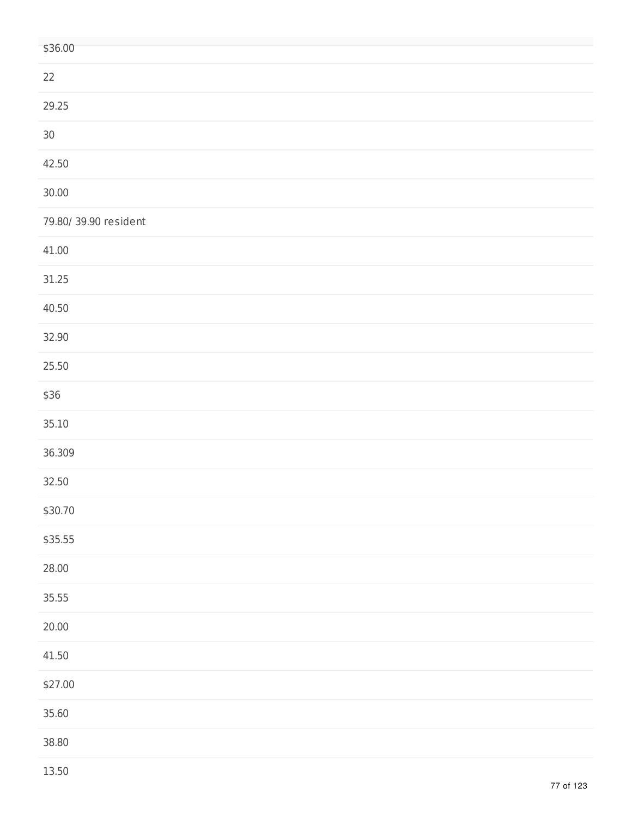| \$36.00              |
|----------------------|
| 22                   |
| 29.25                |
| $30\,$               |
| 42.50                |
| 30.00                |
| 79.80/39.90 resident |
| 41.00                |
| 31.25                |
| 40.50                |
| 32.90                |
| 25.50                |
| \$36                 |
| 35.10                |
| 36.309               |
| 32.50                |
| \$30.70              |
| \$35.55              |
| 28.00                |
| 35.55                |
| 20.00                |
| 41.50                |
| \$27.00              |
| 35.60                |
| 38.80                |
|                      |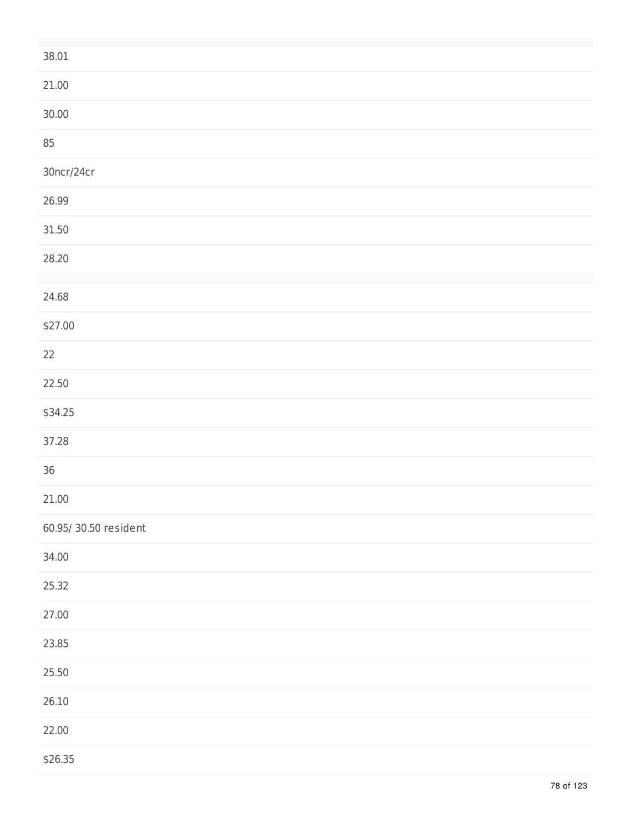| 38.01                |
|----------------------|
| 21.00                |
| 30.00                |
| 85                   |
| 30ncr/24cr           |
| 26.99                |
| 31.50                |
| 28.20                |
| 24.68                |
| \$27.00              |
|                      |
| 22                   |
| 22.50                |
| \$34.25              |
| 37.28                |
| $36$                 |
| 21.00                |
| 60.95/30.50 resident |
| 34.00                |
| 25.32                |
| 27.00                |
| 23.85                |
| 25.50                |
| 26.10                |
| 22.00                |
| \$26.35              |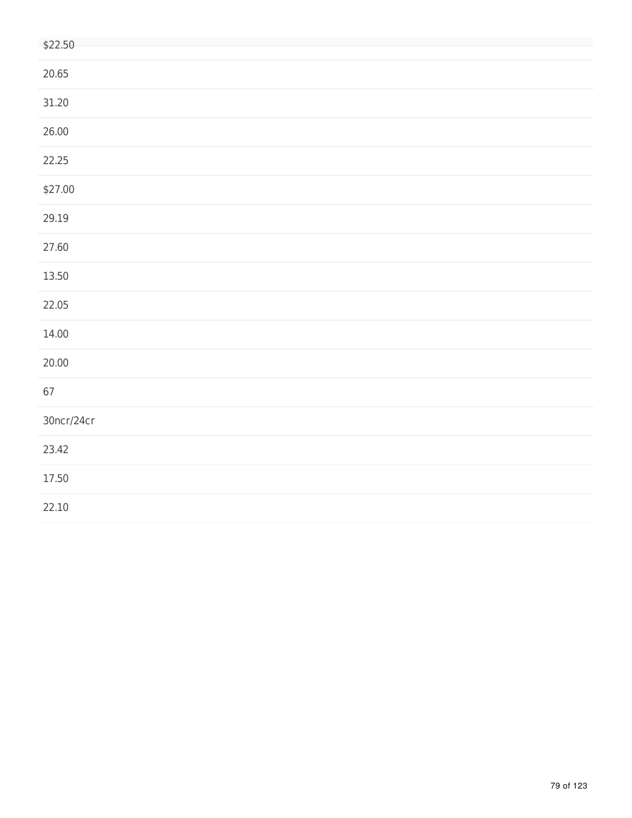| \$22.50    |
|------------|
| 20.65      |
| 31.20      |
| 26.00      |
| 22.25      |
| \$27.00    |
| 29.19      |
| 27.60      |
| 13.50      |
| 22.05      |
| 14.00      |
| 20.00      |
| 67         |
| 30ncr/24cr |
| 23.42      |
| 17.50      |
| 22.10      |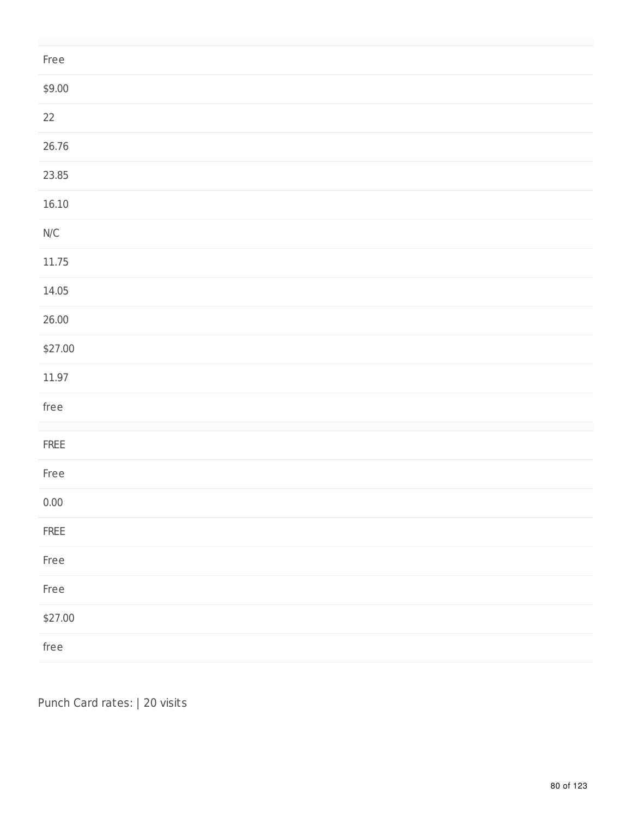| Free                                                     |
|----------------------------------------------------------|
| \$9.00                                                   |
| $22\,$                                                   |
| 26.76                                                    |
| 23.85                                                    |
| 16.10                                                    |
| $\ensuremath{\mathsf{N}}\xspace/\ensuremath{\mathsf{C}}$ |
| 11.75                                                    |
| 14.05                                                    |
| 26.00                                                    |
| \$27.00                                                  |
| 11.97                                                    |
| free                                                     |
| ${\sf FREE}$                                             |
| Free                                                     |
| $0.00\,$                                                 |
| ${\sf FREE}$                                             |
| Free                                                     |
| Free                                                     |
| \$27.00                                                  |
| free                                                     |

Punch Card rates: | 20 visits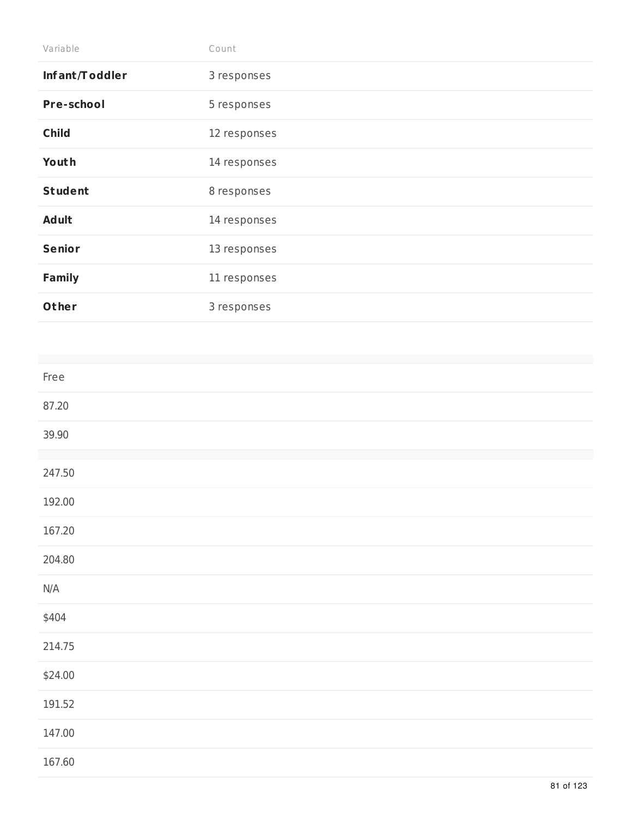| Variable          | Count        |
|-------------------|--------------|
| Infant/Toddler    | 3 responses  |
| <b>Pre-school</b> | 5 responses  |
| <b>Child</b>      | 12 responses |
| Youth             | 14 responses |
| <b>Student</b>    | 8 responses  |
| <b>Adult</b>      | 14 responses |
| <b>Senior</b>     | 13 responses |
| <b>Family</b>     | 11 responses |
| Other             | 3 responses  |

| Free    |  |  |
|---------|--|--|
| 87.20   |  |  |
| 39.90   |  |  |
|         |  |  |
| 247.50  |  |  |
| 192.00  |  |  |
| 167.20  |  |  |
| 204.80  |  |  |
| N/A     |  |  |
|         |  |  |
| \$404   |  |  |
| 214.75  |  |  |
| \$24.00 |  |  |
| 191.52  |  |  |
| 147.00  |  |  |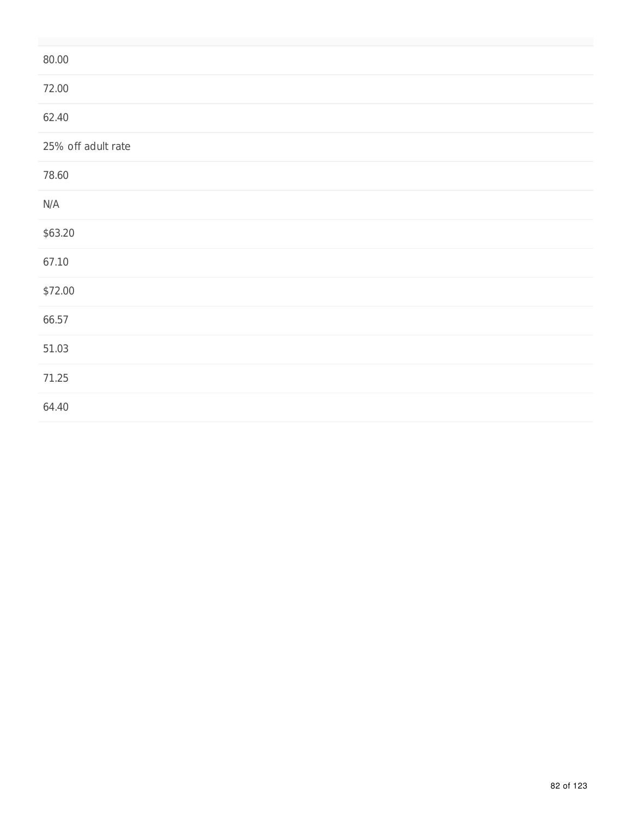| 80.00              |
|--------------------|
| 72.00              |
| 62.40              |
| 25% off adult rate |
| 78.60              |
| N/A                |
| \$63.20            |
| 67.10              |
| \$72.00            |
| 66.57              |
| 51.03              |
| 71.25              |
| 64.40              |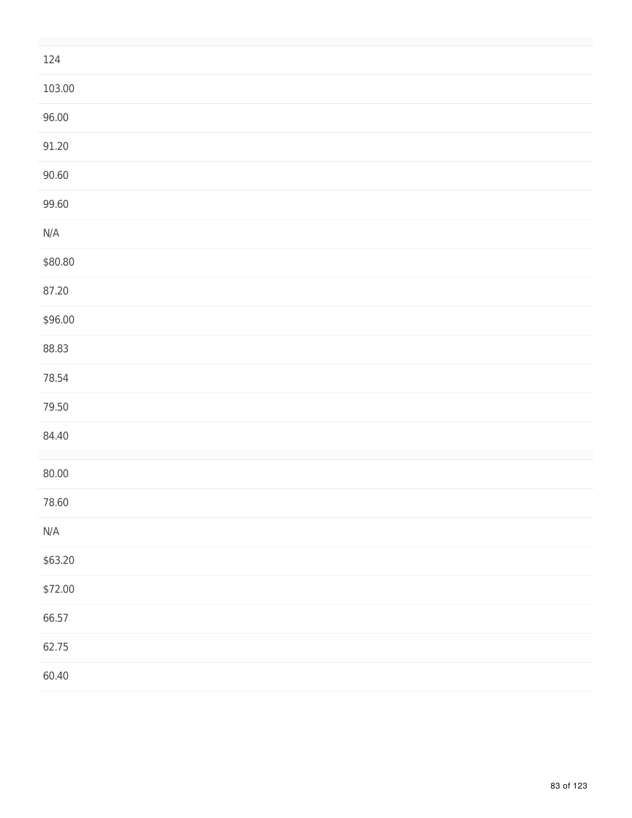| 124                     |
|-------------------------|
| 103.00                  |
| 96.00                   |
| 91.20                   |
| 90.60                   |
| 99.60                   |
| $\mathsf{N}/\mathsf{A}$ |
| \$80.80                 |
| 87.20                   |
| \$96.00                 |
| 88.83                   |
| 78.54                   |
| 79.50                   |
| 84.40                   |
| 80.00                   |
| 78.60                   |
| $\mathsf{N}/\mathsf{A}$ |
| \$63.20                 |
| \$72.00                 |
| 66.57                   |
| 62.75                   |
| 60.40                   |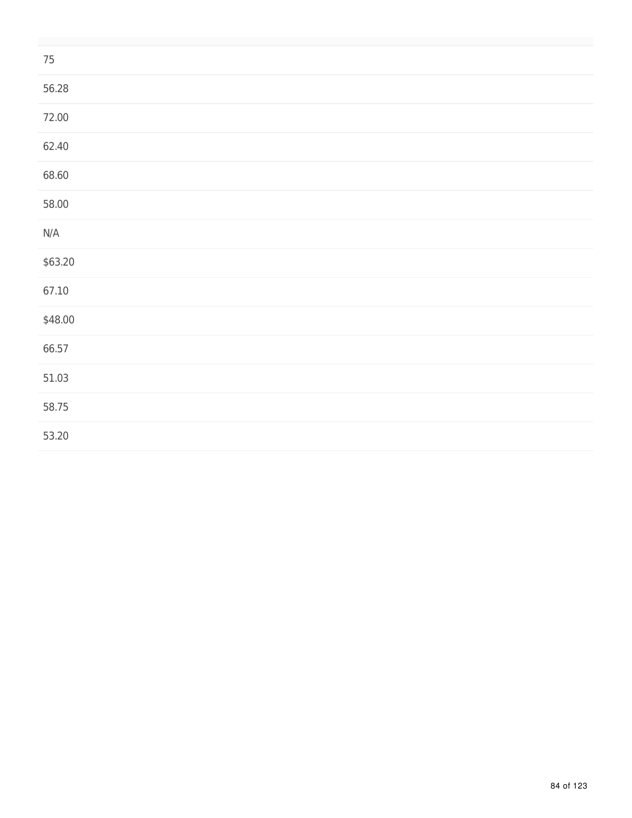| $75\,$                  |  |
|-------------------------|--|
| 56.28                   |  |
| 72.00                   |  |
| 62.40                   |  |
| 68.60                   |  |
| 58.00                   |  |
| $\mathsf{N}/\mathsf{A}$ |  |
| \$63.20                 |  |
| 67.10                   |  |
| \$48.00                 |  |
| 66.57                   |  |
| 51.03                   |  |
| 58.75                   |  |
| 53.20                   |  |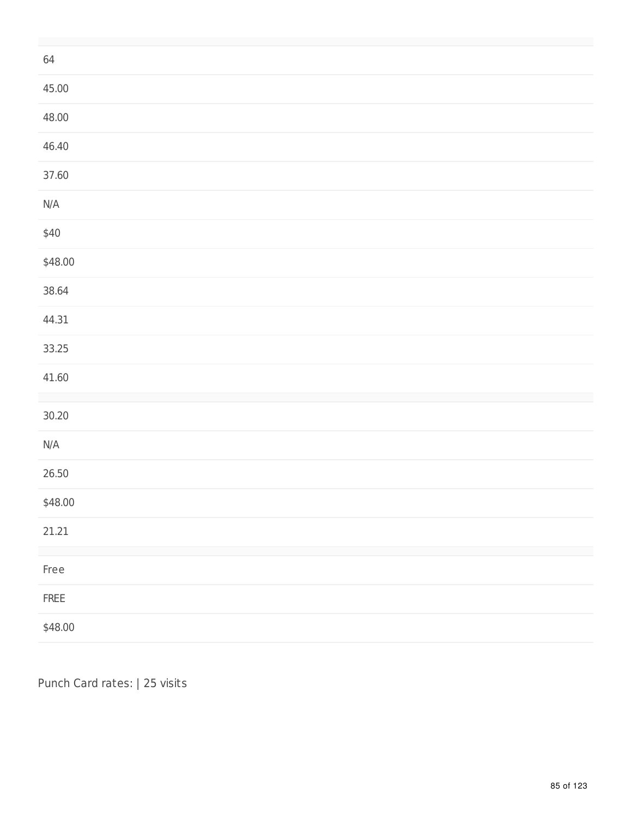| 64                      |
|-------------------------|
| 45.00                   |
| 48.00                   |
| 46.40                   |
| 37.60                   |
| $\mathsf{N}/\mathsf{A}$ |
| \$40                    |
| \$48.00                 |
| 38.64                   |
| 44.31                   |
| 33.25                   |
| 41.60                   |
| 30.20                   |
| $\mathsf{N}/\mathsf{A}$ |
| 26.50                   |
| \$48.00                 |
| 21.21                   |
| Free                    |
| ${\sf FREE}$            |
| \$48.00                 |

Punch Card rates: | 25 visits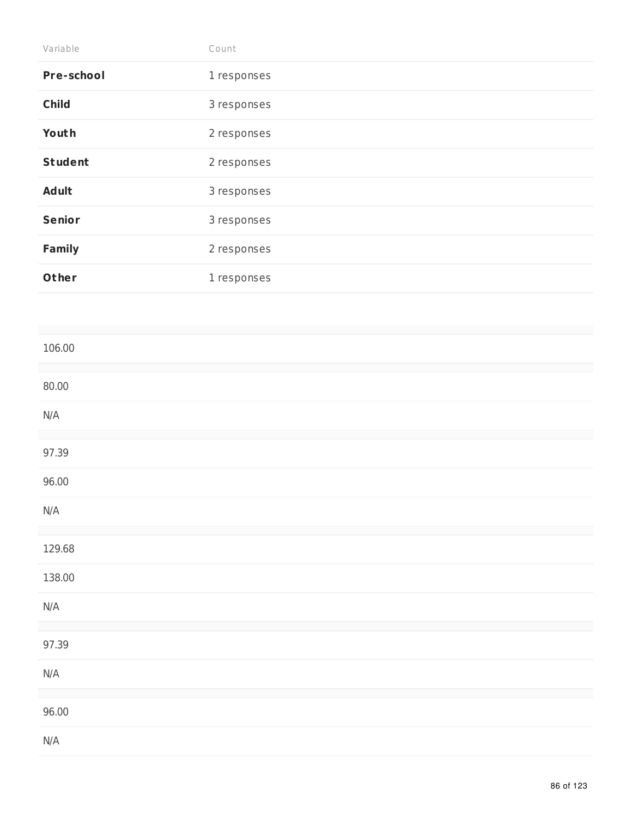| Variable          | Count       |
|-------------------|-------------|
| <b>Pre-school</b> | 1 responses |
| <b>Child</b>      | 3 responses |
| Youth             | 2 responses |
| <b>Student</b>    | 2 responses |
| <b>Adult</b>      | 3 responses |
| <b>Senior</b>     | 3 responses |
| <b>Family</b>     | 2 responses |
| Other             | 1 responses |

| 106.00                  |  |
|-------------------------|--|
| 80.00                   |  |
| N/A                     |  |
| 97.39                   |  |
| 96.00                   |  |
| N/A                     |  |
| 129.68                  |  |
| 138.00                  |  |
| N/A                     |  |
| 97.39                   |  |
| $\mathsf{N}/\mathsf{A}$ |  |
| 96.00                   |  |
| $\mathsf{N}/\mathsf{A}$ |  |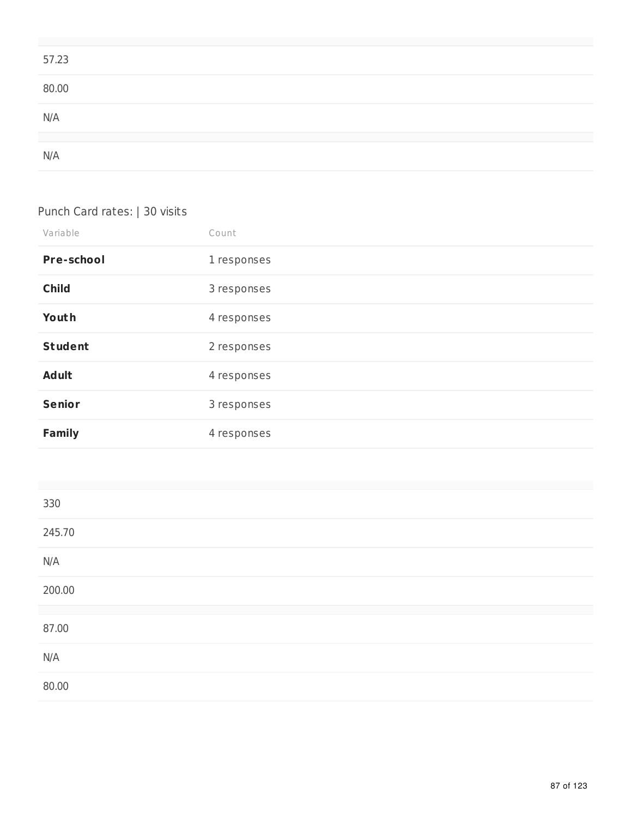| 57.23 |  |  |
|-------|--|--|
| 80.00 |  |  |
| N/A   |  |  |
| N/A   |  |  |

## Punch Card rates: | 30 visits

| Variable          | Count       |
|-------------------|-------------|
| <b>Pre-school</b> | 1 responses |
| <b>Child</b>      | 3 responses |
| Youth             | 4 responses |
| <b>Student</b>    | 2 responses |
| <b>Adult</b>      | 4 responses |
| <b>Senior</b>     | 3 responses |
| <b>Family</b>     | 4 responses |

| 330    |  |
|--------|--|
| 245.70 |  |
| N/A    |  |
| 200.00 |  |
| 87.00  |  |
| N/A    |  |
| 80.00  |  |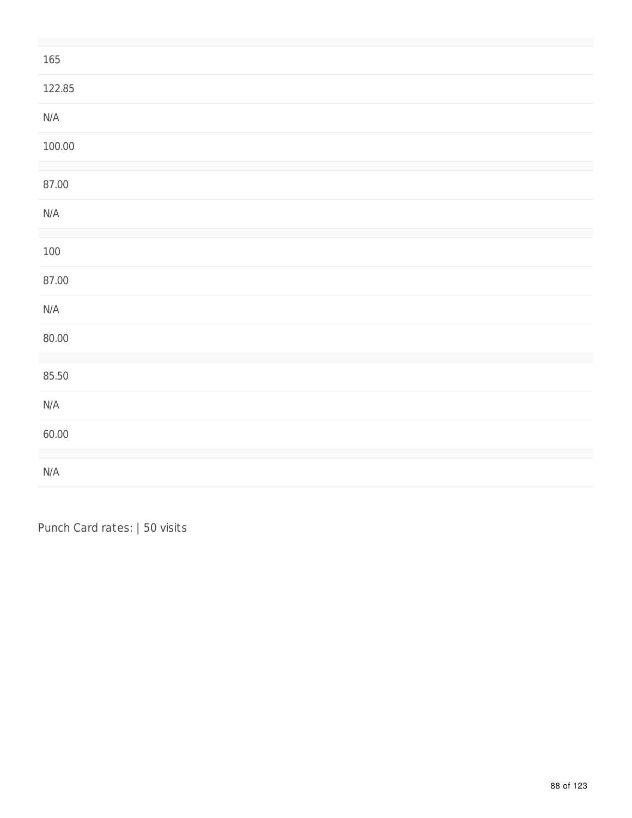| 165                     |  |
|-------------------------|--|
| 122.85                  |  |
| N/A                     |  |
| 100.00                  |  |
| 87.00                   |  |
| $\mathsf{N}/\mathsf{A}$ |  |
| 100                     |  |
| 87.00                   |  |
| $\mathsf{N}/\mathsf{A}$ |  |
| 80.00                   |  |
| 85.50                   |  |
| $\mathsf{N}/\mathsf{A}$ |  |
| 60.00                   |  |
| $\mathsf{N}/\mathsf{A}$ |  |

Punch Card rates: | 50 visits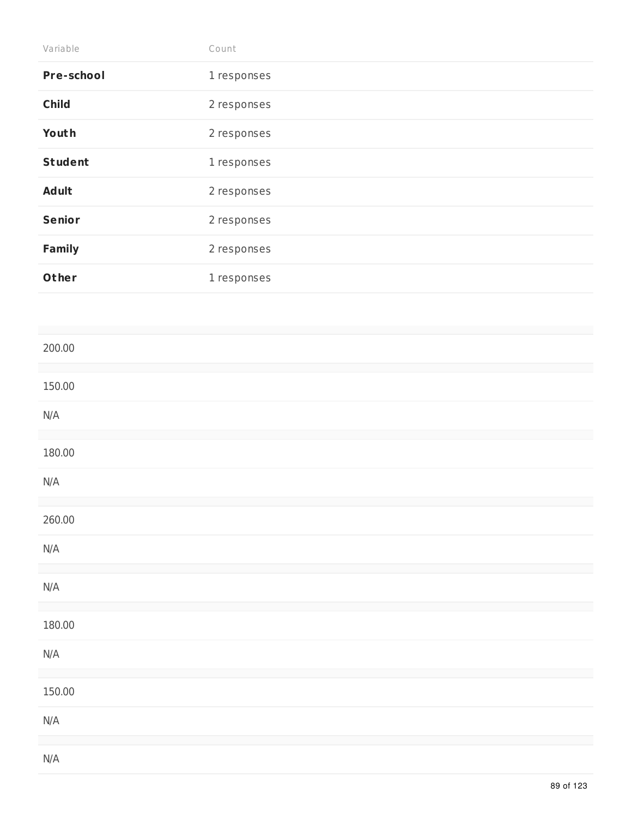| Variable          | Count       |
|-------------------|-------------|
| <b>Pre-school</b> | 1 responses |
| <b>Child</b>      | 2 responses |
| Youth             | 2 responses |
| <b>Student</b>    | 1 responses |
| <b>Adult</b>      | 2 responses |
| <b>Senior</b>     | 2 responses |
| <b>Family</b>     | 2 responses |
| Other             | 1 responses |
|                   |             |

| 200.00                  |  |  |  |
|-------------------------|--|--|--|
| 150.00                  |  |  |  |
| $\mathsf{N}/\mathsf{A}$ |  |  |  |
| 180.00                  |  |  |  |
| $\mathsf{N}/\mathsf{A}$ |  |  |  |
| 260.00                  |  |  |  |
| $\mathsf{N}/\mathsf{A}$ |  |  |  |
| $\mathsf{N}/\mathsf{A}$ |  |  |  |
| 180.00                  |  |  |  |
| $\mathsf{N}/\mathsf{A}$ |  |  |  |
| 150.00                  |  |  |  |
| $\mathsf{N}/\mathsf{A}$ |  |  |  |
| $\mathsf{N}/\mathsf{A}$ |  |  |  |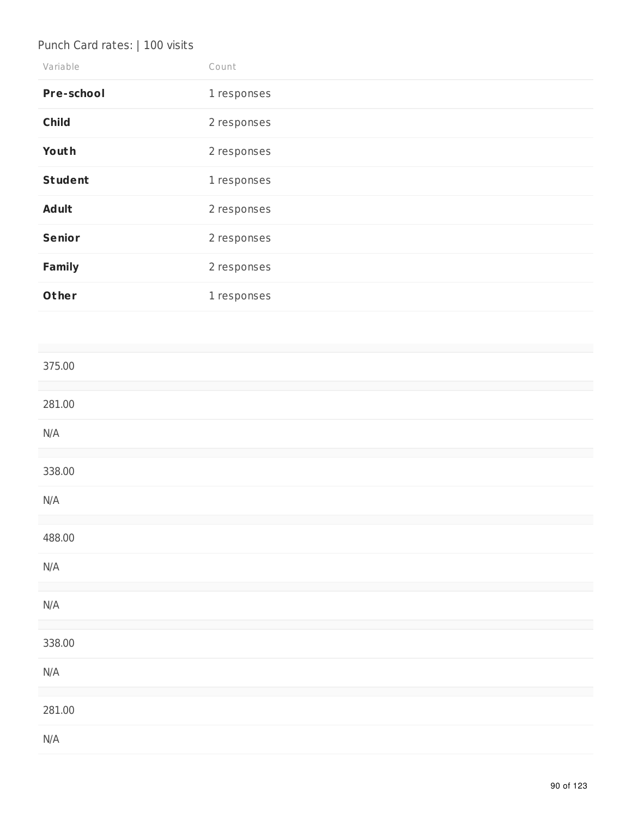# Punch Card rates: | 100 visits

| Variable          | Count       |
|-------------------|-------------|
| <b>Pre-school</b> | 1 responses |
| <b>Child</b>      | 2 responses |
| Youth             | 2 responses |
| <b>Student</b>    | 1 responses |
| <b>Adult</b>      | 2 responses |
| <b>Senior</b>     | 2 responses |
| <b>Family</b>     | 2 responses |
| Other             | 1 responses |

| 375.00                  |  |
|-------------------------|--|
| 281.00                  |  |
| $\mathsf{N}/\mathsf{A}$ |  |
| 338.00                  |  |
| $\mathsf{N}/\mathsf{A}$ |  |
| 488.00                  |  |
| $\mathsf{N}/\mathsf{A}$ |  |
| $\mathsf{N}/\mathsf{A}$ |  |
| 338.00                  |  |
| $\mathsf{N}/\mathsf{A}$ |  |
| 281.00                  |  |
| N/A                     |  |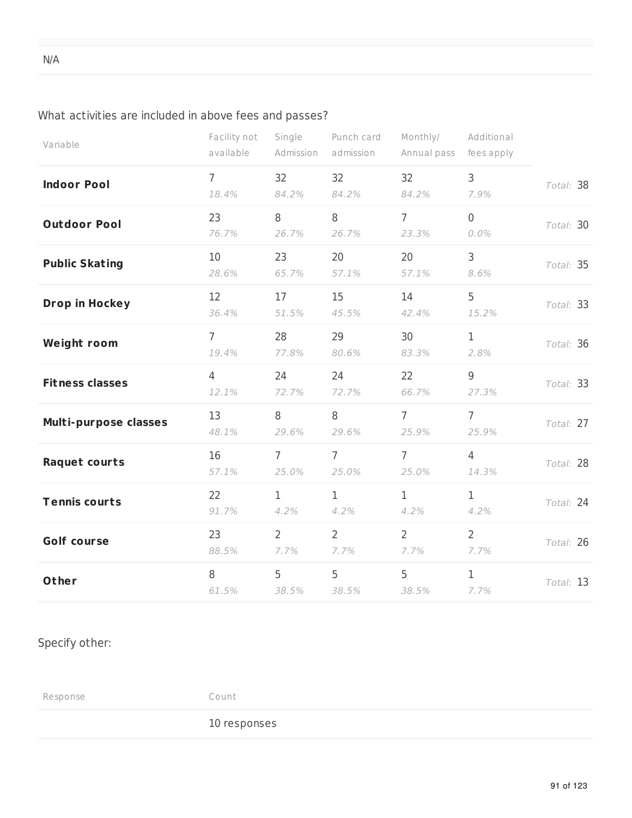## What activities are included in above fees and passes?

| Variable               | Facility not<br>available | Single<br>Admission    | Punch card<br>admission | Monthly/<br>Annual pass | Additional<br>fees apply |           |
|------------------------|---------------------------|------------------------|-------------------------|-------------------------|--------------------------|-----------|
| <b>Indoor Pool</b>     | $\overline{7}$<br>18.4%   | 32<br>84.2%            | 32<br>84.2%             | 32<br>84.2%             | $\mathsf{3}$<br>7.9%     | Total: 38 |
| <b>Outdoor Pool</b>    | 23<br>76.7%               | 8<br>26.7%             | 8<br>26.7%              | $\overline{7}$<br>23.3% | $\overline{0}$<br>0.0%   | Total: 30 |
| <b>Public Skating</b>  | 10<br>28.6%               | 23<br>65.7%            | 20<br>57.1%             | 20<br>57.1%             | 3<br>8.6%                | Total: 35 |
| <b>Drop in Hockey</b>  | 12<br>36.4%               | 17<br>51.5%            | 15<br>45.5%             | 14<br>42.4%             | 5<br>15.2%               | Total: 33 |
| <b>Weight room</b>     | $\overline{7}$<br>19.4%   | 28<br>77.8%            | 29<br>80.6%             | 30<br>83.3%             | $\mathbf{1}$<br>2.8%     | Total: 36 |
| <b>Fitness classes</b> | $\overline{4}$<br>12.1%   | 24<br>72.7%            | 24<br>72.7%             | 22<br>66.7%             | 9<br>27.3%               | Total: 33 |
| Multi-purpose classes  | 13<br>48.1%               | 8<br>29.6%             | 8<br>29.6%              | $\overline{7}$<br>25.9% | $\overline{7}$<br>25.9%  | Total: 27 |
| Raquet courts          | 16<br>57.1%               | $7^{\circ}$<br>25.0%   | $7^{\circ}$<br>25.0%    | $\overline{7}$<br>25.0% | $\overline{4}$<br>14.3%  | Total: 28 |
| <b>Tennis courts</b>   | 22<br>91.7%               | $\mathbf{1}$<br>4.2%   | $\mathbf{1}$<br>4.2%    | $\mathbf 1$<br>4.2%     | $\mathbf 1$<br>4.2%      | Total: 24 |
| <b>Golf course</b>     | 23<br>88.5%               | $\overline{2}$<br>7.7% | $\overline{2}$<br>7.7%  | $\overline{2}$<br>7.7%  | $\overline{2}$<br>7.7%   | Total: 26 |
| Other                  | 8<br>61.5%                | 5<br>38.5%             | 5<br>38.5%              | 5<br>38.5%              | $\mathbf{1}$<br>7.7%     | Total: 13 |

## Specify other:

Response Count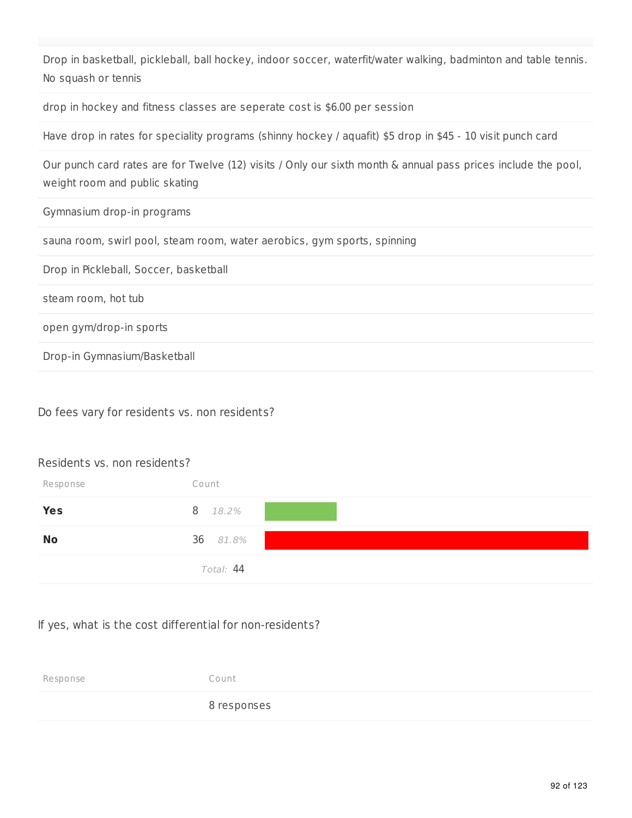Drop in basketball, pickleball, ball hockey, indoor soccer, waterfit/water walking, badminton and table tennis. No squash or tennis

drop in hockey and fitness classes are seperate cost is \$6.00 per session

Have drop in rates for speciality programs (shinny hockey / aquafit) \$5 drop in \$45 - 10 visit punch card

Our punch card rates are for Twelve (12) visits / Only our sixth month & annual pass prices include the pool, weight room and public skating

Gymnasium drop-in programs

sauna room, swirl pool, steam room, water aerobics, gym sports, spinning

Drop in Pickleball, Soccer, basketball

steam room, hot tub

open gym/drop-in sports

Drop-in Gymnasium/Basketball

Do fees vary for residents vs. non residents?

## Residents vs. non residents?

| Response   | Count     |
|------------|-----------|
| <b>Yes</b> | 8 18.2%   |
| <b>No</b>  | 36 81.8%  |
|            | Total: 44 |

## If yes, what is the cost differential for non-residents?

Response Count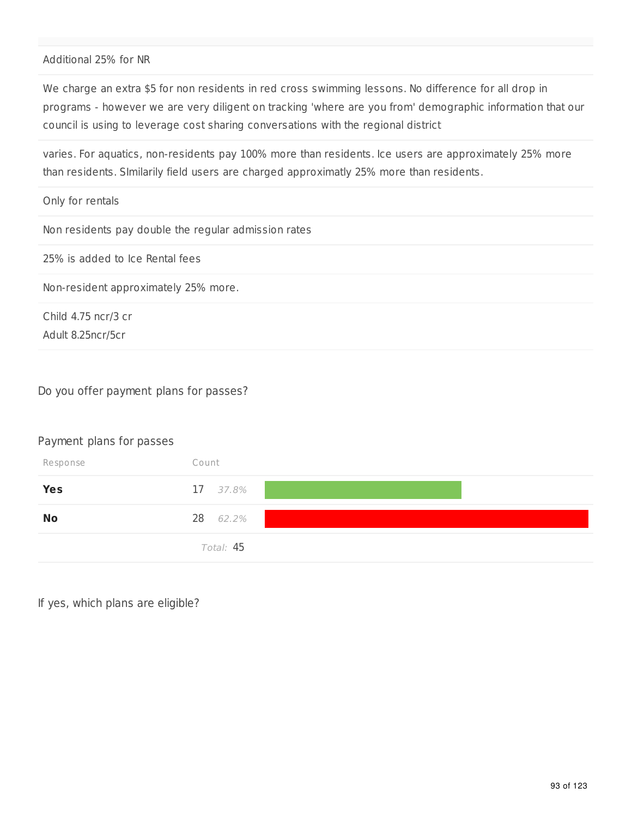## Additional 25% for NR

We charge an extra \$5 for non residents in red cross swimming lessons. No difference for all drop in programs - however we are very diligent on tracking 'where are you from' demographic information that our council is using to leverage cost sharing conversations with the regional district

varies. For aquatics, non-residents pay 100% more than residents. Ice users are approximately 25% more than residents. SImilarily field users are charged approximatly 25% more than residents.

| Only for rentals                                     |
|------------------------------------------------------|
| Non residents pay double the regular admission rates |
| 25% is added to Ice Rental fees                      |
| Non-resident approximately 25% more.                 |
| Child 4.75 ncr/3 cr                                  |

Do you offer payment plans for passes?

#### Payment plans for passes

Adult 8.25ncr/5cr

| Response   | Count     |
|------------|-----------|
| <b>Yes</b> | 17 37.8%  |
| <b>No</b>  | 28 62.2%  |
|            | Total: 45 |

If yes, which plans are eligible?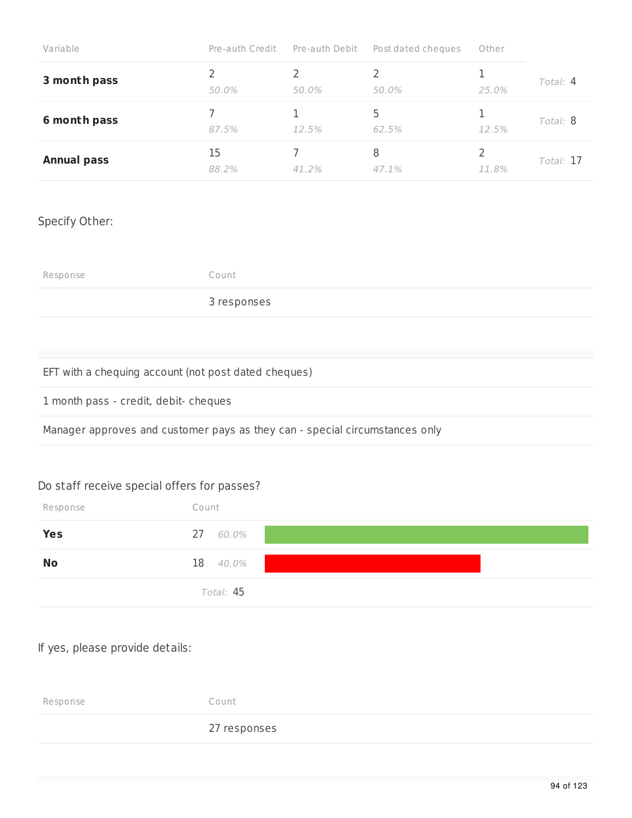| Variable           | Pre-auth Credit Pre-auth Debit |       | Post dated cheques | Other |            |
|--------------------|--------------------------------|-------|--------------------|-------|------------|
| 3 month pass       | 50.0%                          | 50.0% | 50.0%              | 25.0% | Total: $4$ |
| 6 month pass       | 87.5%                          | 12.5% | 62.5%              | 12.5% | Total: 8   |
| <b>Annual pass</b> | 15<br>88.2%                    | 41 2% | 8<br>47.1%         | 11.8% | Total: 17  |

## Specify Other:

Response Count

3 responses

## EFT with a chequing account (not post dated cheques)

1 month pass - credit, debit- cheques

Manager approves and customer pays as they can - special circumstances only

## Do staff receive special offers for passes?

| Response   | Count     |
|------------|-----------|
| <b>Yes</b> | 27 60.0%  |
| <b>No</b>  | 18 40.0%  |
|            | Total: 45 |

## If yes, please provide details:

Response Count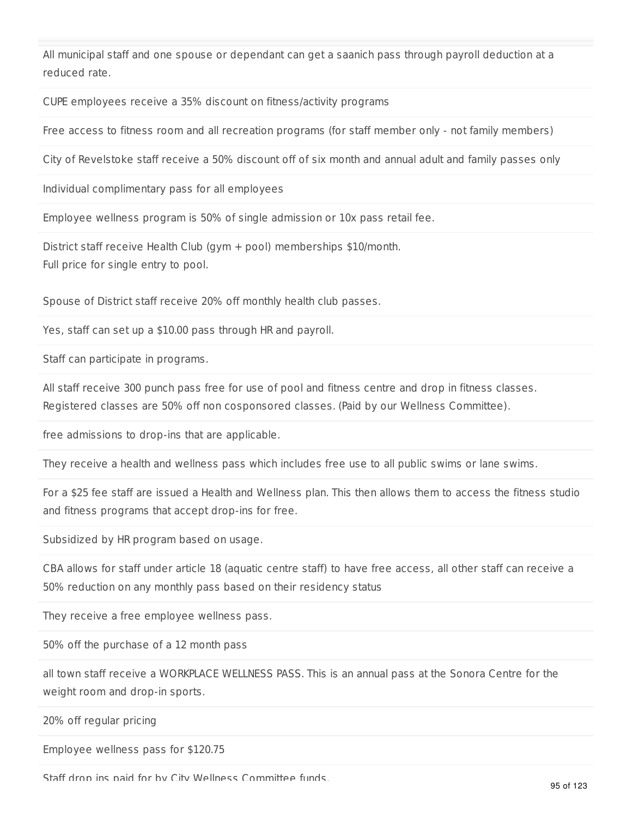All municipal staff and one spouse or dependant can get a saanich pass through payroll deduction at a reduced rate.

CUPE employees receive a 35% discount on fitness/activity programs

Free access to fitness room and all recreation programs (for staff member only - not family members)

City of Revelstoke staff receive a 50% discount off of six month and annual adult and family passes only

Individual complimentary pass for all employees

Employee wellness program is 50% of single admission or 10x pass retail fee.

District staff receive Health Club (gym + pool) memberships \$10/month. Full price for single entry to pool.

Spouse of District staff receive 20% off monthly health club passes.

Yes, staff can set up a \$10.00 pass through HR and payroll.

Staff can participate in programs.

All staff receive 300 punch pass free for use of pool and fitness centre and drop in fitness classes. Registered classes are 50% off non cosponsored classes. (Paid by our Wellness Committee).

free admissions to drop-ins that are applicable.

They receive a health and wellness pass which includes free use to all public swims or lane swims.

For a \$25 fee staff are issued a Health and Wellness plan. This then allows them to access the fitness studio and fitness programs that accept drop-ins for free.

Subsidized by HR program based on usage.

CBA allows for staff under article 18 (aquatic centre staff) to have free access, all other staff can receive a 50% reduction on any monthly pass based on their residency status

They receive a free employee wellness pass.

50% off the purchase of a 12 month pass

all town staff receive a WORKPLACE WELLNESS PASS. This is an annual pass at the Sonora Centre for the weight room and drop-in sports.

20% off regular pricing

Employee wellness pass for \$120.75

Staff drop ins paid for by City Wellness Committee funds.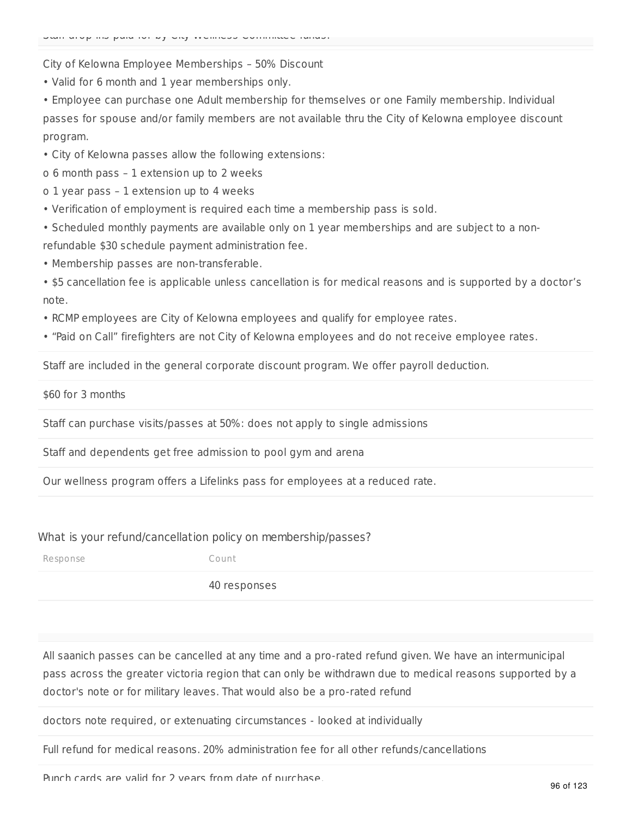Staff drop ins paid for by City Wellness Committee funds.

City of Kelowna Employee Memberships – 50% Discount

• Valid for 6 month and 1 year memberships only.

• Employee can purchase one Adult membership for themselves or one Family membership. Individual passes for spouse and/or family members are not available thru the City of Kelowna employee discount program.

• City of Kelowna passes allow the following extensions:

o 6 month pass – 1 extension up to 2 weeks

o 1 year pass – 1 extension up to 4 weeks

• Verification of employment is required each time a membership pass is sold.

• Scheduled monthly payments are available only on 1 year memberships and are subject to a nonrefundable \$30 schedule payment administration fee.

• Membership passes are non-transferable.

• \$5 cancellation fee is applicable unless cancellation is for medical reasons and is supported by a doctor's note.

• RCMP employees are City of Kelowna employees and qualify for employee rates.

• "Paid on Call" firefighters are not City of Kelowna employees and do not receive employee rates.

Staff are included in the general corporate discount program. We offer payroll deduction.

\$60 for 3 months

Staff can purchase visits/passes at 50%: does not apply to single admissions

Staff and dependents get free admission to pool gym and arena

Our wellness program offers a Lifelinks pass for employees at a reduced rate.

#### What is your refund/cancellation policy on membership/passes?

Response Count

40 responses

All saanich passes can be cancelled at any time and a pro-rated refund given. We have an intermunicipal pass across the greater victoria region that can only be withdrawn due to medical reasons supported by a doctor's note or for military leaves. That would also be a pro-rated refund

doctors note required, or extenuating circumstances - looked at individually

Full refund for medical reasons. 20% administration fee for all other refunds/cancellations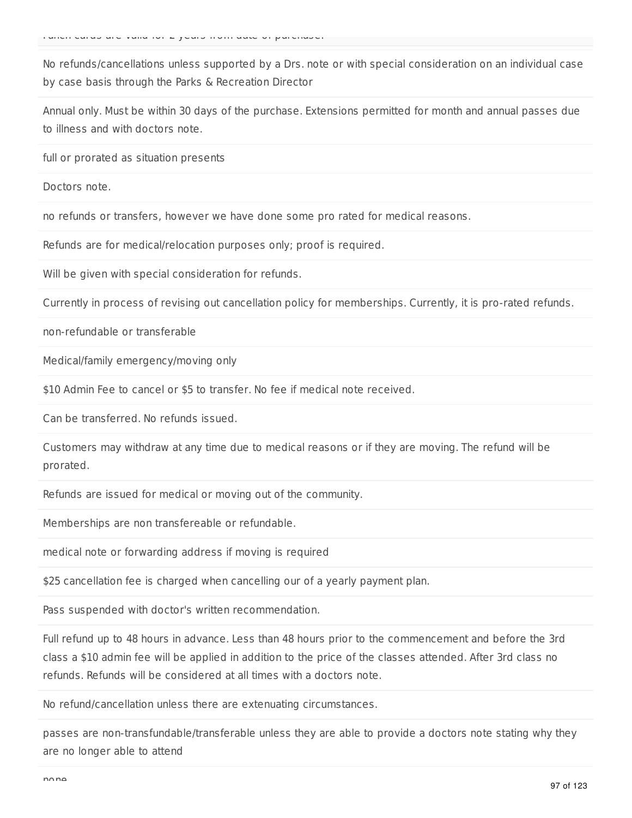No refunds/cancellations unless supported by a Drs. note or with special consideration on an individual case by case basis through the Parks & Recreation Director

Annual only. Must be within 30 days of the purchase. Extensions permitted for month and annual passes due to illness and with doctors note.

full or prorated as situation presents

Doctors note.

no refunds or transfers, however we have done some pro rated for medical reasons.

Refunds are for medical/relocation purposes only; proof is required.

Will be given with special consideration for refunds.

Currently in process of revising out cancellation policy for memberships. Currently, it is pro-rated refunds.

non-refundable or transferable

Medical/family emergency/moving only

\$10 Admin Fee to cancel or \$5 to transfer. No fee if medical note received.

Can be transferred. No refunds issued.

Customers may withdraw at any time due to medical reasons or if they are moving. The refund will be prorated.

Refunds are issued for medical or moving out of the community.

Memberships are non transfereable or refundable.

medical note or forwarding address if moving is required

\$25 cancellation fee is charged when cancelling our of a yearly payment plan.

Pass suspended with doctor's written recommendation.

Full refund up to 48 hours in advance. Less than 48 hours prior to the commencement and before the 3rd class a \$10 admin fee will be applied in addition to the price of the classes attended. After 3rd class no refunds. Refunds will be considered at all times with a doctors note.

No refund/cancellation unless there are extenuating circumstances.

passes are non-transfundable/transferable unless they are able to provide a doctors note stating why they are no longer able to attend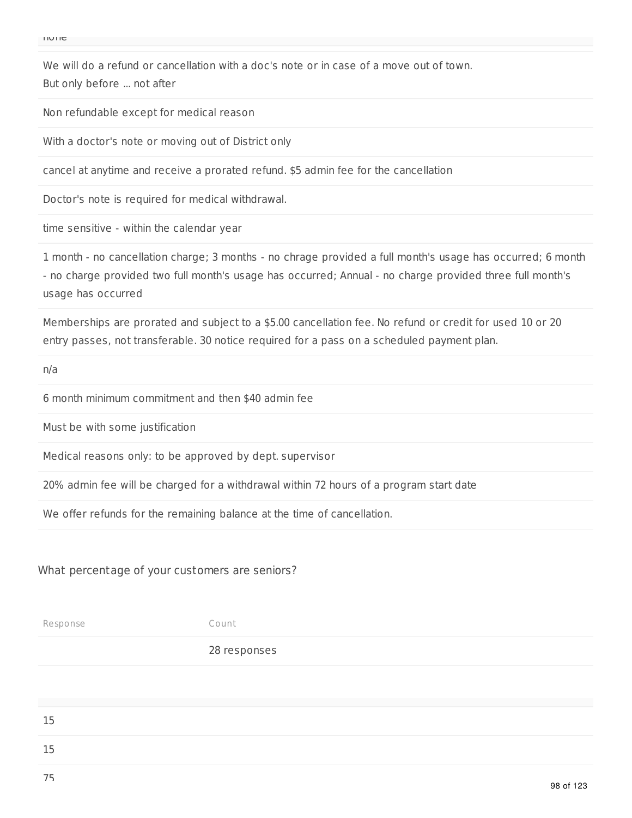We will do a refund or cancellation with a doc's note or in case of a move out of town. But only before ... not after

Non refundable except for medical reason

With a doctor's note or moving out of District only

cancel at anytime and receive a prorated refund. \$5 admin fee for the cancellation

Doctor's note is required for medical withdrawal.

time sensitive - within the calendar year

1 month - no cancellation charge; 3 months - no chrage provided a full month's usage has occurred; 6 month - no charge provided two full month's usage has occurred; Annual - no charge provided three full month's usage has occurred

Memberships are prorated and subject to a \$5.00 cancellation fee. No refund or credit for used 10 or 20 entry passes, not transferable. 30 notice required for a pass on a scheduled payment plan.

n/a

6 month minimum commitment and then \$40 admin fee

Must be with some justification

Medical reasons only: to be approved by dept. supervisor

20% admin fee will be charged for a withdrawal within 72 hours of a program start date

We offer refunds for the remaining balance at the time of cancellation.

#### What percentage of your customers are seniors?

Response Count

| 15 |  |                      |
|----|--|----------------------|
| 15 |  |                      |
| 75 |  | $\sim$ $\sim$ $\sim$ |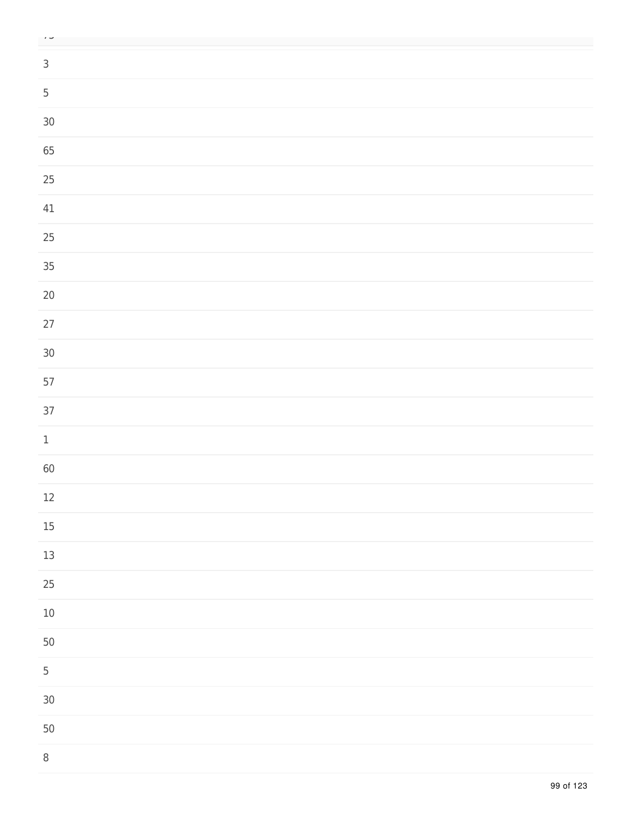| $\overline{\phantom{a}}$ |  |  |
|--------------------------|--|--|
| $\mathsf{3}$             |  |  |
|                          |  |  |
| $\overline{5}$           |  |  |
| $30\,$                   |  |  |
| 65                       |  |  |
| $25\,$                   |  |  |
| $41\,$                   |  |  |
| $25\,$                   |  |  |
| $35\,$                   |  |  |
| $20\,$                   |  |  |
| $27\,$                   |  |  |
| $30\,$                   |  |  |
| 57                       |  |  |
| 37                       |  |  |
| $\mathbf 1$              |  |  |
| 60                       |  |  |
| 12                       |  |  |
| $15\,$                   |  |  |
| $13\,$                   |  |  |
| $25\,$                   |  |  |
| $10\,$                   |  |  |
| 50                       |  |  |
| $\overline{5}$           |  |  |
| $30\,$                   |  |  |
| 50                       |  |  |
| 8                        |  |  |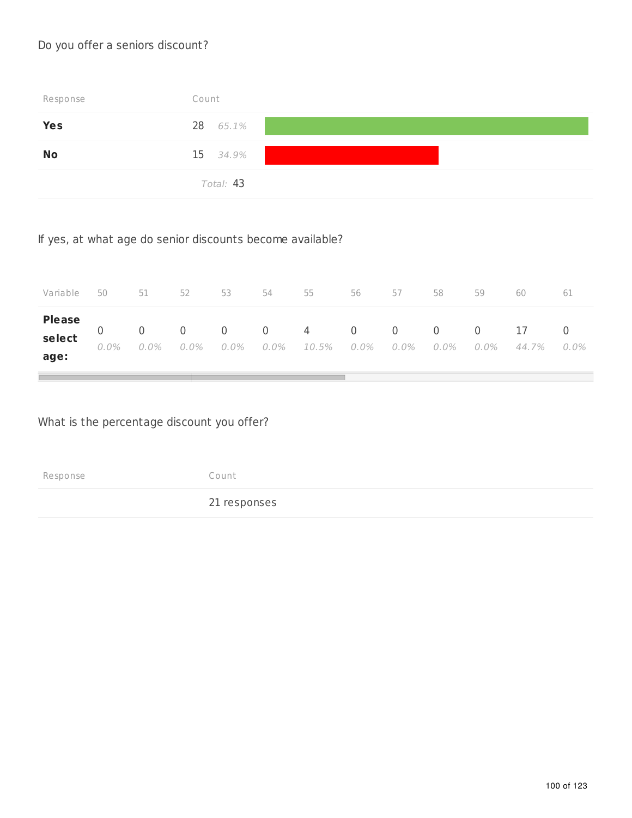## Do you offer a seniors discount?

| Response  | Count     |
|-----------|-----------|
| Yes       | 28 65.1%  |
| <b>No</b> | 15 34.9%  |
|           | Total: 43 |

If yes, at what age do senior discounts become available?

| Variable                | 50      | 51   | 52 | 53 | 54 — 1 | 55                                                     | 56 | 57 | 58   | 59   | 60          | 61   |
|-------------------------|---------|------|----|----|--------|--------------------------------------------------------|----|----|------|------|-------------|------|
| <b>Please</b><br>select | $0.0\%$ | 0.0% |    |    |        | 0 0 0 0 4 0 0 0 0<br>$0.0\%$ 0.0% 0.0% 10.5% 0.0% 0.0% |    |    | 0.0% | 0.0% | 17<br>44.7% | 0.0% |
| age:                    |         |      |    |    |        |                                                        |    |    |      |      |             |      |

What is the percentage discount you offer?

Response Count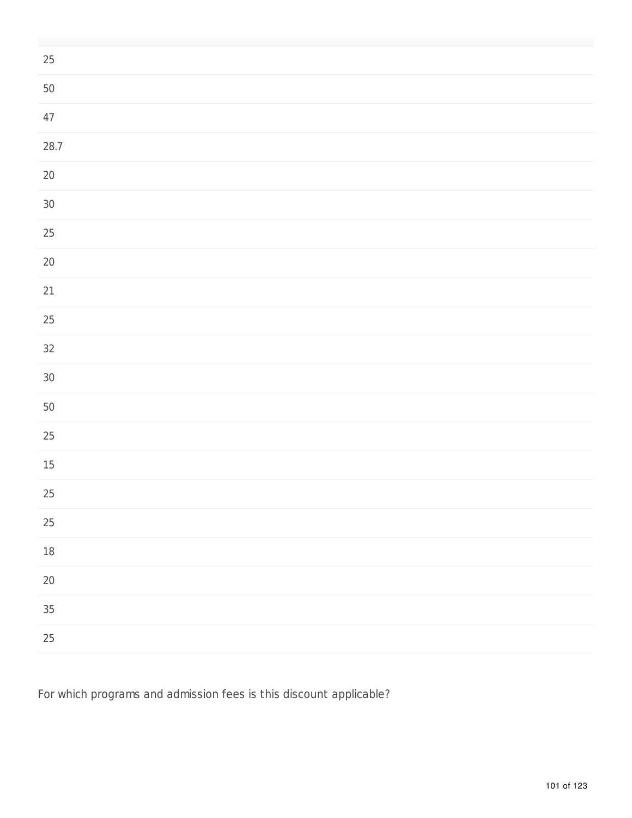| $25\,$ |  |
|--------|--|
| 50     |  |
| $47\,$ |  |
| 28.7   |  |
| $20\,$ |  |
| $30\,$ |  |
| $25\,$ |  |
| $20\,$ |  |
| $21\,$ |  |
| $25\,$ |  |
| $32\,$ |  |
| $30\,$ |  |
| 50     |  |
| 25     |  |
| $15\,$ |  |
| 25     |  |
| $25\,$ |  |
| $18\,$ |  |
| $20\,$ |  |
| $35\,$ |  |
| $25\,$ |  |

For which programs and admission fees is this discount applicable?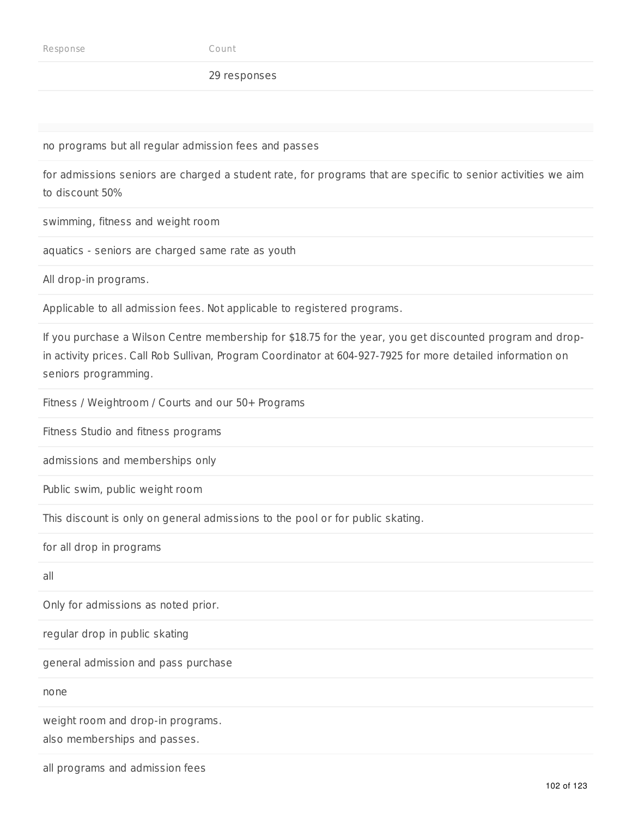#### 29 responses

no programs but all regular admission fees and passes

for admissions seniors are charged a student rate, for programs that are specific to senior activities we aim to discount 50%

swimming, fitness and weight room

aquatics - seniors are charged same rate as youth

All drop-in programs.

Applicable to all admission fees. Not applicable to registered programs.

If you purchase a Wilson Centre membership for \$18.75 for the year, you get discounted program and dropin activity prices. Call Rob Sullivan, Program Coordinator at 604-927-7925 for more detailed information on seniors programming.

Fitness / Weightroom / Courts and our 50+ Programs

Fitness Studio and fitness programs

admissions and memberships only

Public swim, public weight room

This discount is only on general admissions to the pool or for public skating.

for all drop in programs

all

Only for admissions as noted prior.

regular drop in public skating

general admission and pass purchase

none

weight room and drop-in programs.

also memberships and passes.

all programs and admission fees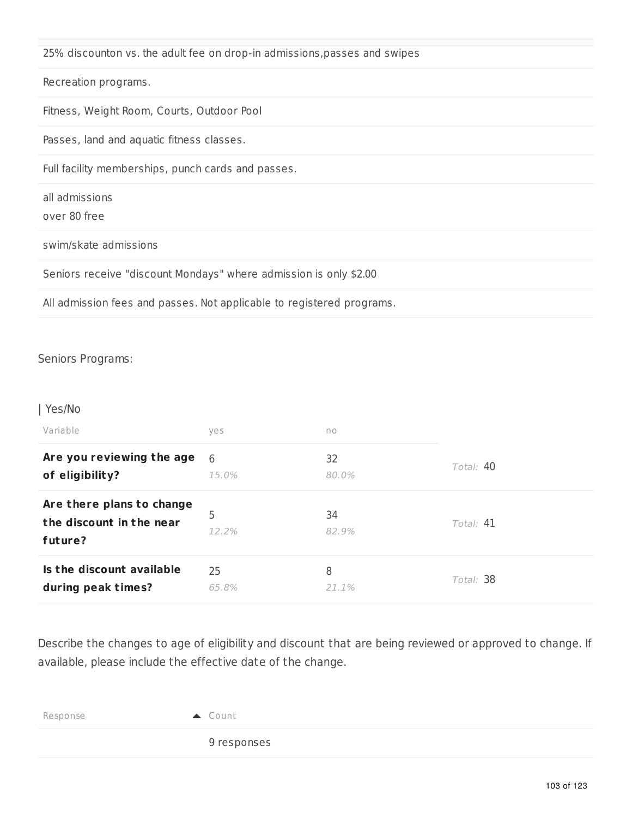|  |  |  |  |  | 25% discounton vs. the adult fee on drop-in admissions,passes and swipes |  |
|--|--|--|--|--|--------------------------------------------------------------------------|--|
|--|--|--|--|--|--------------------------------------------------------------------------|--|

Recreation programs.

Fitness, Weight Room, Courts, Outdoor Pool

Passes, land and aquatic fitness classes.

Full facility memberships, punch cards and passes.

| all admissions |  |
|----------------|--|
|----------------|--|

over 80 free

swim/skate admissions

Seniors receive "discount Mondays" where admission is only \$2.00

All admission fees and passes. Not applicable to registered programs.

### Seniors Programs:

#### | Yes/No

| Variable                                                         | yes              | no          |           |
|------------------------------------------------------------------|------------------|-------------|-----------|
| Are you reviewing the age                                        | $6 \overline{6}$ | 32          | Total: 40 |
| of eligibility?                                                  | 15.0%            | 80.0%       |           |
| Are there plans to change<br>the discount in the near<br>future? | 5<br>12.2%       | 34<br>82.9% | Total: 41 |
| Is the discount available                                        | 25               | 8           | Total: 38 |
| during peak times?                                               | 65.8%            | 21.1%       |           |

Describe the changes to age of eligibility and discount that are being reviewed or approved to change. If available, please include the effective date of the change.

| Response |  |
|----------|--|
|          |  |

9 responses

Count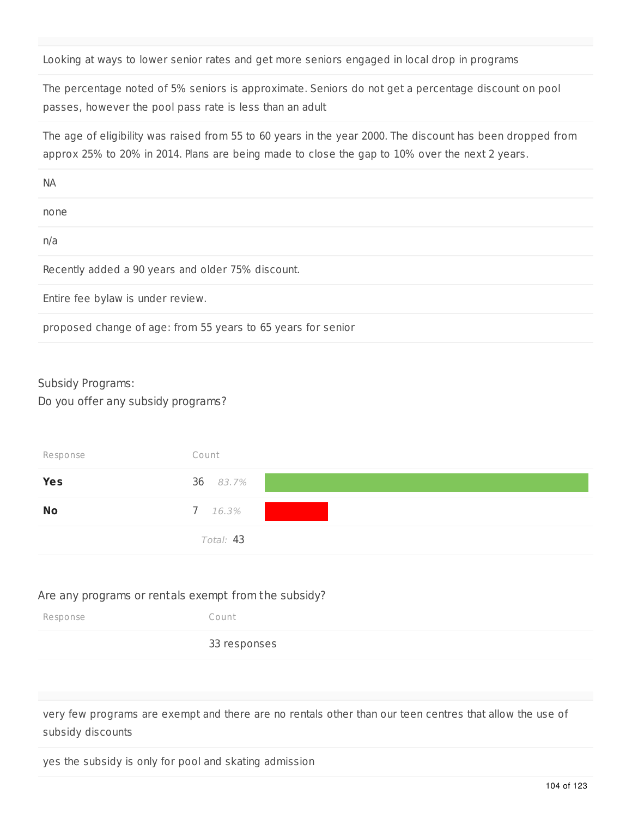Looking at ways to lower senior rates and get more seniors engaged in local drop in programs

The percentage noted of 5% seniors is approximate. Seniors do not get a percentage discount on pool passes, however the pool pass rate is less than an adult

The age of eligibility was raised from 55 to 60 years in the year 2000. The discount has been dropped from approx 25% to 20% in 2014. Plans are being made to close the gap to 10% over the next 2 years.

| <b>NA</b>                                                    |
|--------------------------------------------------------------|
| none                                                         |
| n/a                                                          |
| Recently added a 90 years and older 75% discount.            |
| Entire fee bylaw is under review.                            |
| proposed change of age: from 55 years to 65 years for senior |

### Subsidy Programs:

Do you offer any subsidy programs?

| Response   | Count     |
|------------|-----------|
| <b>Yes</b> | 36 83.7%  |
| <b>No</b>  | 7 16.3%   |
|            | Total: 43 |

## Are any programs or rentals exempt from the subsidy?

| Response | Count        |
|----------|--------------|
|          | 33 responses |

very few programs are exempt and there are no rentals other than our teen centres that allow the use of subsidy discounts

yes the subsidy is only for pool and skating admission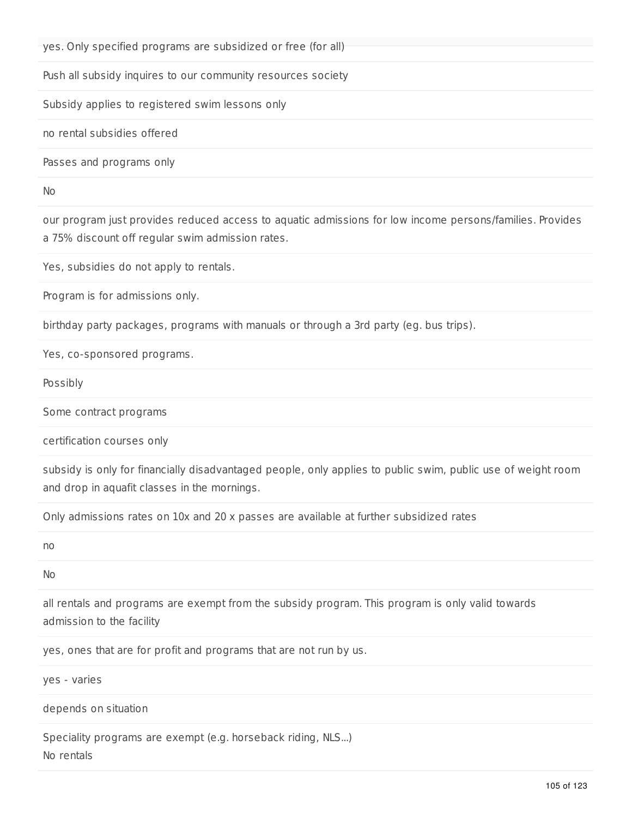yes. Only specified programs are subsidized or free (for all)

Push all subsidy inquires to our community resources society

Subsidy applies to registered swim lessons only

no rental subsidies offered

Passes and programs only

No

our program just provides reduced access to aquatic admissions for low income persons/families. Provides a 75% discount off regular swim admission rates.

Yes, subsidies do not apply to rentals.

Program is for admissions only.

birthday party packages, programs with manuals or through a 3rd party (eg. bus trips).

Yes, co-sponsored programs.

Possibly

Some contract programs

certification courses only

subsidy is only for financially disadvantaged people, only applies to public swim, public use of weight room and drop in aquafit classes in the mornings.

Only admissions rates on 10x and 20 x passes are available at further subsidized rates

no

No

all rentals and programs are exempt from the subsidy program. This program is only valid towards admission to the facility

yes, ones that are for profit and programs that are not run by us.

yes - varies

depends on situation

Speciality programs are exempt (e.g. horseback riding, NLS...) No rentals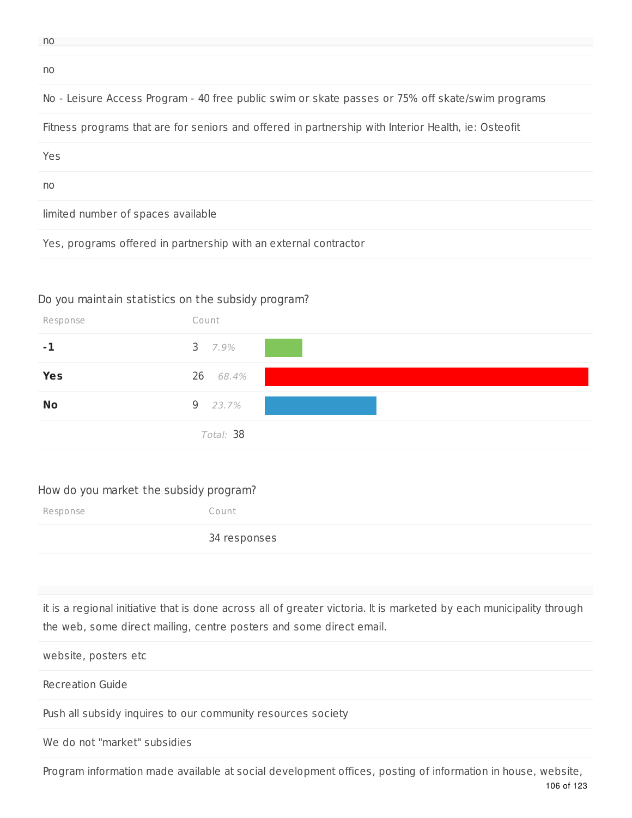| ٠ | v           |
|---|-------------|
|   | I<br>$\sim$ |

no

## No - Leisure Access Program - 40 free public swim or skate passes or 75% off skate/swim programs

Fitness programs that are for seniors and offered in partnership with Interior Health, ie: Osteofit

Yes

no

limited number of spaces available

Yes, programs offered in partnership with an external contractor

### Do you maintain statistics on the subsidy program?



#### How do you market the subsidy program?

Response Count 34 responses

it is a regional initiative that is done across all of greater victoria. It is marketed by each municipality through the web, some direct mailing, centre posters and some direct email.

website, posters etc

Recreation Guide

Push all subsidy inquires to our community resources society

We do not "market" subsidies

106 of 123 Program information made available at social development offices, posting of information in house, website,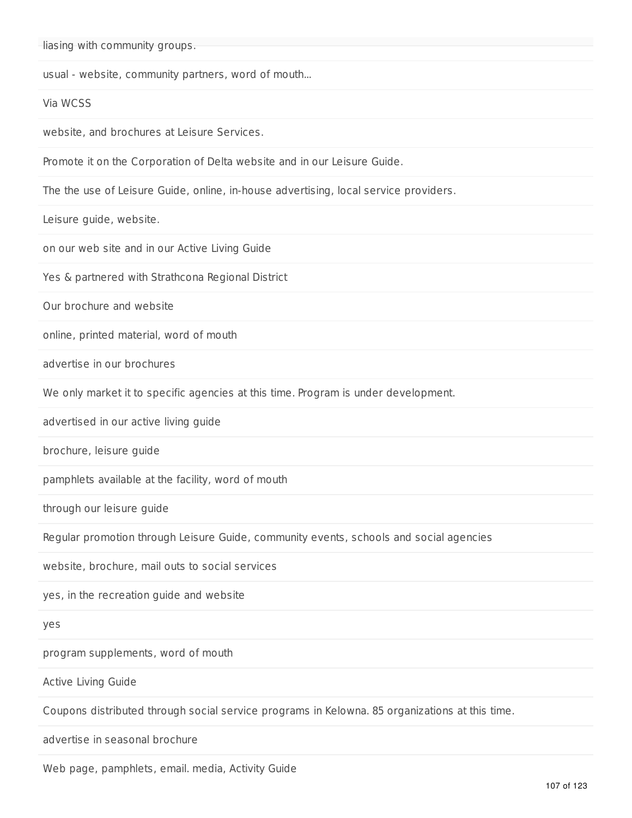liasing with community groups.

usual - website, community partners, word of mouth...

Via WCSS

website, and brochures at Leisure Services.

Promote it on the Corporation of Delta website and in our Leisure Guide.

The the use of Leisure Guide, online, in-house advertising, local service providers.

Leisure guide, website.

on our web site and in our Active Living Guide

Yes & partnered with Strathcona Regional District

Our brochure and website

online, printed material, word of mouth

advertise in our brochures

We only market it to specific agencies at this time. Program is under development.

advertised in our active living guide

brochure, leisure guide

pamphlets available at the facility, word of mouth

through our leisure guide

Regular promotion through Leisure Guide, community events, schools and social agencies

website, brochure, mail outs to social services

yes, in the recreation guide and website

yes

program supplements, word of mouth

Active Living Guide

Coupons distributed through social service programs in Kelowna. 85 organizations at this time.

advertise in seasonal brochure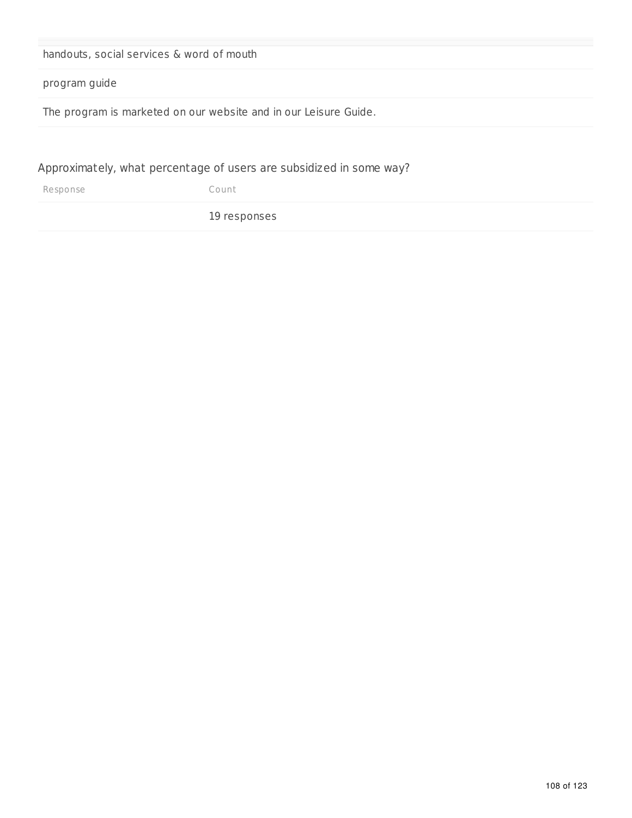| handouts, social services & word of mouth                        |  |  |
|------------------------------------------------------------------|--|--|
| program guide                                                    |  |  |
| The program is marketed on our website and in our Leisure Guide. |  |  |
|                                                                  |  |  |

Approximately, what percentage of users are subsidized in some way?

| Response | Count |
|----------|-------|
|          |       |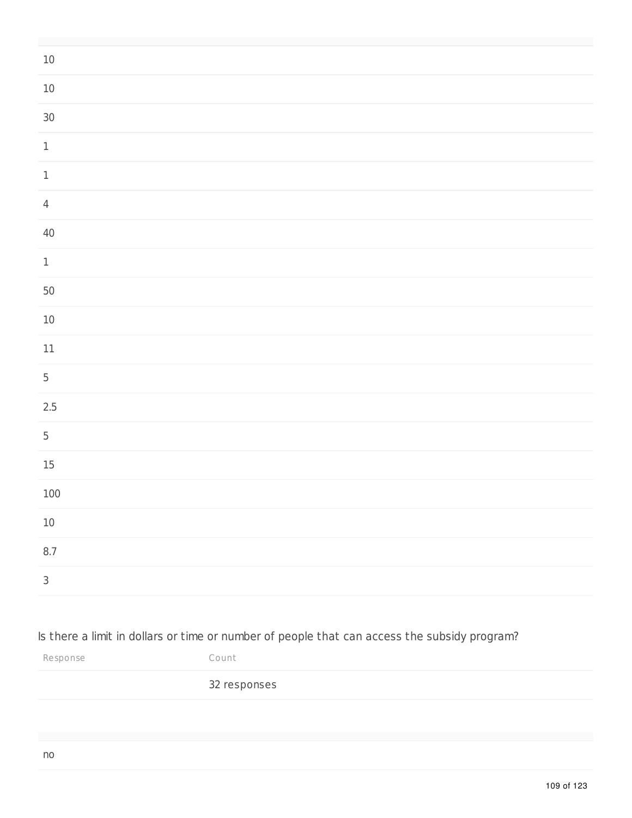| $10\,$                     |  |
|----------------------------|--|
| $10\,$                     |  |
| $30\,$                     |  |
| $\ensuremath{\mathbbm{1}}$ |  |
| $\ensuremath{\mathbbm{1}}$ |  |
| $\overline{4}$             |  |
| $40\,$                     |  |
| $\ensuremath{\mathsf{1}}$  |  |
| 50                         |  |
| $10\,$                     |  |
| $11\,$                     |  |
| $\overline{5}$             |  |
| 2.5                        |  |
| 5                          |  |
| $15\,$                     |  |
| $100\,$                    |  |
| $10\,$                     |  |
| $8.7\,$                    |  |
| $\mathsf{3}$               |  |

# Is there a limit in dollars or time or number of people that can access the subsidy program?

Response Count

## responses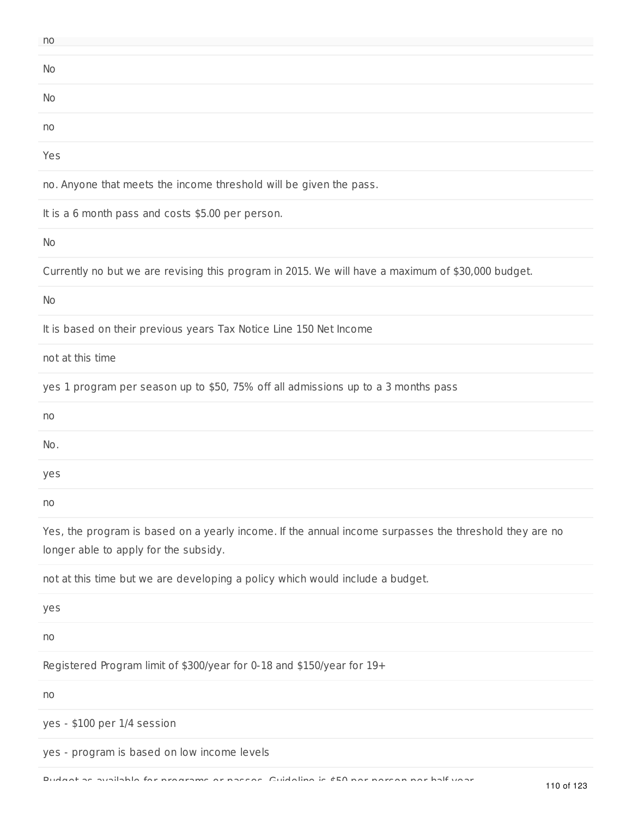| no  |  |
|-----|--|
|     |  |
| No  |  |
|     |  |
| No  |  |
|     |  |
| no  |  |
|     |  |
| Yes |  |
|     |  |

no. Anyone that meets the income threshold will be given the pass.

It is a 6 month pass and costs \$5.00 per person.

No

Currently no but we are revising this program in 2015. We will have a maximum of \$30,000 budget.

No

It is based on their previous years Tax Notice Line 150 Net Income

not at this time

yes 1 program per season up to \$50, 75% off all admissions up to a 3 months pass

| no  |  |  |
|-----|--|--|
| No. |  |  |
| yes |  |  |
| no  |  |  |

Yes, the program is based on a yearly income. If the annual income surpasses the threshold they are no longer able to apply for the subsidy.

not at this time but we are developing a policy which would include a budget.

yes

no

Registered Program limit of \$300/year for 0-18 and \$150/year for 19+

no

yes - \$100 per 1/4 session

yes - program is based on low income levels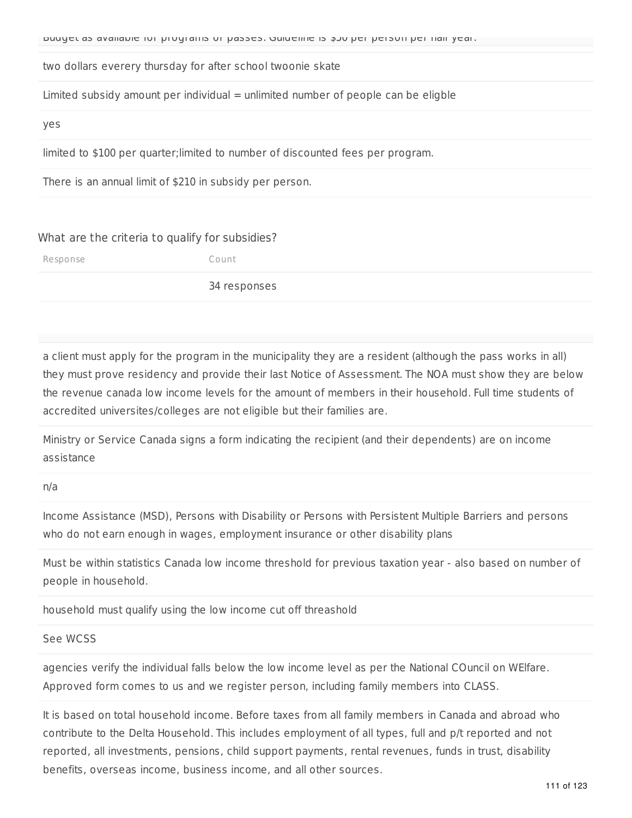two dollars everery thursday for after school twoonie skate

Limited subsidy amount per individual  $=$  unlimited number of people can be eligble

yes

limited to \$100 per quarter;limited to number of discounted fees per program.

There is an annual limit of \$210 in subsidy per person.

### What are the criteria to qualify for subsidies?

Response Count

34 responses

a client must apply for the program in the municipality they are a resident (although the pass works in all) they must prove residency and provide their last Notice of Assessment. The NOA must show they are below the revenue canada low income levels for the amount of members in their household. Full time students of accredited universites/colleges are not eligible but their families are.

Ministry or Service Canada signs a form indicating the recipient (and their dependents) are on income assistance

#### n/a

Income Assistance (MSD), Persons with Disability or Persons with Persistent Multiple Barriers and persons who do not earn enough in wages, employment insurance or other disability plans

Must be within statistics Canada low income threshold for previous taxation year - also based on number of people in household.

household must qualify using the low income cut off threashold

### See WCSS

agencies verify the individual falls below the low income level as per the National COuncil on WElfare. Approved form comes to us and we register person, including family members into CLASS.

It is based on total household income. Before taxes from all family members in Canada and abroad who contribute to the Delta Household. This includes employment of all types, full and p/t reported and not reported, all investments, pensions, child support payments, rental revenues, funds in trust, disability benefits, overseas income, business income, and all other sources.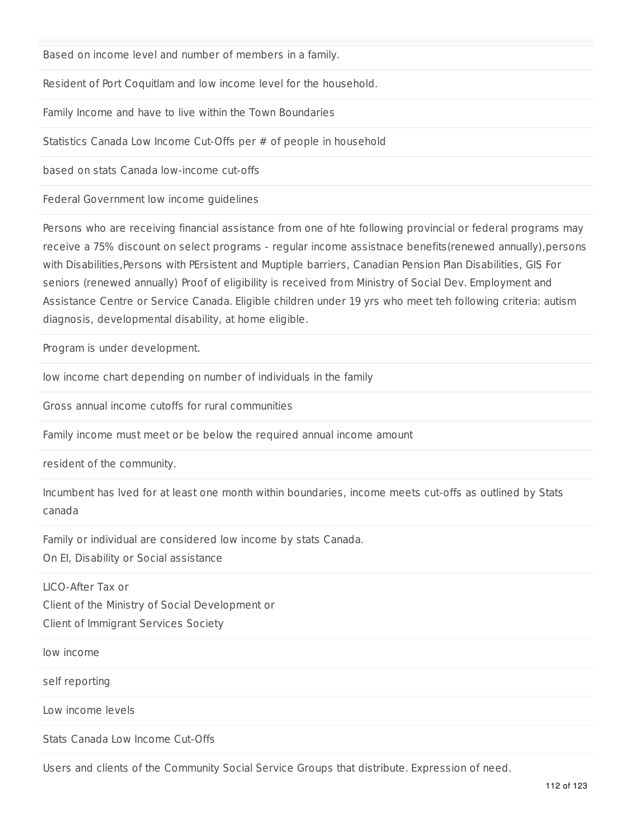Based on income level and number of members in a family.

Resident of Port Coquitlam and low income level for the household.

Family Income and have to live within the Town Boundaries

Statistics Canada Low Income Cut-Offs per # of people in household

based on stats Canada low-income cut-offs

Federal Government low income guidelines

Persons who are receiving financial assistance from one of hte following provincial or federal programs may receive a 75% discount on select programs - regular income assistnace benefits(renewed annually),persons with Disabilities,Persons with PErsistent and Muptiple barriers, Canadian Pension Plan Disabilities, GIS For seniors (renewed annually) Proof of eligibility is received from Ministry of Social Dev. Employment and Assistance Centre or Service Canada. Eligible children under 19 yrs who meet teh following criteria: autism diagnosis, developmental disability, at home eligible.

Program is under development.

low income chart depending on number of individuals in the family

Gross annual income cutoffs for rural communities

Family income must meet or be below the required annual income amount

resident of the community.

Incumbent has lved for at least one month within boundaries, income meets cut-offs as outlined by Stats canada

Family or individual are considered low income by stats Canada. On EI, Disability or Social assistance

LICO-After Tax or Client of the Ministry of Social Development or Client of Immigrant Services Society

low income

self reporting

Low income levels

Stats Canada Low Income Cut-Offs

Users and clients of the Community Social Service Groups that distribute. Expression of need.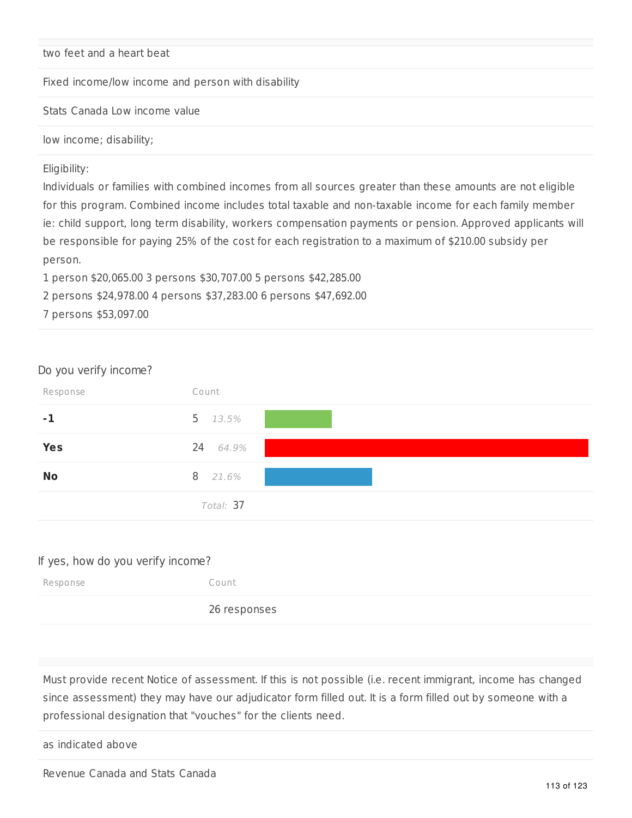### two feet and a heart beat

Fixed income/low income and person with disability

Stats Canada Low income value

low income; disability;

### Eligibility:

Individuals or families with combined incomes from all sources greater than these amounts are not eligible for this program. Combined income includes total taxable and non-taxable income for each family member ie: child support, long term disability, workers compensation payments or pension. Approved applicants will be responsible for paying 25% of the cost for each registration to a maximum of \$210.00 subsidy per person.

1 person \$20,065.00 3 persons \$30,707.00 5 persons \$42,285.00

2 persons \$24,978.00 4 persons \$37,283.00 6 persons \$47,692.00

7 persons \$53,097.00

| Do you verify income? |            |  |
|-----------------------|------------|--|
| Response              | Count      |  |
| $-1$                  | 5 $13.5%$  |  |
| <b>Yes</b>            | 24 64.9%   |  |
| <b>No</b>             | 8<br>21.6% |  |
|                       | Total: 37  |  |

### If yes, how do you verify income?

| Response | Count        |
|----------|--------------|
|          | 26 responses |

Must provide recent Notice of assessment. If this is not possible (i.e. recent immigrant, income has changed since assessment) they may have our adjudicator form filled out. It is a form filled out by someone with a professional designation that "vouches" for the clients need.

as indicated above

Revenue Canada and Stats Canada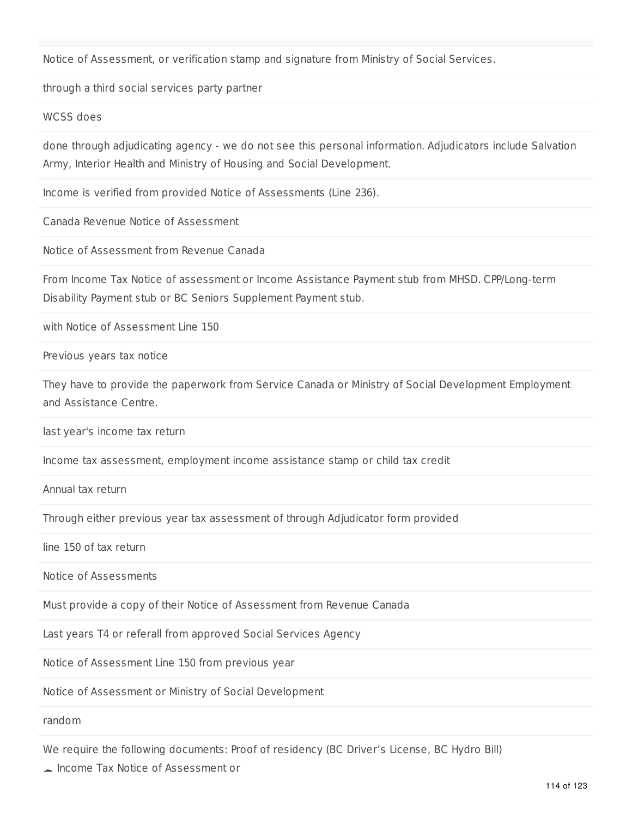Notice of Assessment, or verification stamp and signature from Ministry of Social Services.

through a third social services party partner

WCSS does

done through adjudicating agency - we do not see this personal information. Adjudicators include Salvation Army, Interior Health and Ministry of Housing and Social Development.

Income is verified from provided Notice of Assessments (Line 236).

Canada Revenue Notice of Assessment

Notice of Assessment from Revenue Canada

From Income Tax Notice of assessment or Income Assistance Payment stub from MHSD. CPP/Long-term Disability Payment stub or BC Seniors Supplement Payment stub.

with Notice of Assessment Line 150

Previous years tax notice

They have to provide the paperwork from Service Canada or Ministry of Social Development Employment and Assistance Centre.

last year's income tax return

Income tax assessment, employment income assistance stamp or child tax credit

Annual tax return

Through either previous year tax assessment of through Adjudicator form provided

line 150 of tax return

Notice of Assessments

Must provide a copy of their Notice of Assessment from Revenue Canada

Last years T4 or referall from approved Social Services Agency

Notice of Assessment Line 150 from previous year

Notice of Assessment or Ministry of Social Development

random

We require the following documents: Proof of residency (BC Driver's License, BC Hydro Bill)

Income Tax Notice of Assessment or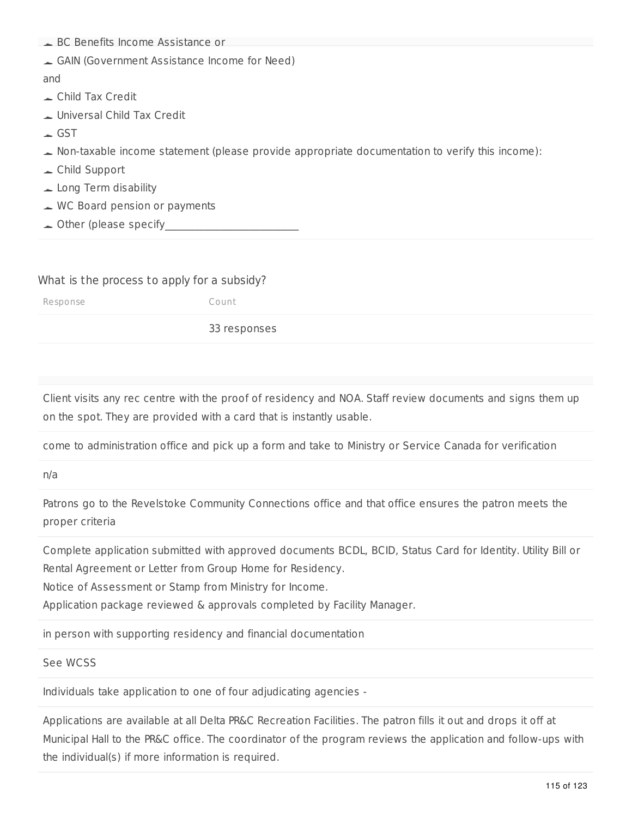| BC Benefits Income Assistance or                                                               |
|------------------------------------------------------------------------------------------------|
| GAIN (Government Assistance Income for Need)                                                   |
| and                                                                                            |
| $\triangle$ Child Tax Credit                                                                   |
| Universal Child Tax Credit                                                                     |
| $\overline{\phantom{0}}$ GST                                                                   |
| Non-taxable income statement (please provide appropriate documentation to verify this income): |
| $\triangle$ Child Support                                                                      |
| $\angle$ Long Term disability                                                                  |
| $\triangle$ WC Board pension or payments                                                       |
| $\triangle$ Other (please specify                                                              |
|                                                                                                |

### What is the process to apply for a subsidy?

Response Count

33 responses

Client visits any rec centre with the proof of residency and NOA. Staff review documents and signs them up on the spot. They are provided with a card that is instantly usable.

come to administration office and pick up a form and take to Ministry or Service Canada for verification

n/a

Patrons go to the Revelstoke Community Connections office and that office ensures the patron meets the proper criteria

Complete application submitted with approved documents BCDL, BCID, Status Card for Identity. Utility Bill or Rental Agreement or Letter from Group Home for Residency.

Notice of Assessment or Stamp from Ministry for Income.

Application package reviewed & approvals completed by Facility Manager.

in person with supporting residency and financial documentation

### See WCSS

Individuals take application to one of four adjudicating agencies -

Applications are available at all Delta PR&C Recreation Facilities. The patron fills it out and drops it off at Municipal Hall to the PR&C office. The coordinator of the program reviews the application and follow-ups with the individual(s) if more information is required.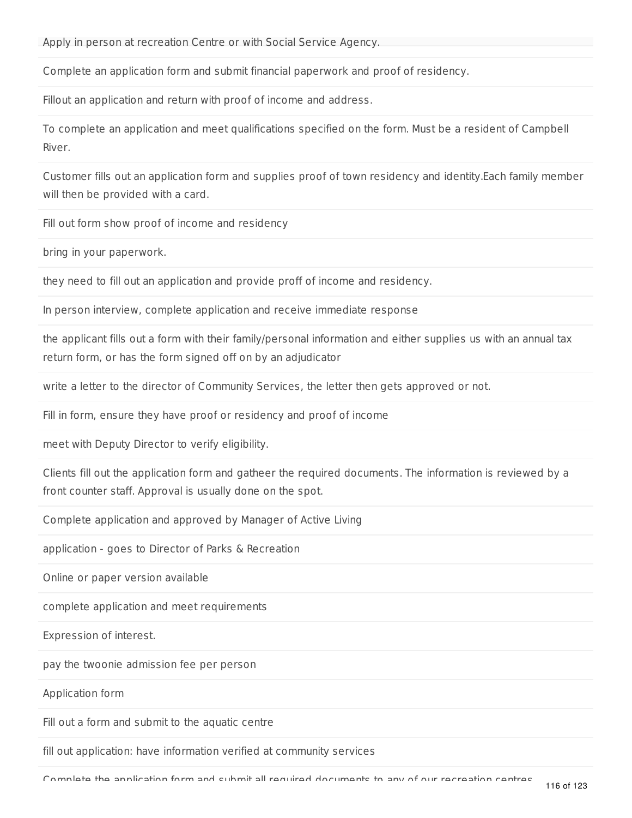Apply in person at recreation Centre or with Social Service Agency.

Complete an application form and submit financial paperwork and proof of residency.

Fillout an application and return with proof of income and address.

To complete an application and meet qualifications specified on the form. Must be a resident of Campbell River.

Customer fills out an application form and supplies proof of town residency and identity.Each family member will then be provided with a card.

Fill out form show proof of income and residency

bring in your paperwork.

they need to fill out an application and provide proff of income and residency.

In person interview, complete application and receive immediate response

the applicant fills out a form with their family/personal information and either supplies us with an annual tax return form, or has the form signed off on by an adjudicator

write a letter to the director of Community Services, the letter then gets approved or not.

Fill in form, ensure they have proof or residency and proof of income

meet with Deputy Director to verify eligibility.

Clients fill out the application form and gatheer the required documents. The information is reviewed by a front counter staff. Approval is usually done on the spot.

Complete application and approved by Manager of Active Living

application - goes to Director of Parks & Recreation

Online or paper version available

complete application and meet requirements

Expression of interest.

pay the twoonie admission fee per person

Application form

Fill out a form and submit to the aquatic centre

fill out application: have information verified at community services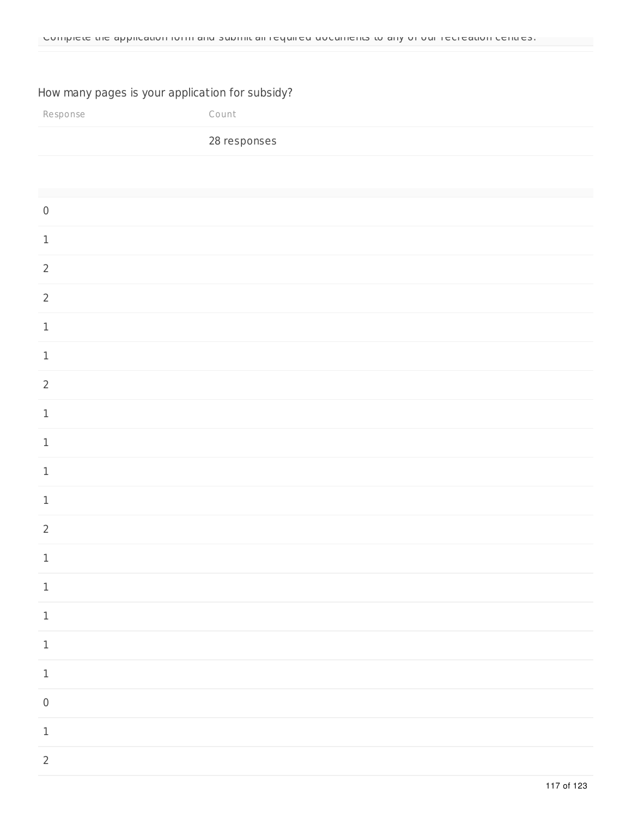## How many pages is your application for subsidy?

| Response                   | Count        |
|----------------------------|--------------|
|                            | 28 responses |
|                            |              |
| $\mathsf{O}\xspace$        |              |
| $\mathbf 1$                |              |
| $\overline{2}$             |              |
| $\overline{2}$             |              |
| $\mathbf 1$                |              |
| $\,1$                      |              |
| $\overline{2}$             |              |
| $\mathbf 1$                |              |
| $\,1$                      |              |
| $\,1$                      |              |
| $\mathbf 1$                |              |
| $\overline{2}$             |              |
| $\mathbf 1$                |              |
| $\,1$                      |              |
| $\ensuremath{\mathsf{1}}$  |              |
| $\ensuremath{\mathbbm{1}}$ |              |
| $\,1$                      |              |
| $\mathsf{O}\xspace$        |              |
| $\ensuremath{\mathsf{1}}$  |              |
| $\overline{2}$             |              |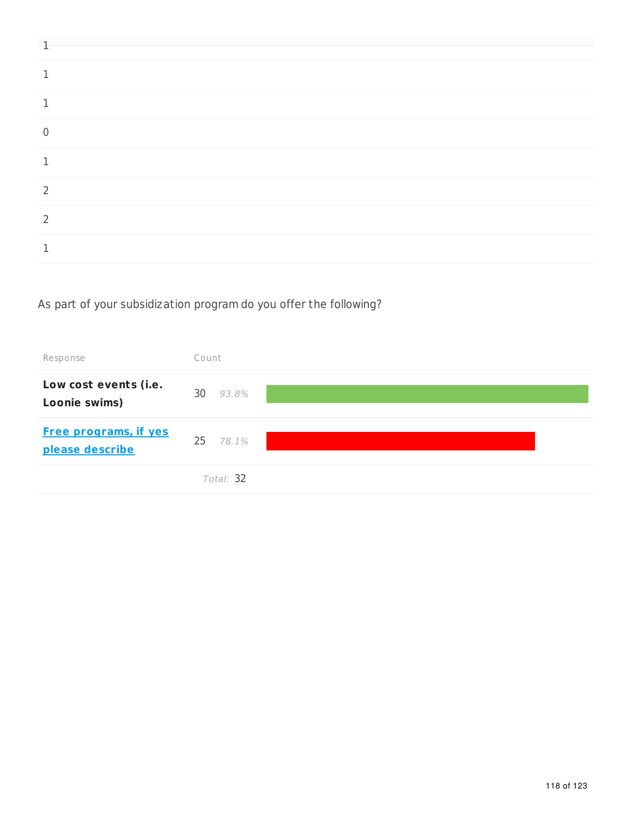# As part of your subsidization program do you offer the following?

| Response                                        | Count       |
|-------------------------------------------------|-------------|
| Low cost events (i.e.<br>Loonie swims)          | 30<br>93.8% |
| <b>Free programs, if yes</b><br>please describe | 25 78.1%    |
|                                                 | Total: 32   |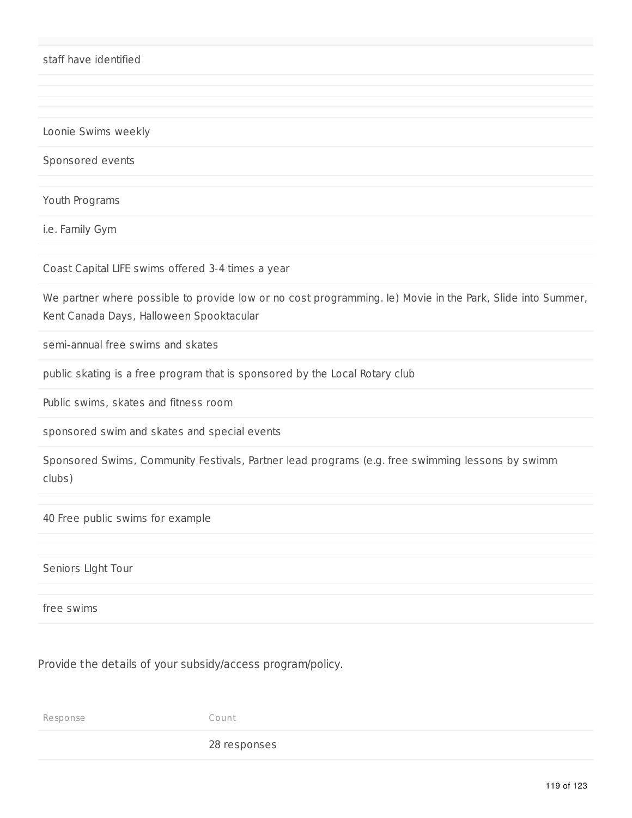staff have identified

Loonie Swims weekly

Sponsored events

Youth Programs

i.e. Family Gym

Coast Capital LIFE swims offered 3-4 times a year

We partner where possible to provide low or no cost programming. Ie) Movie in the Park, Slide into Summer, Kent Canada Days, Halloween Spooktacular

semi-annual free swims and skates

public skating is a free program that is sponsored by the Local Rotary club

Public swims, skates and fitness room

sponsored swim and skates and special events

Sponsored Swims, Community Festivals, Partner lead programs (e.g. free swimming lessons by swimm clubs)

40 Free public swims for example

Seniors LIght Tour

free swims

Provide the details of your subsidy/access program/policy.

Response Count

28 responses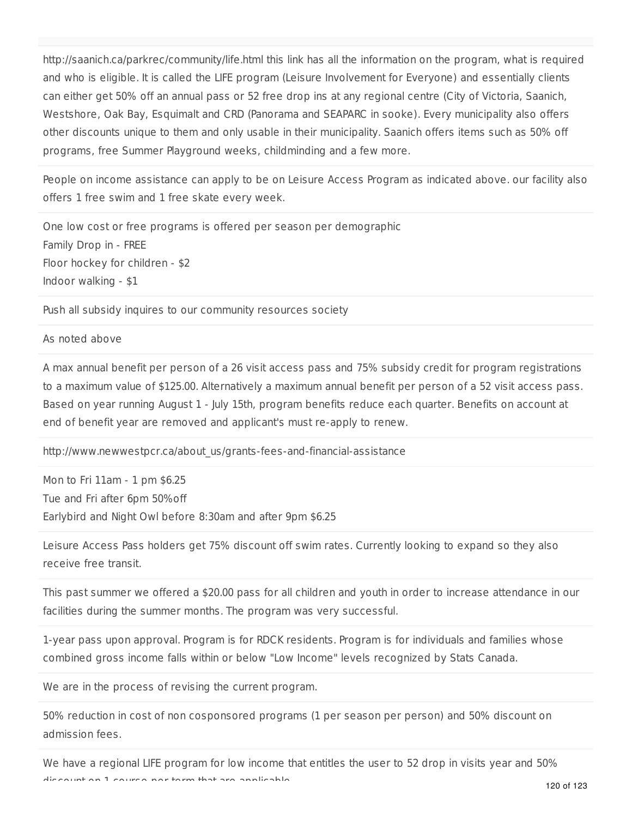http://saanich.ca/parkrec/community/life.html this link has all the information on the program, what is required and who is eligible. It is called the LIFE program (Leisure Involvement for Everyone) and essentially clients can either get 50% off an annual pass or 52 free drop ins at any regional centre (City of Victoria, Saanich, Westshore, Oak Bay, Esquimalt and CRD (Panorama and SEAPARC in sooke). Every municipality also offers other discounts unique to them and only usable in their municipality. Saanich offers items such as 50% off programs, free Summer Playground weeks, childminding and a few more.

People on income assistance can apply to be on Leisure Access Program as indicated above. our facility also offers 1 free swim and 1 free skate every week.

One low cost or free programs is offered per season per demographic Family Drop in - FREE Floor hockey for children - \$2 Indoor walking - \$1

Push all subsidy inquires to our community resources society

### As noted above

A max annual benefit per person of a 26 visit access pass and 75% subsidy credit for program registrations to a maximum value of \$125.00. Alternatively a maximum annual benefit per person of a 52 visit access pass. Based on year running August 1 - July 15th, program benefits reduce each quarter. Benefits on account at end of benefit year are removed and applicant's must re-apply to renew.

http://www.newwestpcr.ca/about\_us/grants-fees-and-financial-assistance

Mon to Fri 11am - 1 pm \$6.25 Tue and Fri after 6pm 50%off Earlybird and Night Owl before 8:30am and after 9pm \$6.25

Leisure Access Pass holders get 75% discount off swim rates. Currently looking to expand so they also receive free transit.

This past summer we offered a \$20.00 pass for all children and youth in order to increase attendance in our facilities during the summer months. The program was very successful.

1-year pass upon approval. Program is for RDCK residents. Program is for individuals and families whose combined gross income falls within or below "Low Income" levels recognized by Stats Canada.

We are in the process of revising the current program.

50% reduction in cost of non cosponsored programs (1 per season per person) and 50% discount on admission fees.

We have a regional LIFE program for low income that entitles the user to 52 drop in visits year and 50% discount on 1 course per term that are applicable.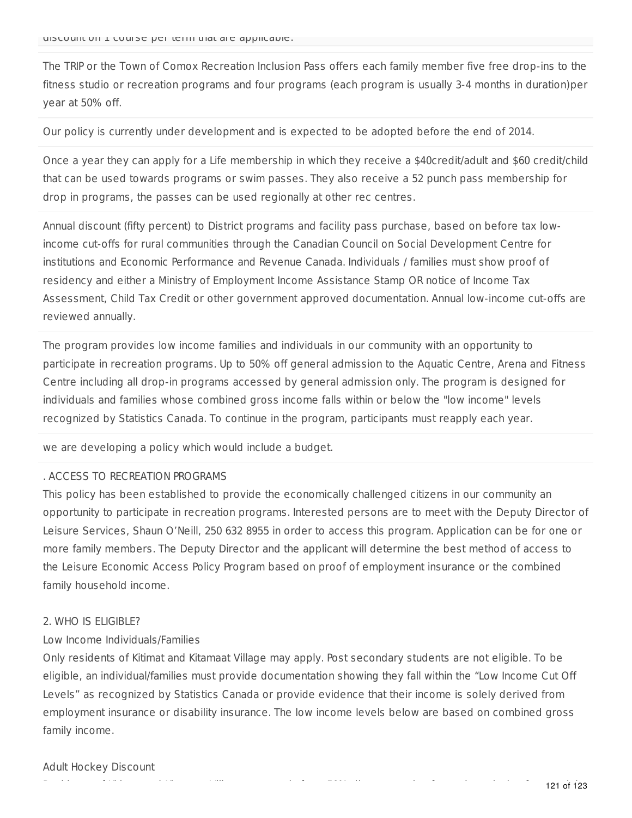The TRIP or the Town of Comox Recreation Inclusion Pass offers each family member five free drop-ins to the fitness studio or recreation programs and four programs (each program is usually 3-4 months in duration)per year at 50% off.

Our policy is currently under development and is expected to be adopted before the end of 2014.

Once a year they can apply for a Life membership in which they receive a \$40credit/adult and \$60 credit/child that can be used towards programs or swim passes. They also receive a 52 punch pass membership for drop in programs, the passes can be used regionally at other rec centres.

Annual discount (fifty percent) to District programs and facility pass purchase, based on before tax lowincome cut-offs for rural communities through the Canadian Council on Social Development Centre for institutions and Economic Performance and Revenue Canada. Individuals / families must show proof of residency and either a Ministry of Employment Income Assistance Stamp OR notice of Income Tax Assessment, Child Tax Credit or other government approved documentation. Annual low-income cut-offs are reviewed annually.

The program provides low income families and individuals in our community with an opportunity to participate in recreation programs. Up to 50% off general admission to the Aquatic Centre, Arena and Fitness Centre including all drop-in programs accessed by general admission only. The program is designed for individuals and families whose combined gross income falls within or below the "low income" levels recognized by Statistics Canada. To continue in the program, participants must reapply each year.

we are developing a policy which would include a budget.

### . ACCESS TO RECREATION PROGRAMS

This policy has been established to provide the economically challenged citizens in our community an opportunity to participate in recreation programs. Interested persons are to meet with the Deputy Director of Leisure Services, Shaun O'Neill, 250 632 8955 in order to access this program. Application can be for one or more family members. The Deputy Director and the applicant will determine the best method of access to the Leisure Economic Access Policy Program based on proof of employment insurance or the combined family household income.

### 2. WHO IS ELIGIBLE?

### Low Income Individuals/Families

Only residents of Kitimat and Kitamaat Village may apply. Post secondary students are not eligible. To be eligible, an individual/families must provide documentation showing they fall within the "Low Income Cut Off Levels" as recognized by Statistics Canada or provide evidence that their income is solely derived from employment insurance or disability insurance. The low income levels below are based on combined gross family income.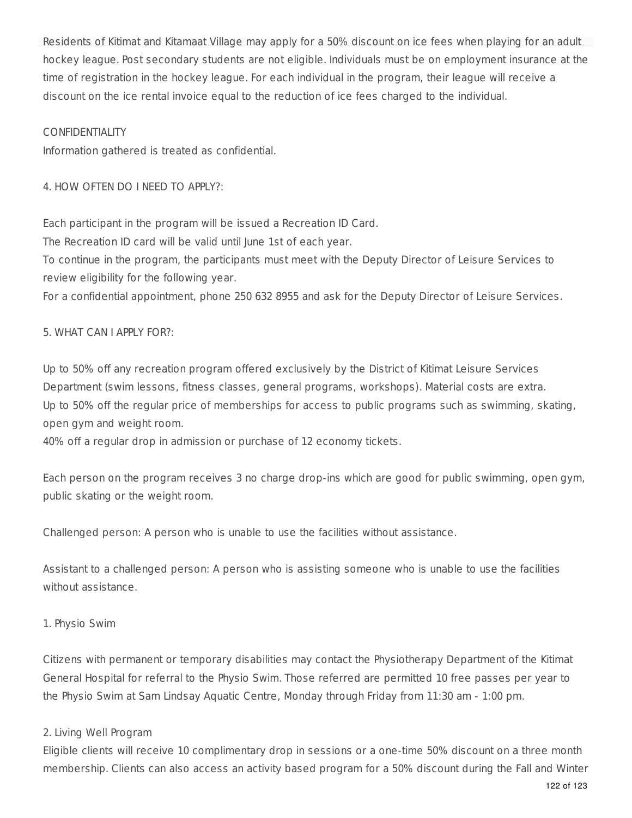Residents of Kitimat and Kitamaat Village may apply for a 50% discount on ice fees when playing for an adult hockey league. Post secondary students are not eligible. Individuals must be on employment insurance at the time of registration in the hockey league. For each individual in the program, their league will receive a discount on the ice rental invoice equal to the reduction of ice fees charged to the individual.

### CONFIDENTIALITY

Information gathered is treated as confidential.

4. HOW OFTEN DO I NEED TO APPLY?:

Each participant in the program will be issued a Recreation ID Card.

The Recreation ID card will be valid until June 1st of each year.

To continue in the program, the participants must meet with the Deputy Director of Leisure Services to review eligibility for the following year.

For a confidential appointment, phone 250 632 8955 and ask for the Deputy Director of Leisure Services.

## 5. WHAT CAN I APPLY FOR?:

Up to 50% off any recreation program offered exclusively by the District of Kitimat Leisure Services Department (swim lessons, fitness classes, general programs, workshops). Material costs are extra. Up to 50% off the regular price of memberships for access to public programs such as swimming, skating, open gym and weight room.

40% off a regular drop in admission or purchase of 12 economy tickets.

Each person on the program receives 3 no charge drop-ins which are good for public swimming, open gym, public skating or the weight room.

Challenged person: A person who is unable to use the facilities without assistance.

Assistant to a challenged person: A person who is assisting someone who is unable to use the facilities without assistance.

## 1. Physio Swim

Citizens with permanent or temporary disabilities may contact the Physiotherapy Department of the Kitimat General Hospital for referral to the Physio Swim. Those referred are permitted 10 free passes per year to the Physio Swim at Sam Lindsay Aquatic Centre, Monday through Friday from 11:30 am - 1:00 pm.

## 2. Living Well Program

Eligible clients will receive 10 complimentary drop in sessions or a one-time 50% discount on a three month membership. Clients can also access an activity based program for a 50% discount during the Fall and Winter